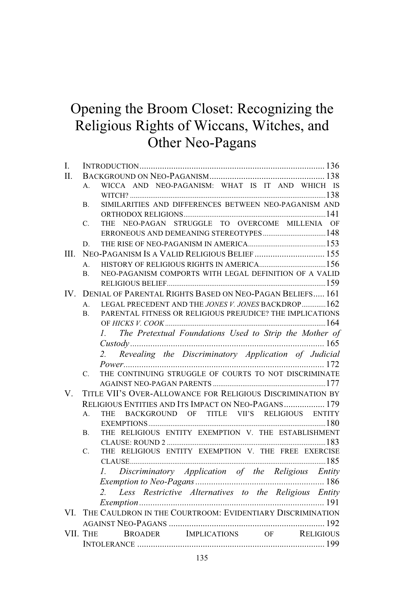# Opening the Broom Closet: Recognizing the Religious Rights of Wiccans, Witches, and Other Neo-Pagans

| Ι.       |                                                                            |
|----------|----------------------------------------------------------------------------|
| II.      |                                                                            |
|          | WICCA AND NEO-PAGANISM: WHAT IS IT AND WHICH IS<br>$A_{-}$                 |
|          |                                                                            |
|          | SIMILARITIES AND DIFFERENCES BETWEEN NEO-PAGANISM AND<br>Β.                |
|          |                                                                            |
|          | NEO-PAGAN STRUGGLE TO OVERCOME MILLENIA OF<br>C.<br><b>THE</b>             |
|          |                                                                            |
|          | D.                                                                         |
| HI.      | NEO-PAGANISM IS A VALID RELIGIOUS BELIEF 155                               |
|          | $\mathbf{A}$                                                               |
|          | NEO-PAGANISM COMPORTS WITH LEGAL DEFINITION OF A VALID<br>B.               |
|          |                                                                            |
| $IV_{-}$ | DENIAL OF PARENTAL RIGHTS BASED ON NEO-PAGAN BELIEFS 161                   |
|          | LEGAL PRECEDENT AND THE JONES V. JONES BACKDROP162<br>$\mathsf{A}$ .       |
|          | PARENTAL FITNESS OR RELIGIOUS PREJUDICE? THE IMPLICATIONS<br>B.            |
|          |                                                                            |
|          | The Pretextual Foundations Used to Strip the Mother of<br>Ι.               |
|          |                                                                            |
|          | Revealing the Discriminatory Application of Judicial                       |
|          |                                                                            |
|          | THE CONTINUING STRUGGLE OF COURTS TO NOT DISCRIMINATE<br>C.                |
|          |                                                                            |
| V.       | TITLE VII'S OVER-ALLOWANCE FOR RELIGIOUS DISCRIMINATION BY                 |
|          | RELIGIOUS ENTITIES AND ITS IMPACT ON NEO-PAGANS 179                        |
|          | BACKGROUND OF TITLE VII'S RELIGIOUS ENTITY<br>A <sub>1</sub><br><b>THE</b> |
|          |                                                                            |
|          | THE RELIGIOUS ENTITY EXEMPTION V. THE ESTABLISHMENT<br>В.                  |
|          |                                                                            |
|          | THE RELIGIOUS ENTITY EXEMPTION V. THE FREE EXERCISE<br>C.                  |
|          |                                                                            |
|          | 1. Discriminatory Application of the Religious Entity                      |
|          |                                                                            |
|          | 2. Less Restrictive Alternatives to the Religious Entity                   |
|          |                                                                            |
| VL.      | THE CAULDRON IN THE COURTROOM: EVIDENTIARY DISCRIMINATION                  |
|          |                                                                            |
|          | VII. THE BROADER IMPLICATIONS OF RELIGIOUS                                 |
|          |                                                                            |
|          |                                                                            |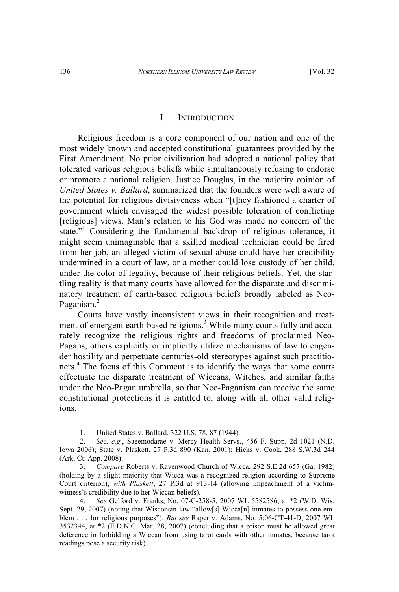## I. INTRODUCTION

Religious freedom is a core component of our nation and one of the most widely known and accepted constitutional guarantees provided by the First Amendment. No prior civilization had adopted a national policy that tolerated various religious beliefs while simultaneously refusing to endorse or promote a national religion. Justice Douglas, in the majority opinion of *United States v. Ballard*, summarized that the founders were well aware of the potential for religious divisiveness when "[t]hey fashioned a charter of government which envisaged the widest possible toleration of conflicting [religious] views. Man's relation to his God was made no concern of the state."<sup>1</sup> Considering the fundamental backdrop of religious tolerance, it might seem unimaginable that a skilled medical technician could be fired from her job, an alleged victim of sexual abuse could have her credibility undermined in a court of law, or a mother could lose custody of her child, under the color of legality, because of their religious beliefs. Yet, the startling reality is that many courts have allowed for the disparate and discriminatory treatment of earth-based religious beliefs broadly labeled as Neo-Paganism.<sup>2</sup>

Courts have vastly inconsistent views in their recognition and treatment of emergent earth-based religions.<sup>3</sup> While many courts fully and accurately recognize the religious rights and freedoms of proclaimed Neo-Pagans, others explicitly or implicitly utilize mechanisms of law to engender hostility and perpetuate centuries-old stereotypes against such practitioners. 4 The focus of this Comment is to identify the ways that some courts effectuate the disparate treatment of Wiccans, Witches, and similar faiths under the Neo-Pagan umbrella, so that Neo-Paganism can receive the same constitutional protections it is entitled to, along with all other valid religions.

<sup>1.</sup> United States v. Ballard, 322 U.S. 78, 87 (1944).

<sup>2.</sup> *See, e.g.*, Saeemodarae v. Mercy Health Servs., 456 F. Supp. 2d 1021 (N.D. Iowa 2006); State v. Plaskett, 27 P.3d 890 (Kan. 2001); Hicks v. Cook, 288 S.W.3d 244 (Ark. Ct. App. 2008).

<sup>3.</sup> *Compare* Roberts v. Ravenwood Church of Wicca, 292 S.E.2d 657 (Ga. 1982) (holding by a slight majority that Wicca was a recognized religion according to Supreme Court criterion), *with Plaskett*, 27 P.3d at 913-14 (allowing impeachment of a victimwitness's credibility due to her Wiccan beliefs).

<sup>4.</sup> *See* Gelford v. Franks, No. 07-C-258-5, 2007 WL 5582586, at \*2 (W.D. Wis. Sept. 29, 2007) (noting that Wisconsin law "allow[s] Wicca[n] inmates to possess one emblem . . . for religious purposes"). *But see* Raper v. Adams, No. 5:06-CT-41-D, 2007 WL 3532344, at \*2 (E.D.N.C. Mar. 28, 2007) (concluding that a prison must be allowed great deference in forbidding a Wiccan from using tarot cards with other inmates, because tarot readings pose a security risk).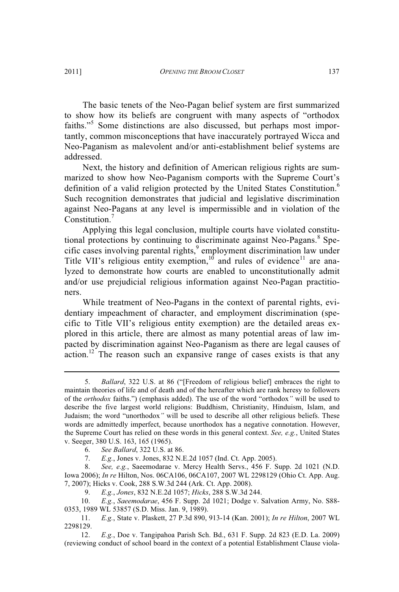The basic tenets of the Neo-Pagan belief system are first summarized to show how its beliefs are congruent with many aspects of "orthodox faiths."<sup>5</sup> Some distinctions are also discussed, but perhaps most importantly, common misconceptions that have inaccurately portrayed Wicca and Neo-Paganism as malevolent and/or anti-establishment belief systems are addressed.

Next, the history and definition of American religious rights are summarized to show how Neo-Paganism comports with the Supreme Court's definition of a valid religion protected by the United States Constitution.<sup>6</sup> Such recognition demonstrates that judicial and legislative discrimination against Neo-Pagans at any level is impermissible and in violation of the Constitution.<sup>7</sup>

Applying this legal conclusion, multiple courts have violated constitutional protections by continuing to discriminate against Neo-Pagans.<sup>8</sup> Specific cases involving parental rights,<sup>9</sup> employment discrimination law under Title VII's religious entity exemption,<sup>10</sup> and rules of evidence<sup>11</sup> are analyzed to demonstrate how courts are enabled to unconstitutionally admit and/or use prejudicial religious information against Neo-Pagan practitioners.

While treatment of Neo-Pagans in the context of parental rights, evidentiary impeachment of character, and employment discrimination (specific to Title VII's religious entity exemption) are the detailed areas explored in this article, there are almost as many potential areas of law impacted by discrimination against Neo-Paganism as there are legal causes of  $\alpha$  action.<sup>12</sup> The reason such an expansive range of cases exists is that any

- 6. *See Ballard*, 322 U.S. at 86.
- 7. *E.g.*, Jones v. Jones, 832 N.E.2d 1057 (Ind. Ct. App. 2005).

9. *E.g.*, *Jones*, 832 N.E.2d 1057; *Hicks*, 288 S.W.3d 244.

<sup>5.</sup> *Ballard*, 322 U.S. at 86 ("[Freedom of religious belief] embraces the right to maintain theories of life and of death and of the hereafter which are rank heresy to followers of the *orthodox* faiths.") (emphasis added). The use of the word "orthodox*"* will be used to describe the five largest world religions: Buddhism, Christianity, Hinduism, Islam, and Judaism; the word "unorthodox*"* will be used to describe all other religious beliefs. These words are admittedly imperfect, because unorthodox has a negative connotation. However, the Supreme Court has relied on these words in this general context. *See, e.g.*, United States v. Seeger, 380 U.S. 163, 165 (1965).

<sup>8.</sup> *See, e.g.*, Saeemodarae v. Mercy Health Servs., 456 F. Supp. 2d 1021 (N.D. Iowa 2006); *In re* Hilton, Nos. 06CA106, 06CA107, 2007 WL 2298129 (Ohio Ct. App. Aug. 7, 2007); Hicks v. Cook, 288 S.W.3d 244 (Ark. Ct. App. 2008).<br>9. E.g., Jones, 832 N.E.2d 1057; Hicks, 288 S.W.3d 2.

<sup>10.</sup> *E.g.*, *Saeemodarae*, 456 F. Supp. 2d 1021; Dodge v. Salvation Army, No. S88- 0353, 1989 WL 53857 (S.D. Miss. Jan. 9, 1989).

<sup>11.</sup> *E.g.*, State v. Plaskett, 27 P.3d 890, 913-14 (Kan. 2001); *In re Hilton*, 2007 WL 2298129.

<sup>12.</sup> *E.g.*, Doe v. Tangipahoa Parish Sch. Bd., 631 F. Supp. 2d 823 (E.D. La. 2009) (reviewing conduct of school board in the context of a potential Establishment Clause viola-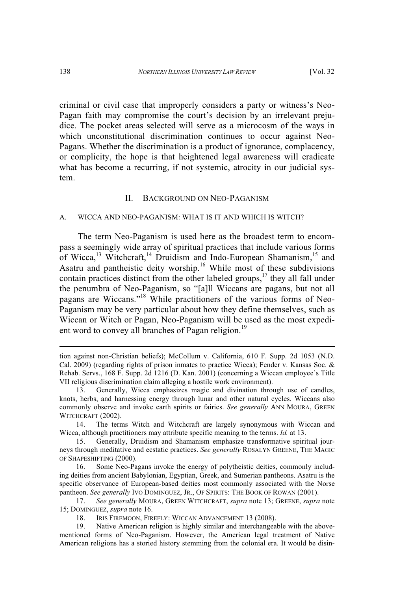criminal or civil case that improperly considers a party or witness's Neo-Pagan faith may compromise the court's decision by an irrelevant prejudice. The pocket areas selected will serve as a microcosm of the ways in which unconstitutional discrimination continues to occur against Neo-Pagans. Whether the discrimination is a product of ignorance, complacency, or complicity, the hope is that heightened legal awareness will eradicate what has become a recurring, if not systemic, atrocity in our judicial system.

#### II. BACKGROUND ON NEO-PAGANISM

#### A. WICCA AND NEO-PAGANISM: WHAT IS IT AND WHICH IS WITCH?

The term Neo-Paganism is used here as the broadest term to encompass a seemingly wide array of spiritual practices that include various forms of Wicca,<sup>13</sup> Witchcraft,<sup>14</sup> Druidism and Indo-European Shamanism,<sup>15</sup> and Asatru and pantheistic deity worship.<sup>16</sup> While most of these subdivisions contain practices distinct from the other labeled groups, $17$  they all fall under the penumbra of Neo-Paganism, so "[a]ll Wiccans are pagans, but not all pagans are Wiccans." <sup>18</sup> While practitioners of the various forms of Neo-Paganism may be very particular about how they define themselves, such as Wiccan or Witch or Pagan, Neo-Paganism will be used as the most expedient word to convey all branches of Pagan religion.<sup>19</sup>

16. Some Neo-Pagans invoke the energy of polytheistic deities, commonly including deities from ancient Babylonian, Egyptian, Greek, and Sumerian pantheons. Asatru is the specific observance of European-based deities most commonly associated with the Norse pantheon. *See generally* IVO DOMINGUEZ, JR., OF SPIRITS: THE BOOK OF ROWAN (2001).

17. *See generally* MOURA, GREEN WITCHCRAFT, *supra* note 13; GREENE, *supra* note 15; DOMINGUEZ, *supra* note 16.

tion against non-Christian beliefs); McCollum v. California, 610 F. Supp. 2d 1053 (N.D. Cal. 2009) (regarding rights of prison inmates to practice Wicca); Fender v. Kansas Soc. & Rehab. Servs., 168 F. Supp. 2d 1216 (D. Kan. 2001) (concerning a Wiccan employee's Title VII religious discrimination claim alleging a hostile work environment).

<sup>13.</sup> Generally, Wicca emphasizes magic and divination through use of candles, knots, herbs, and harnessing energy through lunar and other natural cycles. Wiccans also commonly observe and invoke earth spirits or fairies. *See generally* ANN MOURA, GREEN WITCHCRAFT (2002).

<sup>14.</sup> The terms Witch and Witchcraft are largely synonymous with Wiccan and Wicca, although practitioners may attribute specific meaning to the terms. *Id.* at 13.

<sup>15.</sup> Generally, Druidism and Shamanism emphasize transformative spiritual journeys through meditative and ecstatic practices. *See generally* ROSALYN GREENE, THE MAGIC OF SHAPESHIFTING (2000).

<sup>18.</sup> IRIS FIREMOON, FIREFLY: WICCAN ADVANCEMENT 13 (2008).

<sup>19.</sup> Native American religion is highly similar and interchangeable with the abovementioned forms of Neo-Paganism. However, the American legal treatment of Native American religions has a storied history stemming from the colonial era. It would be disin-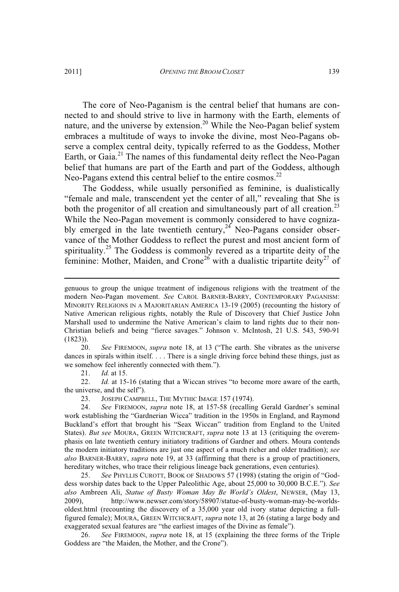The core of Neo-Paganism is the central belief that humans are connected to and should strive to live in harmony with the Earth, elements of nature, and the universe by extension.<sup>20</sup> While the Neo-Pagan belief system embraces a multitude of ways to invoke the divine, most Neo-Pagans observe a complex central deity, typically referred to as the Goddess, Mother Earth, or Gaia.<sup>21</sup> The names of this fundamental deity reflect the Neo-Pagan belief that humans are part of the Earth and part of the Goddess, although Neo-Pagans extend this central belief to the entire cosmos.<sup>22</sup>

The Goddess, while usually personified as feminine, is dualistically "female and male, transcendent yet the center of all," revealing that She is both the progenitor of all creation and simultaneously part of all creation.<sup>23</sup> While the Neo-Pagan movement is commonly considered to have cognizably emerged in the late twentieth century,<sup>24</sup> Neo-Pagans consider observance of the Mother Goddess to reflect the purest and most ancient form of spirituality.<sup>25</sup> The Goddess is commonly revered as a tripartite deity of the feminine: Mother, Maiden, and Crone<sup>26</sup> with a dualistic tripartite deity<sup>27</sup> of

20. *See* FIREMOON, *supra* note 18, at 13 ("The earth. She vibrates as the universe dances in spirals within itself. . . . There is a single driving force behind these things, just as we somehow feel inherently connected with them.").

21. *Id.* at 15.

22. *Id.* at 15-16 (stating that a Wiccan strives "to become more aware of the earth, the universe, and the self").

23. JOSEPH CAMPBELL, THE MYTHIC IMAGE 157 (1974).<br>24. See FIREMOON, supra note 18. at 157-58 (recalling

See FIREMOON, *supra* note 18, at 157-58 (recalling Gerald Gardner's seminal work establishing the "Gardnerian Wicca" tradition in the 1950s in England, and Raymond Buckland's effort that brought his "Seax Wiccan" tradition from England to the United States). *But see* MOURA, GREEN WITCHCRAFT, *supra* note 13 at 13 (critiquing the overemphasis on late twentieth century initiatory traditions of Gardner and others. Moura contends the modern initiatory traditions are just one aspect of a much richer and older tradition); *see also* BARNER-BARRY, *supra* note 19, at 33 (affirming that there is a group of practitioners, hereditary witches, who trace their religious lineage back generations, even centuries).

25. *See* PHYLLIS CUROTT, BOOK OF SHADOWS 57 (1998) (stating the origin of "Goddess worship dates back to the Upper Paleolithic Age, about 25,000 to 30,000 B.C.E."). *See also* Ambreen Ali, *Statue of Busty Woman May Be World's Oldest*, NEWSER, (May 13, 2009), http://www.newser.com/story/58907/statue-of-busty-woman-may-be-worldsoldest.html (recounting the discovery of a 35,000 year old ivory statue depicting a fullfigured female); MOURA, GREEN WITCHCRAFT, *supra* note 13, at 26 (stating a large body and exaggerated sexual features are "the earliest images of the Divine as female").

26. *See* FIREMOON, *supra* note 18, at 15 (explaining the three forms of the Triple Goddess are "the Maiden, the Mother, and the Crone").

genuous to group the unique treatment of indigenous religions with the treatment of the modern Neo-Pagan movement. *See* CAROL BARNER-BARRY, CONTEMPORARY PAGANISM: MINORITY RELIGIONS IN A MAJORITARIAN AMERICA 13-19 (2005) (recounting the history of Native American religious rights, notably the Rule of Discovery that Chief Justice John Marshall used to undermine the Native American's claim to land rights due to their non-Christian beliefs and being "fierce savages." Johnson v. McIntosh, 21 U.S. 543, 590-91 (1823)).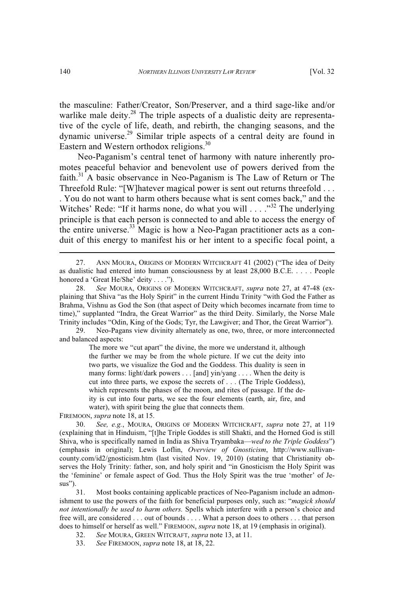the masculine: Father/Creator, Son/Preserver, and a third sage-like and/or warlike male deity.<sup>28</sup> The triple aspects of a dualistic deity are representative of the cycle of life, death, and rebirth, the changing seasons, and the dynamic universe.<sup>29</sup> Similar triple aspects of a central deity are found in Eastern and Western orthodox religions.<sup>30</sup>

Neo-Paganism's central tenet of harmony with nature inherently promotes peaceful behavior and benevolent use of powers derived from the faith.<sup>31</sup> A basic observance in Neo-Paganism is The Law of Return or The Threefold Rule: "[W]hatever magical power is sent out returns threefold . . . . You do not want to harm others because what is sent comes back," and the Witches' Rede: "If it harms none, do what you will . . . ."<sup>32</sup> The underlying principle is that each person is connected to and able to access the energy of the entire universe.<sup>33</sup> Magic is how a Neo-Pagan practitioner acts as a conduit of this energy to manifest his or her intent to a specific focal point, a

The more we "cut apart" the divine, the more we understand it, although the further we may be from the whole picture. If we cut the deity into two parts, we visualize the God and the Goddess. This duality is seen in many forms: light/dark powers . . . [and] yin/yang . . . . When the deity is cut into three parts, we expose the secrets of . . . (The Triple Goddess), which represents the phases of the moon, and rites of passage. If the deity is cut into four parts, we see the four elements (earth, air, fire, and water), with spirit being the glue that connects them.

FIREMOON, *supra* note 18, at 15.

30. *See, e.g.*, MOURA, ORIGINS OF MODERN WITCHCRAFT, *supra* note 27, at 119 (explaining that in Hinduism, "[t]he Triple Goddes is still Shakti, and the Horned God is still Shiva, who is specifically named in India as Shiva Tryambaka—*wed to the Triple Goddess*") (emphasis in original); Lewis Loflin, *Overview of Gnosticism*, http://www.sullivancounty.com/id2/gnosticism.htm (last visited Nov. 19, 2010) (stating that Christianity observes the Holy Trinity: father, son, and holy spirit and "in Gnosticism the Holy Spirit was the 'feminine' or female aspect of God. Thus the Holy Spirit was the true 'mother' of Jesus").

31. Most books containing applicable practices of Neo-Paganism include an admonishment to use the powers of the faith for beneficial purposes only, such as: "*magick should not intentionally be used to harm others.* Spells which interfere with a person's choice and free will, are considered . . . out of bounds . . . . What a person does to others . . . that person does to himself or herself as well." FIREMOON, *supra* note 18, at 19 (emphasis in original).

32. *See* MOURA, GREEN WITCRAFT, *supra* note 13, at 11.

33. *See* FIREMOON, *supra* note 18, at 18, 22.

<sup>27.</sup> ANN MOURA, ORIGINS OF MODERN WITCHCRAFT 41 (2002) ("The idea of Deity as dualistic had entered into human consciousness by at least 28,000 B.C.E. . . . . People honored a 'Great He/She' deity . . . .").

<sup>28.</sup> *See* MOURA, ORIGINS OF MODERN WITCHCRAFT, *supra* note 27, at 47-48 (explaining that Shiva "as the Holy Spirit" in the current Hindu Trinity "with God the Father as Brahma, Vishnu as God the Son (that aspect of Deity which becomes incarnate from time to time)," supplanted "Indra, the Great Warrior" as the third Deity. Similarly, the Norse Male Trinity includes "Odin, King of the Gods; Tyr, the Lawgiver; and Thor, the Great Warrior").

<sup>29.</sup> Neo-Pagans view divinity alternately as one, two, three, or more interconnected and balanced aspects: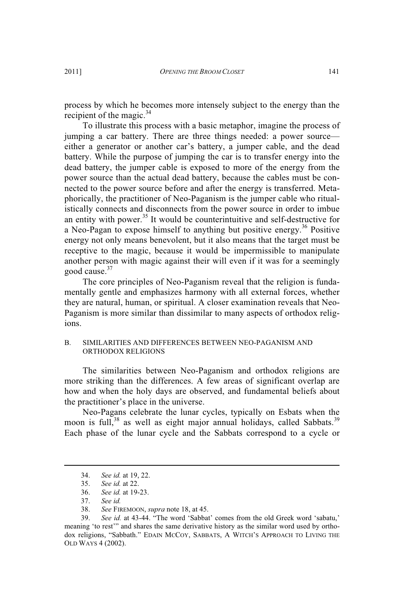process by which he becomes more intensely subject to the energy than the recipient of the magic. $34$ 

To illustrate this process with a basic metaphor, imagine the process of jumping a car battery. There are three things needed: a power source either a generator or another car's battery, a jumper cable, and the dead battery. While the purpose of jumping the car is to transfer energy into the dead battery, the jumper cable is exposed to more of the energy from the power source than the actual dead battery, because the cables must be connected to the power source before and after the energy is transferred. Metaphorically, the practitioner of Neo-Paganism is the jumper cable who ritualistically connects and disconnects from the power source in order to imbue an entity with power.<sup>35</sup> It would be counterintuitive and self-destructive for a Neo-Pagan to expose himself to anything but positive energy.<sup>36</sup> Positive energy not only means benevolent, but it also means that the target must be receptive to the magic, because it would be impermissible to manipulate another person with magic against their will even if it was for a seemingly good cause.<sup>37</sup>

The core principles of Neo-Paganism reveal that the religion is fundamentally gentle and emphasizes harmony with all external forces, whether they are natural, human, or spiritual. A closer examination reveals that Neo-Paganism is more similar than dissimilar to many aspects of orthodox religions.

#### B. SIMILARITIES AND DIFFERENCES BETWEEN NEO-PAGANISM AND ORTHODOX RELIGIONS

The similarities between Neo-Paganism and orthodox religions are more striking than the differences. A few areas of significant overlap are how and when the holy days are observed, and fundamental beliefs about the practitioner's place in the universe.

Neo-Pagans celebrate the lunar cycles, typically on Esbats when the moon is full,<sup>38</sup> as well as eight major annual holidays, called Sabbats.<sup>39</sup> Each phase of the lunar cycle and the Sabbats correspond to a cycle or

<sup>34.</sup> *See id.* at 19, 22.

<sup>35.</sup> *See id.* at 22.

<sup>36.</sup> *See id.* at 19-23.

<sup>37.</sup> *See id.*

<sup>38.</sup> *See* FIREMOON, *supra* note 18, at 45.

<sup>39.</sup> *See id.* at 43-44. "The word 'Sabbat' comes from the old Greek word 'sabatu,' meaning 'to rest'" and shares the same derivative history as the similar word used by orthodox religions, "Sabbath." EDAIN MCCOY, SABBATS, A WITCH'<sup>S</sup> APPROACH TO LIVING THE OLD WAYS 4 (2002).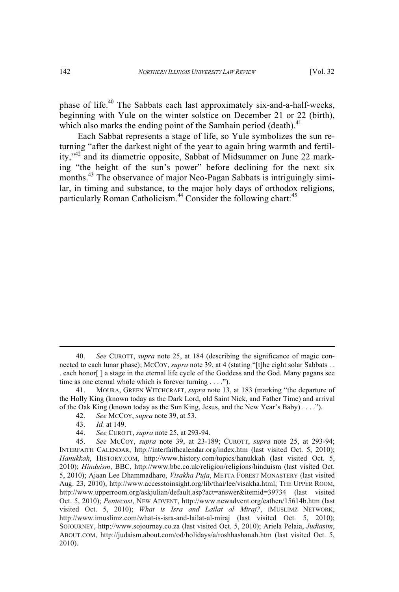phase of life.<sup>40</sup> The Sabbats each last approximately six-and-a-half-weeks, beginning with Yule on the winter solstice on December 21 or 22 (birth), which also marks the ending point of the Samhain period (death).<sup>41</sup>

Each Sabbat represents a stage of life, so Yule symbolizes the sun returning "after the darkest night of the year to again bring warmth and fertility,"<sup>42</sup> and its diametric opposite, Sabbat of Midsummer on June 22 marking "the height of the sun's power" before declining for the next six months.<sup>43</sup> The observance of major Neo-Pagan Sabbats is intriguingly similar, in timing and substance, to the major holy days of orthodox religions, particularly Roman Catholicism.<sup>44</sup> Consider the following chart:<sup>45</sup>

<sup>40.</sup> *See* CUROTT, *supra* note 25, at 184 (describing the significance of magic connected to each lunar phase); McCoy, *supra* note 39, at 4 (stating "[t]he eight solar Sabbats . . . each honor[ ] a stage in the eternal life cycle of the Goddess and the God. Many pagans see time as one eternal whole which is forever turning . . . .").

<sup>41.</sup> MOURA, GREEN WITCHCRAFT, *supra* note 13, at 183 (marking "the departure of the Holly King (known today as the Dark Lord, old Saint Nick, and Father Time) and arrival of the Oak King (known today as the Sun King, Jesus, and the New Year's Baby) . . . .").

<sup>42.</sup> *See* MCCOY, *supra* note 39, at 53.

<sup>43.</sup> *Id.* at 149.

<sup>44.</sup> *See* CUROTT, *supra* note 25, at 293-94.

<sup>45.</sup> *See* MCCOY, *supra* note 39, at 23-189; CUROTT, *supra* note 25, at 293-94; INTERFAITH CALENDAR, http://interfaithcalendar.org/index.htm (last visited Oct. 5, 2010); *Hanukkah*, HISTORY.COM, http://www.history.com/topics/hanukkah (last visited Oct. 5, 2010); *Hinduism*, BBC, http://www.bbc.co.uk/religion/religions/hinduism (last visited Oct. 5, 2010); Ajaan Lee Dhammadharo, *Visakha Puja*, METTA FOREST MONASTERY (last visited Aug. 23, 2010), http://www.accesstoinsight.org/lib/thai/lee/visakha.html; THE UPPER ROOM, http://www.upperroom.org/askjulian/default.asp?act=answer&itemid=39734 (last visited Oct. 5, 2010); *Pentecost*, NEW ADVENT, http://www.newadvent.org/cathen/15614b.htm (last visited Oct. 5, 2010); *What is Isra and Lailat al Miraj?*, IMUSLIMZ NETWORK, http://www.imuslimz.com/what-is-isra-and-lailat-al-miraj (last visited Oct. 5, 2010); SOJOURNEY, http://www.sojourney.co.za (last visited Oct. 5, 2010); Ariela Pelaia, *Judiasim*, ABOUT.COM, http://judaism.about.com/od/holidays/a/roshhashanah.htm (last visited Oct. 5, 2010).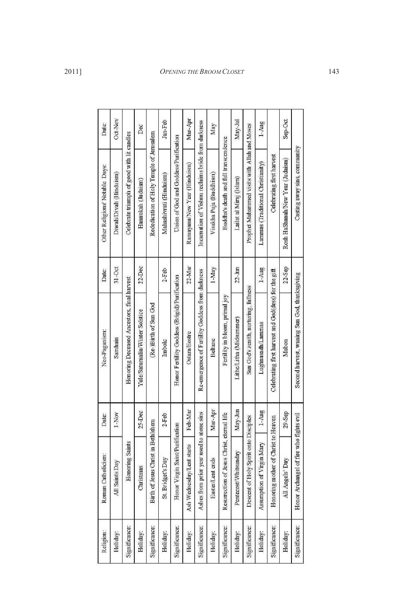| Date:                          | Oct Nov                  | Celebrate triumph of good with lit candles | Dec                             | Rededication of Holy Temple of Jerusalem | Jan-Feb                 | Union of God and Goddess Purification         | Mar-Apr                      | Incarnation of Vishnu reclaims bride from darkness | May                     | Buddha's death and full transcendence      | May-Jul                 | Prophet Muhammed visits with Allah and Moses | $1 - Aug$                         | Celebrating first harvest                            | Sep-Oct                          |
|--------------------------------|--------------------------|--------------------------------------------|---------------------------------|------------------------------------------|-------------------------|-----------------------------------------------|------------------------------|----------------------------------------------------|-------------------------|--------------------------------------------|-------------------------|----------------------------------------------|-----------------------------------|------------------------------------------------------|----------------------------------|
| Other Religions' Notable Days: | Diwali/Divali (Hinduism) |                                            | Hannukah (Judaism)              |                                          | Mahashivrati (Hinduism) |                                               | Ramayana/New Year (Hinduism) |                                                    | Visakha Puja (Buddhism) |                                            | Lailat al Miraj (Islam) |                                              | Lammas (Traditional Christianity) |                                                      | Rosh HaShanah/New Year (Judaism) |
| Date:                          | $31-0$ ct                |                                            | 22 Dec                          |                                          | $2$ -Feb                |                                               | 22 Mar                       |                                                    | 1 May                   |                                            | $22-$ Jun               |                                              | 1-Aug                             |                                                      | 22-Sep                           |
| Neo-Paganism:                  | Samhain                  | Honoring Deceased Ancestors, final harvest | Yule/Saturnalia/Winter Solstice | (Re-Birth of Sun God                     | Imbolc                  | Honor Fertility Goddess (Brigid) Purification | <b>Ostara/Eostre</b>         | Re-emergence of Fertility Goddess from darkness    | <b>Beltane</b>          | Fertility in bloom, primal joy             | Lithe/Litha (Midsummer) | Sun God's zenith, nurturing, fullness        | Lughnasadh/Lammas                 | Celebrating first harvest and God(dess) for the gift | Mabon                            |
| Date:                          | 1-Nov                    |                                            | 25-Dec                          |                                          | $2$ -Feb                |                                               | Feb Mar                      |                                                    | Маг-Арг                 |                                            | May-Jun                 |                                              | $1 - Aug$                         |                                                      | 29-Sep                           |
| Roman Catholicism:             | All Saints Day           | <b>Honoring Saints</b>                     | Christmas                       | Birth of Jesus Christ in Bethlehem       | St. Bridget's Day       | Honor Virgin Saint/Purification               | Ash Wednesday/Lent starts    | Ashes from prior year used to atone sms            | Easter/Lent ends        | Resurrection of Jesus Christ, eternal life | Pentecost/Whitsunday    | Descent of Holy Spirit onto Disciples        | Assumption of Virgin Mary         | Honoring mother of Christ to Heaven                  | All Angels' Day                  |
| Religion:                      | Holiday:                 | Significance:                              | Holiday:                        | Significance:                            | Holiday:                | Significance:                                 | Holiday:                     | Significance:                                      | Holiday:                | Significance:                              | Holiday:                | Significance:                                | Holiday:                          | Significance:                                        | Holiday:                         |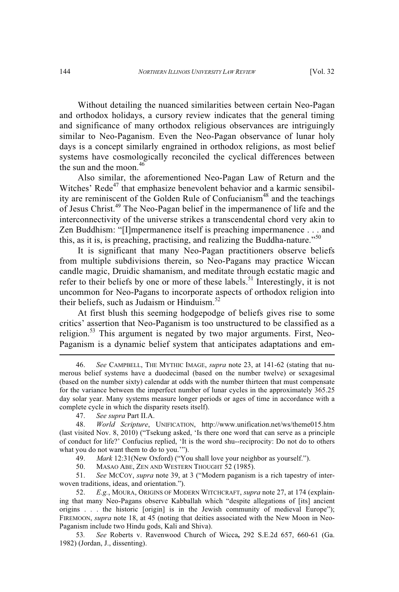Without detailing the nuanced similarities between certain Neo-Pagan and orthodox holidays, a cursory review indicates that the general timing and significance of many orthodox religious observances are intriguingly similar to Neo-Paganism. Even the Neo-Pagan observance of lunar holy days is a concept similarly engrained in orthodox religions, as most belief systems have cosmologically reconciled the cyclical differences between the sun and the moon. 46

Also similar, the aforementioned Neo-Pagan Law of Return and the Witches' Rede<sup>47</sup> that emphasize benevolent behavior and a karmic sensibility are reminiscent of the Golden Rule of Confucianism<sup>48</sup> and the teachings of Jesus Christ.<sup>49</sup> The Neo-Pagan belief in the impermanence of life and the interconnectivity of the universe strikes a transcendental chord very akin to Zen Buddhism: "[I]mpermanence itself is preaching impermanence . . . and this, as it is, is preaching, practising, and realizing the Buddha-nature."<sup>50</sup>

It is significant that many Neo-Pagan practitioners observe beliefs from multiple subdivisions therein, so Neo-Pagans may practice Wiccan candle magic, Druidic shamanism, and meditate through ecstatic magic and refer to their beliefs by one or more of these labels.<sup>51</sup> Interestingly, it is not uncommon for Neo-Pagans to incorporate aspects of orthodox religion into their beliefs, such as Judaism or Hinduism. 52

At first blush this seeming hodgepodge of beliefs gives rise to some critics' assertion that Neo-Paganism is too unstructured to be classified as a religion.<sup>53</sup> This argument is negated by two major arguments. First, Neo-Paganism is a dynamic belief system that anticipates adaptations and em-

49. *Mark* 12:31(New Oxford) ("You shall love your neighbor as yourself.").

50. MASAO ABE, ZEN AND WESTERN THOUGHT 52 (1985).

51. *See* MCCOY, *supra* note 39, at 3 ("Modern paganism is a rich tapestry of interwoven traditions, ideas, and orientation.").<br>52.  $E.g.,$  MOURA, ORIGINS OF MOU

52. *E.g.*, MOURA, ORIGINS OF MODERN WITCHCRAFT, *supra* note 27, at 174 (explaining that many Neo-Pagans observe Kabballah which "despite allegations of [its] ancient origins . . . the historic [origin] is in the Jewish community of medieval Europe"); FIREMOON, *supra* note 18, at 45 (noting that deities associated with the New Moon in Neo-Paganism include two Hindu gods, Kali and Shiva).

53*. See* Roberts v. Ravenwood Church of Wicca**,** 292 S.E.2d 657, 660-61 (Ga. 1982) (Jordan, J., dissenting).

<sup>46.</sup> *See* CAMPBELL, THE MYTHIC IMAGE, *supra* note 23, at 141-62 (stating that numerous belief systems have a duodecimal (based on the number twelve) or sexagesimal (based on the number sixty) calendar at odds with the number thirteen that must compensate for the variance between the imperfect number of lunar cycles in the approximately 365.25 day solar year. Many systems measure longer periods or ages of time in accordance with a complete cycle in which the disparity resets itself).

<sup>47.</sup> *See supra* Part II.A.

<sup>48.</sup> *World Scripture*, UNIFICATION, http://www.unification.net/ws/theme015.htm (last visited Nov. 8, 2010) ("Tsekung asked, 'Is there one word that can serve as a principle of conduct for life?' Confucius replied, 'It is the word shu--reciprocity: Do not do to others what you do not want them to do to you.'").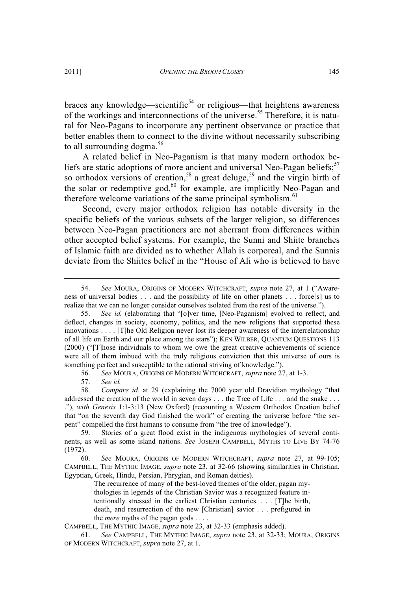braces any knowledge—scientific<sup>54</sup> or religious—that heightens awareness of the workings and interconnections of the universe.<sup>55</sup> Therefore, it is natural for Neo-Pagans to incorporate any pertinent observance or practice that better enables them to connect to the divine without necessarily subscribing to all surrounding dogma.<sup>56</sup>

A related belief in Neo-Paganism is that many modern orthodox beliefs are static adoptions of more ancient and universal Neo-Pagan beliefs:<sup>57</sup> so orthodox versions of creation,<sup>58</sup> a great deluge,<sup>59</sup> and the virgin birth of the solar or redemptive god, $60$  for example, are implicitly Neo-Pagan and therefore welcome variations of the same principal symbolism.<sup>61</sup>

Second, every major orthodox religion has notable diversity in the specific beliefs of the various subsets of the larger religion, so differences between Neo-Pagan practitioners are not aberrant from differences within other accepted belief systems. For example, the Sunni and Shiite branches of Islamic faith are divided as to whether Allah is corporeal, and the Sunnis deviate from the Shiites belief in the "House of Ali who is believed to have

56. *See* MOURA, ORIGINS OF MODERN WITCHCRAFT, *supra* note 27, at 1-3.

57. *See id.*

58. *Compare id.* at 29 (explaining the 7000 year old Dravidian mythology "that addressed the creation of the world in seven days . . . the Tree of Life . . . and the snake . . . ."), *with Genesis* 1:1-3:13 (New Oxford) (recounting a Western Orthodox Creation belief that "on the seventh day God finished the work" of creating the universe before "the serpent" compelled the first humans to consume from "the tree of knowledge").

59. Stories of a great flood exist in the indigenous mythologies of several continents, as well as some island nations. *See* JOSEPH CAMPBELL, MYTHS TO LIVE BY 74-76 (1972).

60. *See* MOURA, ORIGINS OF MODERN WITCHCRAFT, *supra* note 27, at 99-105; CAMPBELL, THE MYTHIC IMAGE, *supra* note 23, at 32-66 (showing similarities in Christian, Egyptian, Greek, Hindu, Persian, Phrygian, and Roman deities).

> The recurrence of many of the best-loved themes of the older, pagan mythologies in legends of the Christian Savior was a recognized feature intentionally stressed in the earliest Christian centuries. . . . [T]he birth, death, and resurrection of the new [Christian] savior . . . prefigured in the *mere* myths of the pagan gods . . . .

CAMPBELL, THE MYTHIC IMAGE, *supra* note 23, at 32-33 (emphasis added).

61. *See* CAMPBELL, THE MYTHIC IMAGE, *supra* note 23, at 32-33; MOURA, ORIGINS OF MODERN WITCHCRAFT, *supra* note 27, at 1.

<sup>54.</sup> *See* MOURA, ORIGINS OF MODERN WITCHCRAFT, *supra* note 27, at 1 ("Awareness of universal bodies . . . and the possibility of life on other planets . . . force[s] us to realize that we can no longer consider ourselves isolated from the rest of the universe.").

<sup>55.</sup> *See id.* (elaborating that "[o]ver time, [Neo-Paganism] evolved to reflect, and deflect, changes in society, economy, politics, and the new religions that supported these innovations . . . . [T]he Old Religion never lost its deeper awareness of the interrelationship of all life on Earth and our place among the stars"); KEN WILBER, QUANTUM QUESTIONS 113 (2000) ("[T]hose individuals to whom we owe the great creative achievements of science were all of them imbued with the truly religious conviction that this universe of ours is something perfect and susceptible to the rational striving of knowledge.").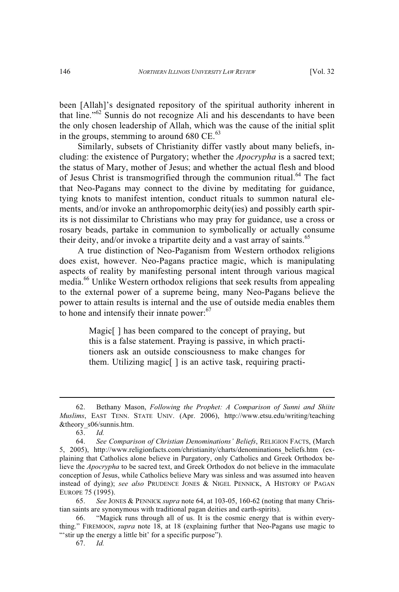been [Allah]'s designated repository of the spiritual authority inherent in that line." <sup>62</sup> Sunnis do not recognize Ali and his descendants to have been the only chosen leadership of Allah, which was the cause of the initial split in the groups, stemming to around  $680 \text{ CE.}^{63}$ 

Similarly, subsets of Christianity differ vastly about many beliefs, including: the existence of Purgatory; whether the *Apocrypha* is a sacred text; the status of Mary, mother of Jesus; and whether the actual flesh and blood of Jesus Christ is transmogrified through the communion ritual.<sup>64</sup> The fact that Neo-Pagans may connect to the divine by meditating for guidance, tying knots to manifest intention, conduct rituals to summon natural elements, and/or invoke an anthropomorphic deity(ies) and possibly earth spirits is not dissimilar to Christians who may pray for guidance, use a cross or rosary beads, partake in communion to symbolically or actually consume their deity, and/or invoke a tripartite deity and a vast array of saints.<sup>65</sup>

A true distinction of Neo-Paganism from Western orthodox religions does exist, however. Neo-Pagans practice magic, which is manipulating aspects of reality by manifesting personal intent through various magical media.<sup>66</sup> Unlike Western orthodox religions that seek results from appealing to the external power of a supreme being, many Neo-Pagans believe the power to attain results is internal and the use of outside media enables them to hone and intensify their innate power:<sup>67</sup>

> Magic<sup>[]</sup> has been compared to the concept of praying, but this is a false statement. Praying is passive, in which practitioners ask an outside consciousness to make changes for them. Utilizing magic[ ] is an active task, requiring practi-

<sup>62.</sup> Bethany Mason, *Following the Prophet: A Comparison of Sunni and Shiite Muslims*, EAST TENN. STATE UNIV. (Apr. 2006), http://www.etsu.edu/writing/teaching &theory\_s06/sunnis.htm.

<sup>63.</sup> *Id.*

<sup>64.</sup> *See Comparison of Christian Denominations' Beliefs*, RELIGION FACTS, (March 5, 2005), http://www.religionfacts.com/christianity/charts/denominations\_beliefs.htm (explaining that Catholics alone believe in Purgatory, only Catholics and Greek Orthodox believe the *Apocrypha* to be sacred text, and Greek Orthodox do not believe in the immaculate conception of Jesus, while Catholics believe Mary was sinless and was assumed into heaven instead of dying); *see also* PRUDENCE JONES & NIGEL PENNICK, A HISTORY OF PAGAN EUROPE 75 (1995).

<sup>65.</sup> *See* JONES & PENNICK *supra* note 64, at 103-05, 160-62 (noting that many Christian saints are synonymous with traditional pagan deities and earth-spirits).

<sup>66.</sup> "Magick runs through all of us. It is the cosmic energy that is within everything." FIREMOON, *supra* note 18, at 18 (explaining further that Neo-Pagans use magic to "'stir up the energy a little bit' for a specific purpose").

<sup>67.</sup> *Id.*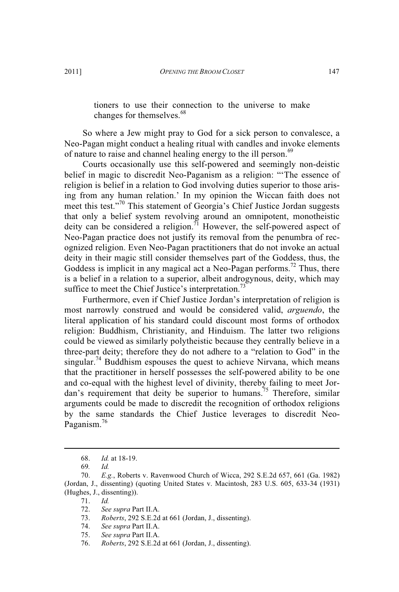tioners to use their connection to the universe to make changes for themselves.<sup>68</sup>

So where a Jew might pray to God for a sick person to convalesce, a Neo-Pagan might conduct a healing ritual with candles and invoke elements of nature to raise and channel healing energy to the ill person.<sup>69</sup>

Courts occasionally use this self-powered and seemingly non-deistic belief in magic to discredit Neo-Paganism as a religion: "'The essence of religion is belief in a relation to God involving duties superior to those arising from any human relation.' In my opinion the Wiccan faith does not meet this test."<sup>70</sup> This statement of Georgia's Chief Justice Jordan suggests that only a belief system revolving around an omnipotent, monotheistic  $\frac{d}{dt}$  deity can be considered a religion.<sup>71</sup> However, the self-powered aspect of Neo-Pagan practice does not justify its removal from the penumbra of recognized religion. Even Neo-Pagan practitioners that do not invoke an actual deity in their magic still consider themselves part of the Goddess, thus, the Goddess is implicit in any magical act a Neo-Pagan performs.<sup>72</sup> Thus, there is a belief in a relation to a superior, albeit androgynous, deity, which may suffice to meet the Chief Justice's interpretation.<sup>73</sup>

Furthermore, even if Chief Justice Jordan's interpretation of religion is most narrowly construed and would be considered valid, *arguendo*, the literal application of his standard could discount most forms of orthodox religion: Buddhism, Christianity, and Hinduism. The latter two religions could be viewed as similarly polytheistic because they centrally believe in a three-part deity; therefore they do not adhere to a "relation to God" in the singular.<sup>74</sup> Buddhism espouses the quest to achieve Nirvana, which means that the practitioner in herself possesses the self-powered ability to be one and co-equal with the highest level of divinity, thereby failing to meet Jordan's requirement that deity be superior to humans.<sup>75</sup> Therefore, similar arguments could be made to discredit the recognition of orthodox religions by the same standards the Chief Justice leverages to discredit Neo-Paganism.<sup>76</sup>

<sup>68.</sup> *Id.* at 18-19.

<sup>69</sup>*. Id.*

<sup>70.</sup> *E.g.*, Roberts v. Ravenwood Church of Wicca, 292 S.E.2d 657, 661 (Ga. 1982) (Jordan, J., dissenting) (quoting United States v. Macintosh, 283 U.S. 605, 633-34 (1931) (Hughes, J., dissenting)).

<sup>71.</sup> *Id.*

<sup>72.</sup> *See supra* Part II.A.

<sup>73.</sup> *Roberts*, 292 S.E.2d at 661 (Jordan, J., dissenting).

<sup>74.</sup> *See supra* Part II.A.

<sup>75.</sup> *See supra* Part II.A.

<sup>76.</sup> *Roberts*, 292 S.E.2d at 661 (Jordan, J., dissenting).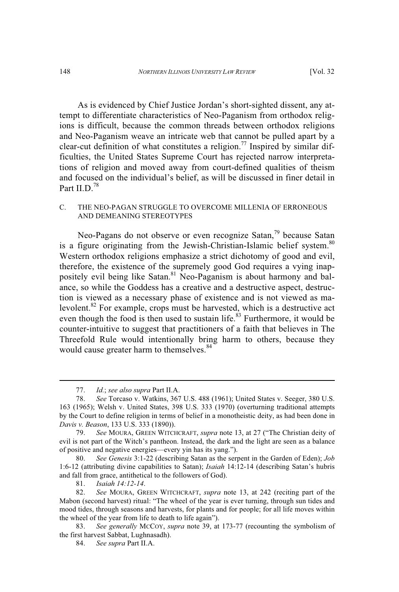As is evidenced by Chief Justice Jordan's short-sighted dissent, any attempt to differentiate characteristics of Neo-Paganism from orthodox religions is difficult, because the common threads between orthodox religions and Neo-Paganism weave an intricate web that cannot be pulled apart by a clear-cut definition of what constitutes a religion.<sup>77</sup> Inspired by similar difficulties, the United States Supreme Court has rejected narrow interpretations of religion and moved away from court-defined qualities of theism and focused on the individual's belief, as will be discussed in finer detail in Part II.D.<sup>78</sup>

## C. THE NEO-PAGAN STRUGGLE TO OVERCOME MILLENIA OF ERRONEOUS AND DEMEANING STEREOTYPES

Neo-Pagans do not observe or even recognize Satan,<sup>79</sup> because Satan is a figure originating from the Jewish-Christian-Islamic belief system.<sup>80</sup> Western orthodox religions emphasize a strict dichotomy of good and evil, therefore, the existence of the supremely good God requires a vying inappositely evil being like Satan.<sup>81</sup> Neo-Paganism is about harmony and balance, so while the Goddess has a creative and a destructive aspect, destruction is viewed as a necessary phase of existence and is not viewed as malevolent.<sup>82</sup> For example, crops must be harvested, which is a destructive act even though the food is then used to sustain life. $83$  Furthermore, it would be counter-intuitive to suggest that practitioners of a faith that believes in The Threefold Rule would intentionally bring harm to others, because they would cause greater harm to themselves.<sup>84</sup>

<sup>77.</sup> *Id.*; *see also supra* Part II.A.

<sup>78.</sup> *See* Torcaso v. Watkins, 367 U.S. 488 (1961); United States v. Seeger, 380 U.S. 163 (1965); Welsh v. United States, 398 U.S. 333 (1970) (overturning traditional attempts by the Court to define religion in terms of belief in a monotheistic deity, as had been done in *Davis v. Beason*, 133 U.S. 333 (1890)).

<sup>79.</sup> *See* MOURA, GREEN WITCHCRAFT, *supra* note 13, at 27 ("The Christian deity of evil is not part of the Witch's pantheon. Instead, the dark and the light are seen as a balance of positive and negative energies—every yin has its yang.").<br>80. See Genesis 3:1-22 (describing Satan as the serr

<sup>80.</sup> *See Genesis* 3:1-22 (describing Satan as the serpent in the Garden of Eden); *Job* 1:6-12 (attributing divine capabilities to Satan); *Isaiah* 14:12-14 (describing Satan's hubris and fall from grace, antithetical to the followers of God).

<sup>81.</sup> *Isaiah 14:12-14*.

<sup>82.</sup> *See* MOURA, GREEN WITCHCRAFT, *supra* note 13, at 242 (reciting part of the Mabon (second harvest) ritual: "The wheel of the year is ever turning, through sun tides and mood tides, through seasons and harvests, for plants and for people; for all life moves within the wheel of the year from life to death to life again").

<sup>83.</sup> *See generally* MCCOY, *supra* note 39, at 173-77 (recounting the symbolism of the first harvest Sabbat, Lughnasadh).

<sup>84.</sup> *See supra* Part II.A.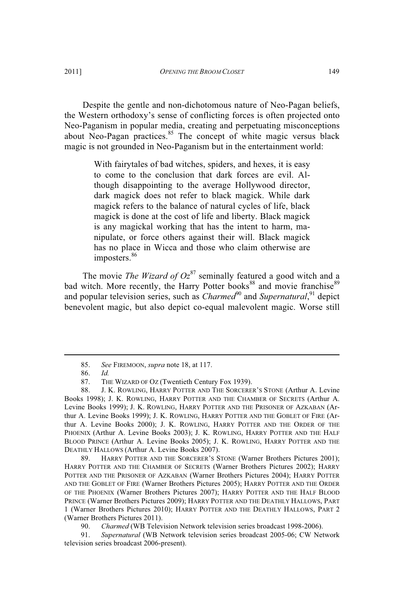Despite the gentle and non-dichotomous nature of Neo-Pagan beliefs, the Western orthodoxy's sense of conflicting forces is often projected onto Neo-Paganism in popular media, creating and perpetuating misconceptions about Neo-Pagan practices. $85$  The concept of white magic versus black magic is not grounded in Neo-Paganism but in the entertainment world:

> With fairytales of bad witches, spiders, and hexes, it is easy to come to the conclusion that dark forces are evil. Although disappointing to the average Hollywood director, dark magick does not refer to black magick. While dark magick refers to the balance of natural cycles of life, black magick is done at the cost of life and liberty. Black magick is any magickal working that has the intent to harm, manipulate, or force others against their will. Black magick has no place in Wicca and those who claim otherwise are imposters.<sup>86</sup>

The movie *The Wizard of Oz*<sup>87</sup> seminally featured a good witch and a bad witch. More recently, the Harry Potter books<sup>88</sup> and movie franchise<sup>89</sup> and popular television series, such as *Charmed*<sup>90</sup> and *Supernatural*,<sup>91</sup> depict benevolent magic, but also depict co-equal malevolent magic. Worse still

89. HARRY POTTER AND THE SORCERER'<sup>S</sup> STONE (Warner Brothers Pictures 2001); HARRY POTTER AND THE CHAMBER OF SECRETS (Warner Brothers Pictures 2002); HARRY POTTER AND THE PRISONER OF AZKABAN (Warner Brothers Pictures 2004); HARRY POTTER AND THE GOBLET OF FIRE (Warner Brothers Pictures 2005); HARRY POTTER AND THE ORDER OF THE PHOENIX (Warner Brothers Pictures 2007); HARRY POTTER AND THE HALF BLOOD PRINCE (Warner Brothers Pictures 2009); HARRY POTTER AND THE DEATHLY HALLOWS, PART 1 (Warner Brothers Pictures 2010); HARRY POTTER AND THE DEATHLY HALLOWS, PART 2 (Warner Brothers Pictures 2011).

90. *Charmed* (WB Television Network television series broadcast 1998-2006).

91. *Supernatural* (WB Network television series broadcast 2005-06; CW Network television series broadcast 2006-present).

<sup>85.</sup> *See* FIREMOON, *supra* note 18, at 117.

<sup>86.</sup> *Id.*

<sup>87.</sup> THE WIZARD OF OZ (Twentieth Century Fox 1939).

<sup>88.</sup> J. K. ROWLING, HARRY POTTER AND THE SORCERER'<sup>S</sup> STONE (Arthur A. Levine Books 1998); J. K. ROWLING, HARRY POTTER AND THE CHAMBER OF SECRETS (Arthur A. Levine Books 1999); J. K. ROWLING, HARRY POTTER AND THE PRISONER OF AZKABAN (Arthur A. Levine Books 1999); J. K. ROWLING, HARRY POTTER AND THE GOBLET OF FIRE (Arthur A. Levine Books 2000); J. K. ROWLING, HARRY POTTER AND THE ORDER OF THE PHOENIX (Arthur A. Levine Books 2003); J. K. ROWLING, HARRY POTTER AND THE HALF BLOOD PRINCE (Arthur A. Levine Books 2005); J. K. ROWLING, HARRY POTTER AND THE DEATHLY HALLOWS (Arthur A. Levine Books 2007).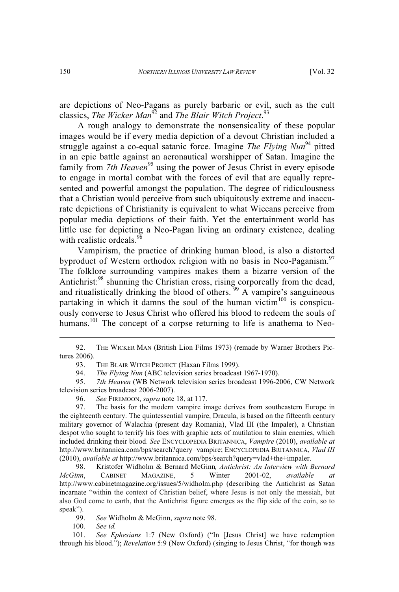are depictions of Neo-Pagans as purely barbaric or evil, such as the cult classics, *The Wicker Man*<sup>92</sup> and *The Blair Witch Project*. 93

A rough analogy to demonstrate the nonsensicality of these popular images would be if every media depiction of a devout Christian included a struggle against a co-equal satanic force. Imagine *The Flying Nun*<sup>94</sup> pitted in an epic battle against an aeronautical worshipper of Satan. Imagine the family from *7th Heaven*<sup>95</sup> using the power of Jesus Christ in every episode to engage in mortal combat with the forces of evil that are equally represented and powerful amongst the population. The degree of ridiculousness that a Christian would perceive from such ubiquitously extreme and inaccurate depictions of Christianity is equivalent to what Wiccans perceive from popular media depictions of their faith. Yet the entertainment world has little use for depicting a Neo-Pagan living an ordinary existence, dealing with realistic ordeals.<sup>96</sup>

Vampirism, the practice of drinking human blood, is also a distorted byproduct of Western orthodox religion with no basis in Neo-Paganism.<sup>97</sup> The folklore surrounding vampires makes them a bizarre version of the Antichrist:<sup>98</sup> shunning the Christian cross, rising corporeally from the dead, and ritualistically drinking the blood of others.<sup>99</sup> A vampire's sanguineous partaking in which it damns the soul of the human victim $100$  is conspicuously converse to Jesus Christ who offered his blood to redeem the souls of humans.<sup>101</sup> The concept of a corpse returning to life is anathema to Neo-

96. *See* FIREMOON, *supra* note 18, at 117.

97. The basis for the modern vampire image derives from southeastern Europe in the eighteenth century. The quintessential vampire, Dracula, is based on the fifteenth century military governor of Walachia (present day Romania), Vlad III (the Impaler), a Christian despot who sought to terrify his foes with graphic acts of mutilation to slain enemies, which included drinking their blood. *See* ENCYCLOPEDIA BRITANNICA, *Vampire* (2010), *available at* http://www.britannica.com/bps/search?query=vampire; ENCYCLOPEDIA BRITANNICA, *Vlad III* (2010), *available at* http://www.britannica.com/bps/search?query=vlad+the+impaler.

98. Kristofer Widholm & Bernard McGinn*, Antichrist: An Interview with Bernard McGinn*, CABINET MAGAZINE, 5 Winter 2001-02, *available at* http://www.cabinetmagazine.org/issues/5/widholm.php (describing the Antichrist as Satan incarnate "within the context of Christian belief, where Jesus is not only the messiah, but also God come to earth, that the Antichrist figure emerges as the flip side of the coin, so to speak").

99. *See* Widholm & McGinn, *supra* note 98.

100. *See id.*

101. *See Ephesians* 1:7 (New Oxford) ("In [Jesus Christ] we have redemption through his blood."); *Revelation* 5:9 (New Oxford) (singing to Jesus Christ, "for though was

<sup>92.</sup> THE WICKER MAN (British Lion Films 1973) (remade by Warner Brothers Pictures 2006).

<sup>93.</sup> THE BLAIR WITCH PROJECT (Haxan Films 1999).

<sup>94.</sup> *The Flying Nun* (ABC television series broadcast 1967-1970).

<sup>95.</sup> *7th Heaven* (WB Network television series broadcast 1996-2006, CW Network television series broadcast 2006-2007).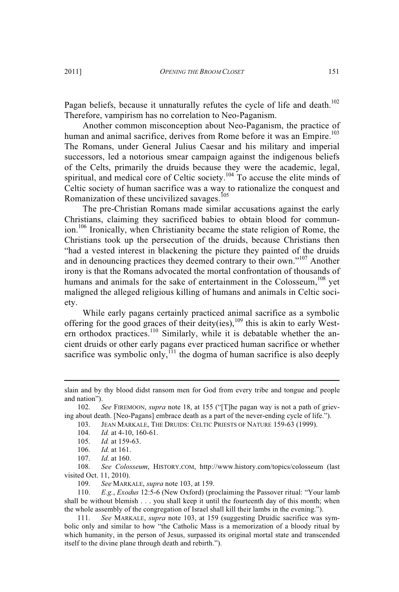Pagan beliefs, because it unnaturally refutes the cycle of life and death.<sup>102</sup> Therefore, vampirism has no correlation to Neo-Paganism.

Another common misconception about Neo-Paganism, the practice of human and animal sacrifice, derives from Rome before it was an Empire.<sup>103</sup> The Romans, under General Julius Caesar and his military and imperial successors, led a notorious smear campaign against the indigenous beliefs of the Celts, primarily the druids because they were the academic, legal, spiritual, and medical core of Celtic society.<sup>104</sup> To accuse the elite minds of Celtic society of human sacrifice was a way to rationalize the conquest and Romanization of these uncivilized savages.<sup>105</sup>

The pre-Christian Romans made similar accusations against the early Christians, claiming they sacrificed babies to obtain blood for communion.<sup>106</sup> Ironically, when Christianity became the state religion of Rome, the Christians took up the persecution of the druids, because Christians then "had a vested interest in blackening the picture they painted of the druids and in denouncing practices they deemed contrary to their own."<sup>107</sup> Another irony is that the Romans advocated the mortal confrontation of thousands of humans and animals for the sake of entertainment in the Colosseum,  $108$  yet maligned the alleged religious killing of humans and animals in Celtic society.

While early pagans certainly practiced animal sacrifice as a symbolic offering for the good graces of their deity(ies),  $109$  this is akin to early Western orthodox practices.<sup>110</sup> Similarly, while it is debatable whether the ancient druids or other early pagans ever practiced human sacrifice or whether sacrifice was symbolic only, $^{111}$  the dogma of human sacrifice is also deeply

slain and by thy blood didst ransom men for God from every tribe and tongue and people and nation").

<sup>102.</sup> *See* FIREMOON, *supra* note 18, at 155 ("[T]he pagan way is not a path of grieving about death. [Neo-Pagans] embrace death as a part of the never-ending cycle of life.").

<sup>103.</sup> JEAN MARKALE, THE DRUIDS: CELTIC PRIESTS OF NATURE 159-63 (1999).

<sup>104.</sup> *Id.* at 4-10, 160-61.

<sup>105.</sup> *Id.* at 159-63.

<sup>106.</sup> *Id.* at 161.

<sup>107.</sup> *Id.* at 160.

<sup>108.</sup> *See Colosseum*, HISTORY.COM, http://www.history.com/topics/colosseum (last visited Oct. 11, 2010).

<sup>109.</sup> *See* MARKALE, *supra* note 103, at 159.

<sup>110.</sup> *E.g.*, *Exodus* 12:5-6 (New Oxford) (proclaiming the Passover ritual: "Your lamb shall be without blemish . . . you shall keep it until the fourteenth day of this month; when the whole assembly of the congregation of Israel shall kill their lambs in the evening.").

<sup>111.</sup> *See* MARKALE, *supra* note 103, at 159 (suggesting Druidic sacrifice was symbolic only and similar to how "the Catholic Mass is a memorization of a bloody ritual by which humanity, in the person of Jesus, surpassed its original mortal state and transcended itself to the divine plane through death and rebirth.").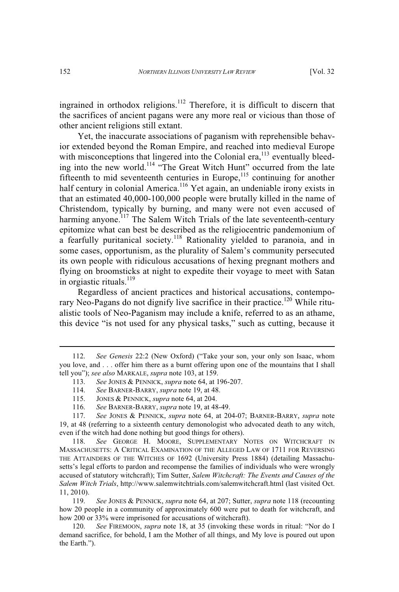ingrained in orthodox religions.<sup>112</sup> Therefore, it is difficult to discern that the sacrifices of ancient pagans were any more real or vicious than those of other ancient religions still extant.

Yet, the inaccurate associations of paganism with reprehensible behavior extended beyond the Roman Empire, and reached into medieval Europe with misconceptions that lingered into the Colonial era, $^{113}$  eventually bleeding into the new world.<sup>114</sup> "The Great Witch Hunt" occurred from the late fifteenth to mid seventeenth centuries in Europe, $115$  continuing for another half century in colonial America.<sup>116</sup> Yet again, an undeniable irony exists in that an estimated 40,000-100,000 people were brutally killed in the name of Christendom, typically by burning, and many were not even accused of harming anyone.<sup>117</sup> The Salem Witch Trials of the late seventeenth-century epitomize what can best be described as the religiocentric pandemonium of a fearfully puritanical society.<sup>118</sup> Rationality yielded to paranoia, and in some cases, opportunism, as the plurality of Salem's community persecuted its own people with ridiculous accusations of hexing pregnant mothers and flying on broomsticks at night to expedite their voyage to meet with Satan in orgiastic rituals.<sup>119</sup>

Regardless of ancient practices and historical accusations, contemporary Neo-Pagans do not dignify live sacrifice in their practice.<sup>120</sup> While ritualistic tools of Neo-Paganism may include a knife, referred to as an athame, this device "is not used for any physical tasks," such as cutting, because it

113. *See* JONES & PENNICK, *supra* note 64, at 196-207.

- 115. JONES & PENNICK, *supra* note 64, at 204.
- 116. *See* BARNER-BARRY, *supra* note 19, at 48-49.

<sup>112.</sup> *See Genesis* 22:2 (New Oxford) ("Take your son, your only son Isaac, whom you love, and . . . offer him there as a burnt offering upon one of the mountains that I shall tell you"); *see also* MARKALE, *supra* note 103, at 159.

<sup>114.</sup> *See* BARNER-BARRY, *supra* note 19, at 48.

<sup>117.</sup> *See* JONES & PENNICK, *supra* note 64, at 204-07; BARNER-BARRY, *supra* note 19, at 48 (referring to a sixteenth century demonologist who advocated death to any witch, even if the witch had done nothing but good things for others).

<sup>118.</sup> *See* GEORGE H. MOORE, SUPPLEMENTARY NOTES ON WITCHCRAFT IN MASSACHUSETTS: A CRITICAL EXAMINATION OF THE ALLEGED LAW OF 1711 FOR REVERSING THE ATTAINDERS OF THE WITCHES OF 1692 (University Press 1884) (detailing Massachusetts's legal efforts to pardon and recompense the families of individuals who were wrongly accused of statutory witchcraft); Tim Sutter, *Salem Witchcraft: The Events and Causes of the Salem Witch Trials*, http://www.salemwitchtrials.com/salemwitchcraft.html (last visited Oct. 11, 2010).

<sup>119.</sup> *See* JONES & PENNICK, *supra* note 64, at 207; Sutter, *supra* note 118 (recounting how 20 people in a community of approximately 600 were put to death for witchcraft, and how 200 or 33% were imprisoned for accusations of witchcraft).

<sup>120.</sup> *See* FIREMOON, *supra* note 18, at 35 (invoking these words in ritual: "Nor do I demand sacrifice, for behold, I am the Mother of all things, and My love is poured out upon the Earth.").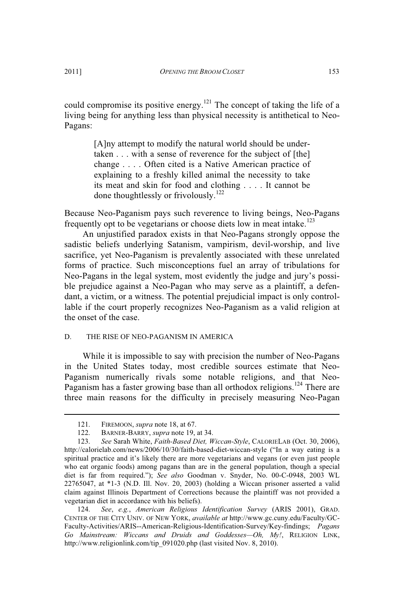could compromise its positive energy.<sup>121</sup> The concept of taking the life of a living being for anything less than physical necessity is antithetical to Neo-Pagans:

> [A]ny attempt to modify the natural world should be undertaken . . . with a sense of reverence for the subject of [the] change . . . . Often cited is a Native American practice of explaining to a freshly killed animal the necessity to take its meat and skin for food and clothing . . . . It cannot be done thoughtlessly or frivolously.<sup>122</sup>

Because Neo-Paganism pays such reverence to living beings, Neo-Pagans frequently opt to be vegetarians or choose diets low in meat intake.<sup>123</sup>

An unjustified paradox exists in that Neo-Pagans strongly oppose the sadistic beliefs underlying Satanism, vampirism, devil-worship, and live sacrifice, yet Neo-Paganism is prevalently associated with these unrelated forms of practice. Such misconceptions fuel an array of tribulations for Neo-Pagans in the legal system, most evidently the judge and jury's possible prejudice against a Neo-Pagan who may serve as a plaintiff, a defendant, a victim, or a witness. The potential prejudicial impact is only controllable if the court properly recognizes Neo-Paganism as a valid religion at the onset of the case.

#### D. THE RISE OF NEO-PAGANISM IN AMERICA

While it is impossible to say with precision the number of Neo-Pagans in the United States today, most credible sources estimate that Neo-Paganism numerically rivals some notable religions, and that Neo-Paganism has a faster growing base than all orthodox religions.<sup>124</sup> There are three main reasons for the difficulty in precisely measuring Neo-Pagan

<sup>121.</sup> FIREMOON, *supra* note 18, at 67.

<sup>122.</sup> BARNER-BARRY, *supra* note 19, at 34.

<sup>123.</sup> *See* Sarah White, *Faith-Based Diet, Wiccan-Style*, CALORIELAB (Oct. 30, 2006), http://calorielab.com/news/2006/10/30/faith-based-diet-wiccan-style ("In a way eating is a spiritual practice and it's likely there are more vegetarians and vegans (or even just people who eat organic foods) among pagans than are in the general population, though a special diet is far from required."); *See also* Goodman v. Snyder, No. 00-C-0948, 2003 WL 22765047, at \*1-3 (N.D. Ill. Nov. 20, 2003) (holding a Wiccan prisoner asserted a valid claim against Illinois Department of Corrections because the plaintiff was not provided a vegetarian diet in accordance with his beliefs).

<sup>124.</sup> *See*, *e.g.*, *American Religious Identification Survey* (ARIS 2001), GRAD. CENTER OF THE CITY UNIV. OF NEW YORK, *available at* http://www.gc.cuny.edu/Faculty/GC-Faculty-Activities/ARIS--American-Religious-Identification-Survey/Key-findings; *Pagans Go Mainstream: Wiccans and Druids and Goddesses—Oh, My!*, RELIGION LINK, http://www.religionlink.com/tip\_091020.php (last visited Nov. 8, 2010).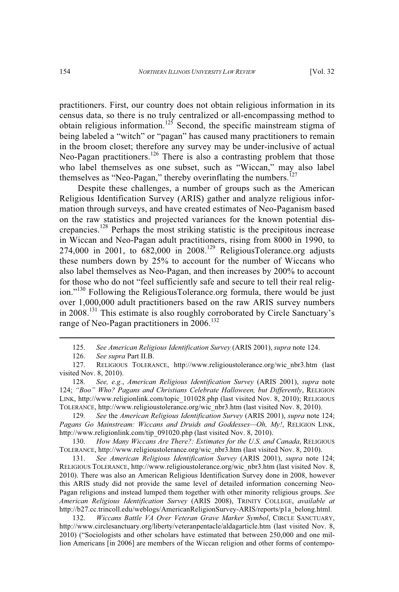practitioners. First, our country does not obtain religious information in its census data, so there is no truly centralized or all-encompassing method to  $\frac{125}{2}$  Second, the specific mainstream stigma of being labeled a "witch" or "pagan" has caused many practitioners to remain in the broom closet; therefore any survey may be under-inclusive of actual Neo-Pagan practitioners.<sup>126</sup> There is also a contrasting problem that those who label themselves as one subset, such as "Wiccan," may also label themselves as "Neo-Pagan," thereby overinflating the numbers.<sup> $127$ </sup>

Despite these challenges, a number of groups such as the American Religious Identification Survey (ARIS) gather and analyze religious information through surveys, and have created estimates of Neo-Paganism based on the raw statistics and projected variances for the known potential discrepancies.<sup>128</sup> Perhaps the most striking statistic is the precipitous increase in Wiccan and Neo-Pagan adult practitioners, rising from 8000 in 1990, to 274,000 in 2001, to  $\overline{682,000}$  in 2008.<sup>129</sup> ReligiousTolerance.org adjusts these numbers down by 25% to account for the number of Wiccans who also label themselves as Neo-Pagan, and then increases by 200% to account for those who do not "feel sufficiently safe and secure to tell their real religion."<sup>130</sup> Following the ReligiousTolerance.org formula, there would be just over 1,000,000 adult practitioners based on the raw ARIS survey numbers in 2008.<sup>131</sup> This estimate is also roughly corroborated by Circle Sanctuary's range of Neo-Pagan practitioners in 2006.<sup>132</sup>

129. *See* the *American Religious Identification Survey* (ARIS 2001), *supra* note 124; *Pagans Go Mainstream: Wiccans and Druids and Goddesses—Oh, My!*, RELIGION LINK, http://www.religionlink.com/tip\_091020.php (last visited Nov. 8, 2010).

130. *How Many Wiccans Are There?: Estimates for the U.S. and Canada*, RELIGIOUS TOLERANCE, http://www.religioustolerance.org/wic\_nbr3.htm (last visited Nov. 8, 2010).

131. *See American Religious Identification Survey* (ARIS 2001), *supra* note 124; RELIGIOUS TOLERANCE, http://www.religioustolerance.org/wic\_nbr3.htm (last visited Nov. 8, 2010). There was also an American Religious Identification Survey done in 2008, however this ARIS study did not provide the same level of detailed information concerning Neo-Pagan religions and instead lumped them together with other minority religious groups. *See American Religious Identification Survey* (ARIS 2008), TRINITY COLLEGE, *available at* http://b27.cc.trincoll.edu/weblogs/AmericanReligionSurvey-ARIS/reports/p1a\_belong.html.

132. *Wiccans Battle VA Over Veteran Grave Marker Symbol*, CIRCLE SANCTUARY, http://www.circlesanctuary.org/liberty/veteranpentacle/aldagarticle.htm (last visited Nov. 8, 2010) ("Sociologists and other scholars have estimated that between 250,000 and one million Americans [in 2006] are members of the Wiccan religion and other forms of contempo-

<sup>125.</sup> *See American Religious Identification Survey* (ARIS 2001), *supra* note 124.

<sup>126.</sup> *See supra* Part II.B.

<sup>127.</sup> RELIGIOUS TOLERANCE, http://www.religioustolerance.org/wic\_nbr3.htm (last visited Nov. 8, 2010).

<sup>128.</sup> *See, e.g.*, *American Religious Identification Survey* (ARIS 2001), *supra* note 124; *"Boo" Who? Pagans and Christians Celebrate Halloween, but Differently*, RELIGION LINK, http://www.religionlink.com/topic\_101028.php (last visited Nov. 8, 2010); RELIGIOUS TOLERANCE, http://www.religioustolerance.org/wic\_nbr3.htm (last visited Nov. 8, 2010).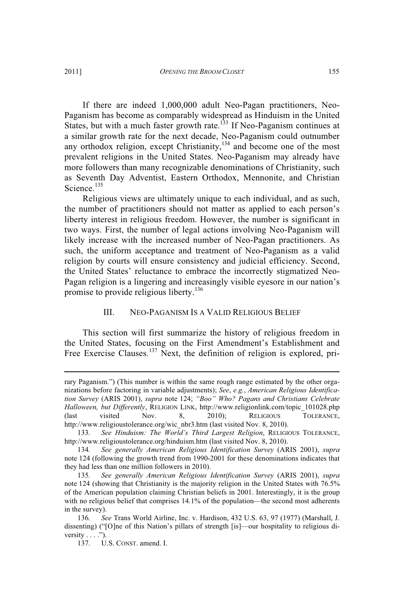If there are indeed 1,000,000 adult Neo-Pagan practitioners, Neo-Paganism has become as comparably widespread as Hinduism in the United States, but with a much faster growth rate.<sup>133</sup> If Neo-Paganism continues at a similar growth rate for the next decade, Neo-Paganism could outnumber any orthodox religion, except Christianity, $134$  and become one of the most prevalent religions in the United States. Neo-Paganism may already have more followers than many recognizable denominations of Christianity, such as Seventh Day Adventist, Eastern Orthodox, Mennonite, and Christian Science.<sup>135</sup>

Religious views are ultimately unique to each individual, and as such, the number of practitioners should not matter as applied to each person's liberty interest in religious freedom. However, the number is significant in two ways. First, the number of legal actions involving Neo-Paganism will likely increase with the increased number of Neo-Pagan practitioners. As such, the uniform acceptance and treatment of Neo-Paganism as a valid religion by courts will ensure consistency and judicial efficiency. Second, the United States' reluctance to embrace the incorrectly stigmatized Neo-Pagan religion is a lingering and increasingly visible eyesore in our nation's promise to provide religious liberty.<sup>136</sup>

#### III. NEO-PAGANISM IS A VALID RELIGIOUS BELIEF

This section will first summarize the history of religious freedom in the United States, focusing on the First Amendment's Establishment and Free Exercise Clauses.<sup>137</sup> Next, the definition of religion is explored, pri-

rary Paganism.") (This number is within the same rough range estimated by the other organizations before factoring in variable adjustments); *See*, *e.g.*, *American Religious Identification Survey* (ARIS 2001), *supra* note 124; *"Boo" Who? Pagans and Christians Celebrate Halloween, but Differently*, RELIGION LINK, http://www.religionlink.com/topic\_101028.php (last visited Nov. 8, 2010); RELIGIOUS TOLERANCE, http://www.religioustolerance.org/wic\_nbr3.htm (last visited Nov. 8, 2010).

<sup>133.</sup> *See Hinduism: The World's Third Largest Religion*, RELIGIOUS TOLERANCE, http://www.religioustolerance.org/hinduism.htm (last visited Nov. 8, 2010).

<sup>134.</sup> *See generally American Religious Identification Survey* (ARIS 2001), *supra* note 124 (following the growth trend from 1990-2001 for these denominations indicates that they had less than one million followers in 2010).

<sup>135.</sup> *See generally American Religious Identification Survey* (ARIS 2001), *supra* note 124 (showing that Christianity is the majority religion in the United States with 76.5% of the American population claiming Christian beliefs in 2001. Interestingly, it is the group with no religious belief that comprises 14.1% of the population—the second most adherents in the survey).

<sup>136.</sup> *See* Trans World Airline, Inc. v. Hardison, 432 U.S. 63, 97 (1977) (Marshall, J. dissenting) ("[O]ne of this Nation's pillars of strength [is]—our hospitality to religious diversity  $\dots$ .").

<sup>137.</sup> U.S. CONST. amend. I.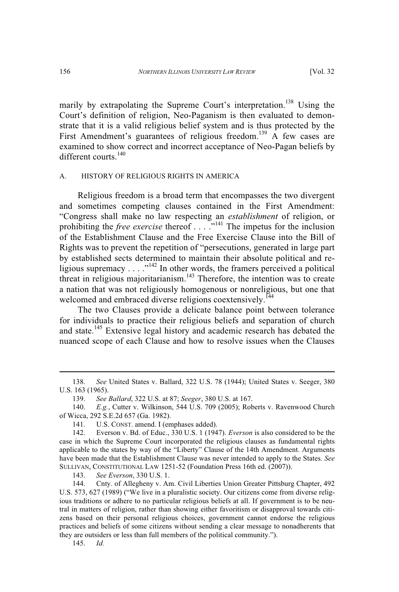marily by extrapolating the Supreme Court's interpretation.<sup>138</sup> Using the Court's definition of religion, Neo-Paganism is then evaluated to demonstrate that it is a valid religious belief system and is thus protected by the First Amendment's guarantees of religious freedom.<sup>139</sup> A few cases are examined to show correct and incorrect acceptance of Neo-Pagan beliefs by different courts.<sup>140</sup>

#### A. HISTORY OF RELIGIOUS RIGHTS IN AMERICA

Religious freedom is a broad term that encompasses the two divergent and sometimes competing clauses contained in the First Amendment: "Congress shall make no law respecting an *establishment* of religion, or prohibiting the *free exercise* thereof . . . .<sup>"141</sup> The impetus for the inclusion of the Establishment Clause and the Free Exercise Clause into the Bill of Rights was to prevent the repetition of "persecutions, generated in large part by established sects determined to maintain their absolute political and religious supremacy  $\dots$ ."<sup>142</sup> In other words, the framers perceived a political threat in religious majoritarianism.<sup>143</sup> Therefore, the intention was to create a nation that was not religiously homogenous or nonreligious, but one that welcomed and embraced diverse religions coextensively.<sup>144</sup>

The two Clauses provide a delicate balance point between tolerance for individuals to practice their religious beliefs and separation of church and state.<sup>145</sup> Extensive legal history and academic research has debated the nuanced scope of each Clause and how to resolve issues when the Clauses

143. *See Everson*, 330 U.S. 1.

144. Cnty. of Allegheny v. Am. Civil Liberties Union Greater Pittsburg Chapter, 492 U.S. 573, 627 (1989) ("We live in a pluralistic society. Our citizens come from diverse religious traditions or adhere to no particular religious beliefs at all. If government is to be neutral in matters of religion, rather than showing either favoritism or disapproval towards citizens based on their personal religious choices, government cannot endorse the religious practices and beliefs of some citizens without sending a clear message to nonadherents that they are outsiders or less than full members of the political community.").

145. *Id.*

<sup>138.</sup> *See* United States v. Ballard, 322 U.S. 78 (1944); United States v. Seeger, 380 U.S. 163 (1965).

<sup>139.</sup> *See Ballard*, 322 U.S. at 87; *Seeger*, 380 U.S. at 167.

<sup>140.</sup> *E.g.*, Cutter v. Wilkinson, 544 U.S. 709 (2005); Roberts v. Ravenwood Church of Wicca, 292 S.E.2d 657 (Ga. 1982).

<sup>141.</sup> U.S. CONST. amend. I (emphases added).

<sup>142.</sup> Everson v. Bd. of Educ., 330 U.S. 1 (1947). *Everson* is also considered to be the case in which the Supreme Court incorporated the religious clauses as fundamental rights applicable to the states by way of the "Liberty" Clause of the 14th Amendment. Arguments have been made that the Establishment Clause was never intended to apply to the States. *See* SULLIVAN, CONSTITUTIONAL LAW 1251-52 (Foundation Press 16th ed. (2007)).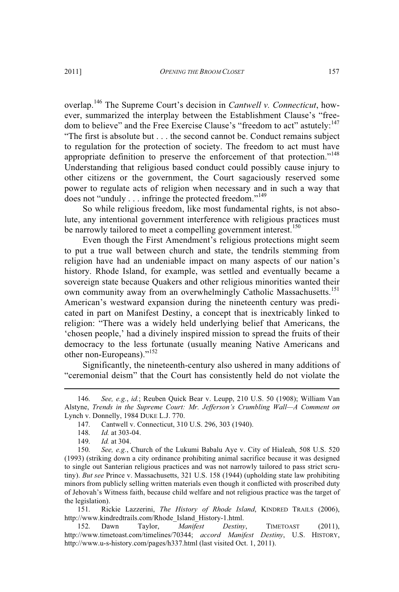overlap.<sup>146</sup> The Supreme Court's decision in *Cantwell v. Connecticut*, however, summarized the interplay between the Establishment Clause's "freedom to believe" and the Free Exercise Clause's "freedom to act" astutely:<sup>147</sup> "The first is absolute but . . . the second cannot be. Conduct remains subject to regulation for the protection of society. The freedom to act must have appropriate definition to preserve the enforcement of that protection."<sup>148</sup> Understanding that religious based conduct could possibly cause injury to other citizens or the government, the Court sagaciously reserved some power to regulate acts of religion when necessary and in such a way that does not "unduly . . . infringe the protected freedom."<sup>149</sup>

So while religious freedom, like most fundamental rights, is not absolute, any intentional government interference with religious practices must be narrowly tailored to meet a compelling government interest.<sup>150</sup>

Even though the First Amendment's religious protections might seem to put a true wall between church and state, the tendrils stemming from religion have had an undeniable impact on many aspects of our nation's history. Rhode Island, for example, was settled and eventually became a sovereign state because Quakers and other religious minorities wanted their own community away from an overwhelmingly Catholic Massachusetts.<sup>151</sup> American's westward expansion during the nineteenth century was predicated in part on Manifest Destiny, a concept that is inextricably linked to religion: "There was a widely held underlying belief that Americans, the 'chosen people,' had a divinely inspired mission to spread the fruits of their democracy to the less fortunate (usually meaning Native Americans and other non-Europeans)."<sup>152</sup>

Significantly, the nineteenth-century also ushered in many additions of "ceremonial deism" that the Court has consistently held do not violate the

151. Rickie Lazzerini, *The History of Rhode Island*, KINDRED TRAILS (2006), http://www.kindredtrails.com/Rhode\_Island\_History-1.html.

<sup>146.</sup> *See, e.g.*, *id.*; Reuben Quick Bear v. Leupp, 210 U.S. 50 (1908); William Van Alstyne, *Trends in the Supreme Court: Mr. Jefferson's Crumbling Wall—A Comment on* Lynch v. Donnelly, 1984 DUKE L.J. 770.

<sup>147.</sup> Cantwell v. Connecticut, 310 U.S. 296, 303 (1940).

<sup>148.</sup> *Id.* at 303-04.<br>149. *Id.* at 304.

*Id.* at 304.

<sup>150.</sup> *See, e.g.*, Church of the Lukumi Babalu Aye v. City of Hialeah, 508 U.S. 520 (1993) (striking down a city ordinance prohibiting animal sacrifice because it was designed to single out Santerian religious practices and was not narrowly tailored to pass strict scrutiny). *But see* Prince v. Massachusetts, 321 U.S. 158 (1944) (upholding state law prohibiting minors from publicly selling written materials even though it conflicted with proscribed duty of Jehovah's Witness faith, because child welfare and not religious practice was the target of the legislation).

<sup>152.</sup> Dawn Taylor, *Manifest Destiny*, TIMETOAST (2011), http://www.timetoast.com/timelines/70344; *accord Manifest Destiny*, U.S. HISTORY, http://www.u-s-history.com/pages/h337.html (last visited Oct. 1, 2011).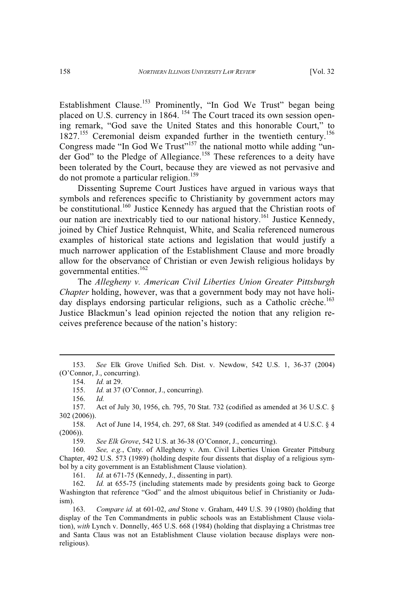Establishment Clause.<sup>153</sup> Prominently, "In God We Trust" began being placed on U.S. currency in 1864. <sup>154</sup> The Court traced its own session opening remark, "God save the United States and this honorable Court," to  $1827<sup>155</sup>$  Ceremonial deism expanded further in the twentieth century.<sup>156</sup> Congress made "In God We Trust"<sup>157</sup> the national motto while adding "under God" to the Pledge of Allegiance.<sup>158</sup> These references to a deity have been tolerated by the Court, because they are viewed as not pervasive and do not promote a particular religion.<sup>159</sup>

Dissenting Supreme Court Justices have argued in various ways that symbols and references specific to Christianity by government actors may be constitutional.<sup>160</sup> Justice Kennedy has argued that the Christian roots of our nation are inextricably tied to our national history.<sup>161</sup> Justice Kennedy, joined by Chief Justice Rehnquist, White, and Scalia referenced numerous examples of historical state actions and legislation that would justify a much narrower application of the Establishment Clause and more broadly allow for the observance of Christian or even Jewish religious holidays by governmental entities.<sup>162</sup>

The *Allegheny v. American Civil Liberties Union Greater Pittsburgh Chapter* holding, however, was that a government body may not have holiday displays endorsing particular religions, such as a Catholic crèche.<sup>163</sup> Justice Blackmun's lead opinion rejected the notion that any religion receives preference because of the nation's history:

155. *Id.* at 37 (O'Connor, J., concurring).

156. *Id.*

158. Act of June 14, 1954, ch. 297, 68 Stat. 349 (codified as amended at 4 U.S.C. § 4 (2006)).

159. *See Elk Grove*, 542 U.S. at 36-38 (O'Connor, J., concurring).

160. *See, e.g.*, Cnty. of Allegheny v. Am. Civil Liberties Union Greater Pittsburg Chapter, 492 U.S. 573 (1989) (holding despite four dissents that display of a religious symbol by a city government is an Establishment Clause violation).

161. *Id.* at 671-75 (Kennedy, J., dissenting in part).

162. *Id.* at 655-75 (including statements made by presidents going back to George Washington that reference "God" and the almost ubiquitous belief in Christianity or Judaism).

163. *Compare id.* at 601-02, *and* Stone v. Graham, 449 U.S. 39 (1980) (holding that display of the Ten Commandments in public schools was an Establishment Clause violation), *with* Lynch v. Donnelly, 465 U.S. 668 (1984) (holding that displaying a Christmas tree and Santa Claus was not an Establishment Clause violation because displays were nonreligious).

<sup>153.</sup> *See* Elk Grove Unified Sch. Dist. v. Newdow, 542 U.S. 1, 36-37 (2004) (O'Connor, J., concurring).

<sup>154.</sup> *Id.* at 29.

<sup>157.</sup> Act of July 30, 1956, ch. 795, 70 Stat. 732 (codified as amended at 36 U.S.C. § 302 (2006)).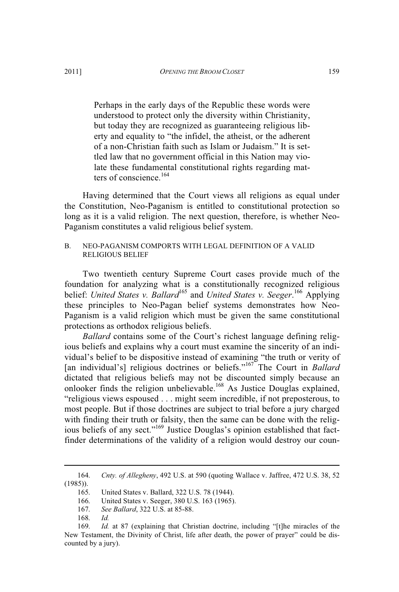Perhaps in the early days of the Republic these words were understood to protect only the diversity within Christianity, but today they are recognized as guaranteeing religious liberty and equality to "the infidel, the atheist, or the adherent of a non-Christian faith such as Islam or Judaism." It is settled law that no government official in this Nation may violate these fundamental constitutional rights regarding matters of conscience.<sup>164</sup>

Having determined that the Court views all religions as equal under the Constitution, Neo-Paganism is entitled to constitutional protection so long as it is a valid religion. The next question, therefore, is whether Neo-Paganism constitutes a valid religious belief system.

## B. NEO-PAGANISM COMPORTS WITH LEGAL DEFINITION OF A VALID RELIGIOUS BELIEF

Two twentieth century Supreme Court cases provide much of the foundation for analyzing what is a constitutionally recognized religious belief: *United States v. Ballard*<sup>165</sup> and *United States v. Seeger*.<sup>166</sup> Applying these principles to Neo-Pagan belief systems demonstrates how Neo-Paganism is a valid religion which must be given the same constitutional protections as orthodox religious beliefs.

*Ballard* contains some of the Court's richest language defining religious beliefs and explains why a court must examine the sincerity of an individual's belief to be dispositive instead of examining "the truth or verity of [an individual's] religious doctrines or beliefs." <sup>167</sup> The Court in *Ballard* dictated that religious beliefs may not be discounted simply because an onlooker finds the religion unbelievable.<sup>168</sup> As Justice Douglas explained, "religious views espoused . . . might seem incredible, if not preposterous, to most people. But if those doctrines are subject to trial before a jury charged with finding their truth or falsity, then the same can be done with the religious beliefs of any sect."<sup>169</sup> Justice Douglas's opinion established that factfinder determinations of the validity of a religion would destroy our coun-

<sup>164.</sup> *Cnty. of Allegheny*, 492 U.S. at 590 (quoting Wallace v. Jaffree, 472 U.S. 38, 52  $(1985)$ ).<br>165.

United States v. Ballard, 322 U.S. 78 (1944).

<sup>166.</sup> United States v. Seeger, 380 U.S. 163 (1965).

<sup>167.</sup> *See Ballard*, 322 U.S. at 85-88.

<sup>168.</sup> *Id.*

<sup>169.</sup> *Id.* at 87 (explaining that Christian doctrine, including "[t]he miracles of the New Testament, the Divinity of Christ, life after death, the power of prayer" could be discounted by a jury).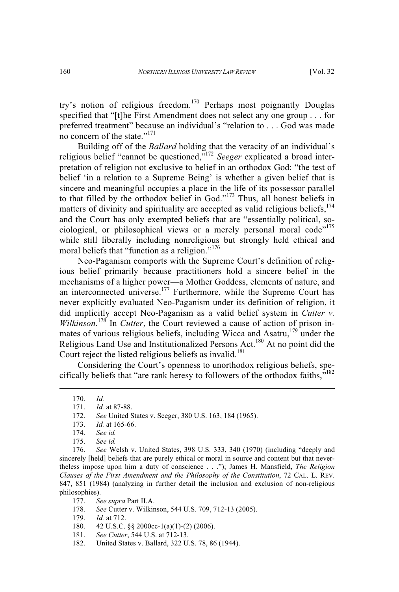try's notion of religious freedom.<sup>170</sup> Perhaps most poignantly Douglas specified that "[t]he First Amendment does not select any one group . . . for preferred treatment" because an individual's "relation to . . . God was made no concern of the state."<sup>171</sup>

Building off of the *Ballard* holding that the veracity of an individual's religious belief "cannot be questioned," <sup>172</sup> *Seeger* explicated a broad interpretation of religion not exclusive to belief in an orthodox God: "the test of belief 'in a relation to a Supreme Being' is whether a given belief that is sincere and meaningful occupies a place in the life of its possessor parallel to that filled by the orthodox belief in God." <sup>173</sup> Thus, all honest beliefs in matters of divinity and spirituality are accepted as valid religious beliefs,  $174$ and the Court has only exempted beliefs that are "essentially political, sociological, or philosophical views or a merely personal moral code"<sup>175</sup> while still liberally including nonreligious but strongly held ethical and moral beliefs that "function as a religion."<sup>176</sup>

Neo-Paganism comports with the Supreme Court's definition of religious belief primarily because practitioners hold a sincere belief in the mechanisms of a higher power—a Mother Goddess, elements of nature, and an interconnected universe.<sup>177</sup> Furthermore, while the Supreme Court has never explicitly evaluated Neo-Paganism under its definition of religion, it did implicitly accept Neo-Paganism as a valid belief system in *Cutter v. Wilkinson*. <sup>178</sup> In *Cutter*, the Court reviewed a cause of action of prison inmates of various religious beliefs, including Wicca and Asatru,<sup>179</sup> under the Religious Land Use and Institutionalized Persons Act.<sup>180</sup> At no point did the Court reject the listed religious beliefs as invalid.<sup>181</sup>

Considering the Court's openness to unorthodox religious beliefs, specifically beliefs that "are rank heresy to followers of the orthodox faiths,"<sup>182</sup>

178. *See* Cutter v. Wilkinson, 544 U.S. 709, 712-13 (2005).

- 181. *See Cutter*, 544 U.S. at 712-13.
- 182. United States v. Ballard, 322 U.S. 78, 86 (1944).

<sup>170.</sup> *Id.*

<sup>171.</sup> *Id.* at 87-88.

<sup>172.</sup> *See* United States v. Seeger, 380 U.S. 163, 184 (1965).

<sup>173.</sup> *Id.* at 165-66.

<sup>174.</sup> *See id.*

See *id.* 

<sup>176.</sup> *See* Welsh v. United States, 398 U.S. 333, 340 (1970) (including "deeply and sincerely [held] beliefs that are purely ethical or moral in source and content but that nevertheless impose upon him a duty of conscience . . ."); James H. Mansfield, *The Religion Clauses of the First Amendment and the Philosophy of the Constitution*, 72 CAL. L. REV. 847, 851 (1984) (analyzing in further detail the inclusion and exclusion of non-religious philosophies).

<sup>177.</sup> *See supra* Part II.A.

<sup>179.</sup> *Id.* at 712.

<sup>180. 42</sup> U.S.C. §§ 2000cc-1(a)(1)-(2) (2006).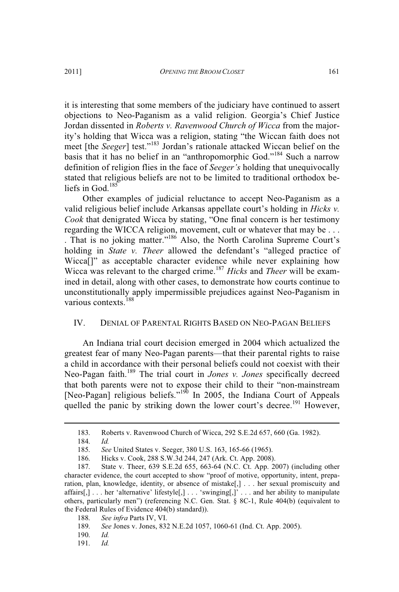it is interesting that some members of the judiciary have continued to assert objections to Neo-Paganism as a valid religion. Georgia's Chief Justice Jordan dissented in *Roberts v. Ravenwood Church of Wicca* from the majority's holding that Wicca was a religion, stating "the Wiccan faith does not meet [the *Seeger*] test." <sup>183</sup> Jordan's rationale attacked Wiccan belief on the basis that it has no belief in an "anthropomorphic God."<sup>184</sup> Such a narrow definition of religion flies in the face of *Seeger's* holding that unequivocally stated that religious beliefs are not to be limited to traditional orthodox beliefs in God.<sup>185</sup>

Other examples of judicial reluctance to accept Neo-Paganism as a valid religious belief include Arkansas appellate court's holding in *Hicks v. Cook* that denigrated Wicca by stating, "One final concern is her testimony regarding the WICCA religion, movement, cult or whatever that may be . . . . That is no joking matter." <sup>186</sup> Also, the North Carolina Supreme Court's holding in *State v. Theer* allowed the defendant's "alleged practice of Wicca<sup>[]"</sup> as acceptable character evidence while never explaining how Wicca was relevant to the charged crime. <sup>187</sup> *Hicks* and *Theer* will be examined in detail, along with other cases, to demonstrate how courts continue to unconstitutionally apply impermissible prejudices against Neo-Paganism in various contexts.<sup>188</sup>

# IV. DENIAL OF PARENTAL RIGHTS BASED ON NEO-PAGAN BELIEFS

An Indiana trial court decision emerged in 2004 which actualized the greatest fear of many Neo-Pagan parents—that their parental rights to raise a child in accordance with their personal beliefs could not coexist with their Neo-Pagan faith.<sup>189</sup> The trial court in *Jones v. Jones* specifically decreed that both parents were not to expose their child to their "non-mainstream [Neo-Pagan] religious beliefs."<sup>190</sup> In 2005, the Indiana Court of Appeals quelled the panic by striking down the lower court's decree.<sup>191</sup> However,

188. *See infra* Parts IV, VI.

- 190. *Id.*
- 191. *Id.*

<sup>183.</sup> Roberts v. Ravenwood Church of Wicca, 292 S.E.2d 657, 660 (Ga. 1982).

<sup>184.</sup> *Id.*

<sup>185.</sup> *See* United States v. Seeger, 380 U.S. 163, 165-66 (1965).

<sup>186.</sup> Hicks v. Cook, 288 S.W.3d 244, 247 (Ark. Ct. App. 2008).

<sup>187.</sup> State v. Theer, 639 S.E.2d 655, 663-64 (N.C. Ct. App. 2007) (including other character evidence, the court accepted to show "proof of motive, opportunity, intent, preparation, plan, knowledge, identity, or absence of mistake[,] . . . her sexual promiscuity and affairs[,] . . . her 'alternative' lifestyle[,] . . . 'swinging[,]' . . . and her ability to manipulate others, particularly men") (referencing N.C. Gen. Stat. § 8C-1, Rule 404(b) (equivalent to the Federal Rules of Evidence 404(b) standard)).

<sup>189.</sup> *See* Jones v. Jones, 832 N.E.2d 1057, 1060-61 (Ind. Ct. App. 2005).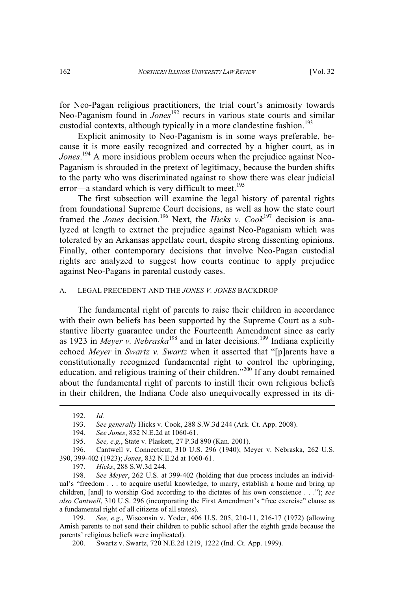for Neo-Pagan religious practitioners, the trial court's animosity towards Neo-Paganism found in *Jones*<sup>192</sup> recurs in various state courts and similar custodial contexts, although typically in a more clandestine fashion.<sup>193</sup>

Explicit animosity to Neo-Paganism is in some ways preferable, because it is more easily recognized and corrected by a higher court, as in *Jones*. <sup>194</sup> A more insidious problem occurs when the prejudice against Neo-Paganism is shrouded in the pretext of legitimacy, because the burden shifts to the party who was discriminated against to show there was clear judicial error—a standard which is very difficult to meet.<sup>195</sup>

The first subsection will examine the legal history of parental rights from foundational Supreme Court decisions, as well as how the state court framed the *Jones* decision.<sup>196</sup> Next, the *Hicks v. Cook*<sup>197</sup> decision is analyzed at length to extract the prejudice against Neo-Paganism which was tolerated by an Arkansas appellate court, despite strong dissenting opinions. Finally, other contemporary decisions that involve Neo-Pagan custodial rights are analyzed to suggest how courts continue to apply prejudice against Neo-Pagans in parental custody cases.

#### A. LEGAL PRECEDENT AND THE *JONES V. JONES* BACKDROP

The fundamental right of parents to raise their children in accordance with their own beliefs has been supported by the Supreme Court as a substantive liberty guarantee under the Fourteenth Amendment since as early as 1923 in *Meyer v. Nebraska*<sup>198</sup> and in later decisions.<sup>199</sup> Indiana explicitly echoed *Meyer* in *Swartz v. Swartz* when it asserted that "[p]arents have a constitutionally recognized fundamental right to control the upbringing, education, and religious training of their children."<sup>200</sup> If any doubt remained about the fundamental right of parents to instill their own religious beliefs in their children, the Indiana Code also unequivocally expressed in its di-

197. *Hicks*, 288 S.W.3d 244.

198. *See Meyer*, 262 U.S. at 399-402 (holding that due process includes an individual's "freedom . . . to acquire useful knowledge, to marry, establish a home and bring up children, [and] to worship God according to the dictates of his own conscience . . ."); *see also Cantwell*, 310 U.S. 296 (incorporating the First Amendment's "free exercise" clause as a fundamental right of all citizens of all states).

199. *See, e.g.*, Wisconsin v. Yoder, 406 U.S. 205, 210-11, 216-17 (1972) (allowing Amish parents to not send their children to public school after the eighth grade because the parents' religious beliefs were implicated).

200. Swartz v. Swartz, 720 N.E.2d 1219, 1222 (Ind. Ct. App. 1999).

<sup>192.</sup> *Id.*

<sup>193.</sup> *See generally* Hicks v. Cook, 288 S.W.3d 244 (Ark. Ct. App. 2008).

<sup>194.</sup> *See Jones*, 832 N.E.2d at 1060-61.

See, e.g., State v. Plaskett, 27 P.3d 890 (Kan. 2001).

<sup>196.</sup> Cantwell v. Connecticut, 310 U.S. 296 (1940); Meyer v. Nebraska, 262 U.S. 390, 399-402 (1923); *Jones*, 832 N.E.2d at 1060-61.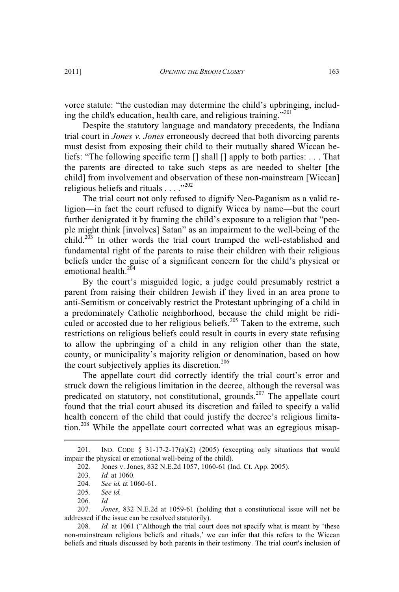vorce statute: "the custodian may determine the child's upbringing, including the child's education, health care, and religious training."<sup>201</sup>

Despite the statutory language and mandatory precedents, the Indiana trial court in *Jones v. Jones* erroneously decreed that both divorcing parents must desist from exposing their child to their mutually shared Wiccan beliefs: "The following specific term [] shall [] apply to both parties: . . . That the parents are directed to take such steps as are needed to shelter [the child] from involvement and observation of these non-mainstream [Wiccan] religious beliefs and rituals  $\ldots$ ."<sup>202</sup>

The trial court not only refused to dignify Neo-Paganism as a valid religion—in fact the court refused to dignify Wicca by name—but the court further denigrated it by framing the child's exposure to a religion that "people might think [involves] Satan" as an impairment to the well-being of the child.<sup>203</sup> In other words the trial court trumped the well-established and fundamental right of the parents to raise their children with their religious beliefs under the guise of a significant concern for the child's physical or emotional health.<sup>204</sup>

By the court's misguided logic, a judge could presumably restrict a parent from raising their children Jewish if they lived in an area prone to anti-Semitism or conceivably restrict the Protestant upbringing of a child in a predominately Catholic neighborhood, because the child might be ridiculed or accosted due to her religious beliefs.<sup>205</sup> Taken to the extreme, such restrictions on religious beliefs could result in courts in every state refusing to allow the upbringing of a child in any religion other than the state, county, or municipality's majority religion or denomination, based on how the court subjectively applies its discretion.<sup>206</sup>

The appellate court did correctly identify the trial court's error and struck down the religious limitation in the decree, although the reversal was predicated on statutory, not constitutional, grounds.<sup>207</sup> The appellate court found that the trial court abused its discretion and failed to specify a valid health concern of the child that could justify the decree's religious limitation.<sup>208</sup> While the appellate court corrected what was an egregious misap-

<sup>201.</sup> IND. CODE  $\S$  31-17-2-17(a)(2) (2005) (excepting only situations that would impair the physical or emotional well-being of the child).

<sup>202.</sup> Jones v. Jones, 832 N.E.2d 1057, 1060-61 (Ind. Ct. App. 2005).

<sup>203.</sup> *Id.* at 1060.

<sup>204.</sup> *See id.* at 1060-61.

See id.

<sup>206.</sup> *Id.*

<sup>207.</sup> *Jones*, 832 N.E.2d at 1059-61 (holding that a constitutional issue will not be addressed if the issue can be resolved statutorily).

<sup>208.</sup> *Id.* at 1061 ("Although the trial court does not specify what is meant by 'these non-mainstream religious beliefs and rituals,' we can infer that this refers to the Wiccan beliefs and rituals discussed by both parents in their testimony. The trial court's inclusion of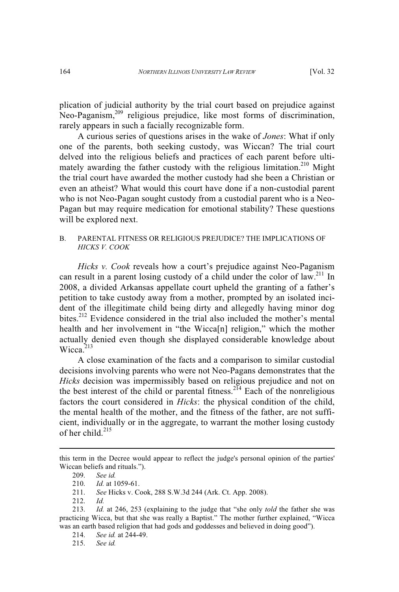plication of judicial authority by the trial court based on prejudice against Neo-Paganism,<sup>209</sup> religious prejudice, like most forms of discrimination, rarely appears in such a facially recognizable form.

A curious series of questions arises in the wake of *Jones*: What if only one of the parents, both seeking custody, was Wiccan? The trial court delved into the religious beliefs and practices of each parent before ultimately awarding the father custody with the religious limitation.<sup>210</sup> Might the trial court have awarded the mother custody had she been a Christian or even an atheist? What would this court have done if a non-custodial parent who is not Neo-Pagan sought custody from a custodial parent who is a Neo-Pagan but may require medication for emotional stability? These questions will be explored next.

## B. PARENTAL FITNESS OR RELIGIOUS PREJUDICE? THE IMPLICATIONS OF *HICKS V. COOK*

*Hicks v. Cook* reveals how a court's prejudice against Neo-Paganism can result in a parent losing custody of a child under the color of law.<sup>211</sup> In 2008, a divided Arkansas appellate court upheld the granting of a father's petition to take custody away from a mother, prompted by an isolated incident of the illegitimate child being dirty and allegedly having minor dog bites.<sup>212</sup> Evidence considered in the trial also included the mother's mental health and her involvement in "the Wicca[n] religion," which the mother actually denied even though she displayed considerable knowledge about Wicca.<sup>213</sup>

A close examination of the facts and a comparison to similar custodial decisions involving parents who were not Neo-Pagans demonstrates that the *Hicks* decision was impermissibly based on religious prejudice and not on the best interest of the child or parental fitness.<sup>214</sup> Each of the nonreligious factors the court considered in *Hicks*: the physical condition of the child, the mental health of the mother, and the fitness of the father, are not sufficient, individually or in the aggregate, to warrant the mother losing custody of her child. $^{215}$ 

this term in the Decree would appear to reflect the judge's personal opinion of the parties' Wiccan beliefs and rituals.").

<sup>209.</sup> *See id.*

<sup>210.</sup> *Id.* at 1059-61.

See Hicks v. Cook, 288 S.W.3d 244 (Ark. Ct. App. 2008).

<sup>212.</sup> *Id.*

<sup>213.</sup> *Id.* at 246, 253 (explaining to the judge that "she only *told* the father she was practicing Wicca, but that she was really a Baptist." The mother further explained, "Wicca was an earth based religion that had gods and goddesses and believed in doing good").

<sup>214.</sup> *See id.* at 244-49.

<sup>215.</sup> *See id.*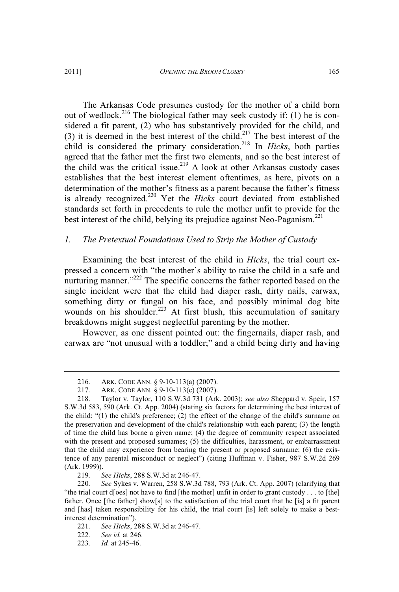The Arkansas Code presumes custody for the mother of a child born out of wedlock.<sup>216</sup> The biological father may seek custody if: (1) he is considered a fit parent, (2) who has substantively provided for the child, and (3) it is deemed in the best interest of the child.<sup>217</sup> The best interest of the child is considered the primary consideration.<sup>218</sup> In *Hicks*, both parties agreed that the father met the first two elements, and so the best interest of the child was the critical issue.<sup>219</sup> A look at other Arkansas custody cases establishes that the best interest element oftentimes, as here, pivots on a determination of the mother's fitness as a parent because the father's fitness is already recognized.<sup>220</sup> Yet the *Hicks* court deviated from established standards set forth in precedents to rule the mother unfit to provide for the best interest of the child, belying its prejudice against Neo-Paganism.<sup>221</sup>

#### *1. The Pretextual Foundations Used to Strip the Mother of Custody*

Examining the best interest of the child in *Hicks*, the trial court expressed a concern with "the mother's ability to raise the child in a safe and nurturing manner."<sup>222</sup> The specific concerns the father reported based on the single incident were that the child had diaper rash, dirty nails, earwax, something dirty or fungal on his face, and possibly minimal dog bite wounds on his shoulder.<sup>223</sup> At first blush, this accumulation of sanitary breakdowns might suggest neglectful parenting by the mother.

However, as one dissent pointed out: the fingernails, diaper rash, and earwax are "not unusual with a toddler;" and a child being dirty and having

219. *See Hicks*, 288 S.W.3d at 246-47.

<sup>216.</sup> ARK. CODE ANN. § 9-10-113(a) (2007).

<sup>217.</sup> ARK. CODE ANN. § 9-10-113(c) (2007).

<sup>218.</sup> Taylor v. Taylor, 110 S.W.3d 731 (Ark. 2003); *see also* Sheppard v. Speir, 157 S.W.3d 583, 590 (Ark. Ct. App. 2004) (stating six factors for determining the best interest of the child: "(1) the child's preference; (2) the effect of the change of the child's surname on the preservation and development of the child's relationship with each parent; (3) the length of time the child has borne a given name; (4) the degree of community respect associated with the present and proposed surnames; (5) the difficulties, harassment, or embarrassment that the child may experience from bearing the present or proposed surname; (6) the existence of any parental misconduct or neglect") (citing Huffman v. Fisher, 987 S.W.2d 269 (Ark. 1999)).

<sup>220.</sup> *See* Sykes v. Warren, 258 S.W.3d 788, 793 (Ark. Ct. App. 2007) (clarifying that "the trial court d[oes] not have to find [the mother] unfit in order to grant custody . . . to [the] father. Once [the father] show[s] to the satisfaction of the trial court that he [is] a fit parent and [has] taken responsibility for his child, the trial court [is] left solely to make a bestinterest determination").

<sup>221.</sup> *See Hicks*, 288 S.W.3d at 246-47.

<sup>222.</sup> *See id.* at 246.

<sup>223.</sup> *Id.* at 245-46.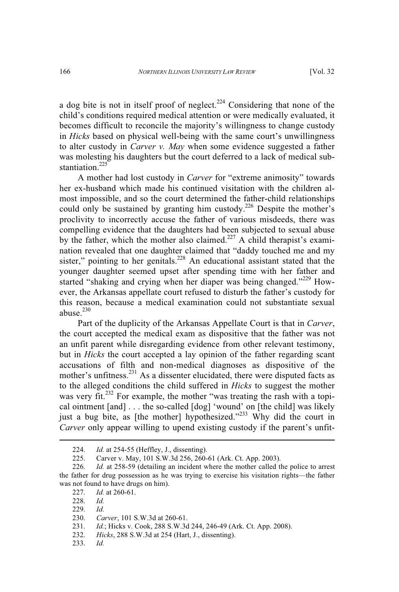a dog bite is not in itself proof of neglect.<sup>224</sup> Considering that none of the child's conditions required medical attention or were medically evaluated, it becomes difficult to reconcile the majority's willingness to change custody in *Hicks* based on physical well-being with the same court's unwillingness to alter custody in *Carver v. May* when some evidence suggested a father was molesting his daughters but the court deferred to a lack of medical substantiation.<sup>225</sup>

A mother had lost custody in *Carver* for "extreme animosity" towards her ex-husband which made his continued visitation with the children almost impossible, and so the court determined the father-child relationships could only be sustained by granting him custody.<sup>226</sup> Despite the mother's proclivity to incorrectly accuse the father of various misdeeds, there was compelling evidence that the daughters had been subjected to sexual abuse by the father, which the mother also claimed.<sup>227</sup> A child therapist's examination revealed that one daughter claimed that "daddy touched me and my sister," pointing to her genitals.<sup>228</sup> An educational assistant stated that the younger daughter seemed upset after spending time with her father and started "shaking and crying when her diaper was being changed."<sup>229</sup> However, the Arkansas appellate court refused to disturb the father's custody for this reason, because a medical examination could not substantiate sexual abuse. $230$ 

Part of the duplicity of the Arkansas Appellate Court is that in *Carver*, the court accepted the medical exam as dispositive that the father was not an unfit parent while disregarding evidence from other relevant testimony, but in *Hicks* the court accepted a lay opinion of the father regarding scant accusations of filth and non-medical diagnoses as dispositive of the mother's unfitness.<sup>231</sup> As a dissenter elucidated, there were disputed facts as to the alleged conditions the child suffered in *Hicks* to suggest the mother was very fit.<sup>232</sup> For example, the mother "was treating the rash with a topical ointment [and] . . . the so-called [dog] 'wound' on [the child] was likely just a bug bite, as [the mother] hypothesized."<sup>233</sup> Why did the court in *Carver* only appear willing to upend existing custody if the parent's unfit-

233. *Id.*

<sup>224.</sup> *Id.* at 254-55 (Heffley, J., dissenting).<br>225. Carver v. May. 101 S.W.3d 256, 260-

<sup>225.</sup> Carver v. May, 101 S.W.3d 256, 260-61 (Ark. Ct. App. 2003).

<sup>226.</sup> *Id.* at 258-59 (detailing an incident where the mother called the police to arrest the father for drug possession as he was trying to exercise his visitation rights—the father was not found to have drugs on him).<br>227. Id. at 260-61.

*Id.* at 260-61.

<sup>228.</sup> *Id.*

<sup>229.</sup> *Id.*

<sup>230.</sup> *Carver*, 101 S.W.3d at 260-61.

<sup>231.</sup> *Id.*; Hicks v. Cook, 288 S.W.3d 244, 246-49 (Ark. Ct. App. 2008).

<sup>232.</sup> *Hicks*, 288 S.W.3d at 254 (Hart, J., dissenting).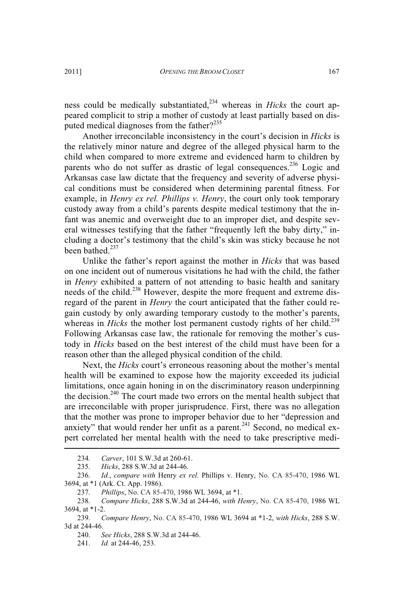ness could be medically substantiated,<sup>234</sup> whereas in *Hicks* the court appeared complicit to strip a mother of custody at least partially based on disputed medical diagnoses from the father?<sup>235</sup>

Another irreconcilable inconsistency in the court's decision in *Hicks* is the relatively minor nature and degree of the alleged physical harm to the child when compared to more extreme and evidenced harm to children by parents who do not suffer as drastic of legal consequences.<sup>236</sup> Logic and Arkansas case law dictate that the frequency and severity of adverse physical conditions must be considered when determining parental fitness. For example, in *Henry ex rel. Phillips v. Henry*, the court only took temporary custody away from a child's parents despite medical testimony that the infant was anemic and overweight due to an improper diet, and despite several witnesses testifying that the father "frequently left the baby dirty," including a doctor's testimony that the child's skin was sticky because he not been bathed.<sup>237</sup>

Unlike the father's report against the mother in *Hicks* that was based on one incident out of numerous visitations he had with the child, the father in *Henry* exhibited a pattern of not attending to basic health and sanitary needs of the child.<sup>238</sup> However, despite the more frequent and extreme disregard of the parent in *Henry* the court anticipated that the father could regain custody by only awarding temporary custody to the mother's parents, whereas in *Hicks* the mother lost permanent custody rights of her child.<sup>239</sup> Following Arkansas case law, the rationale for removing the mother's custody in *Hicks* based on the best interest of the child must have been for a reason other than the alleged physical condition of the child.

Next, the *Hicks* court's erroneous reasoning about the mother's mental health will be examined to expose how the majority exceeded its judicial limitations, once again honing in on the discriminatory reason underpinning the decision.<sup>240</sup> The court made two errors on the mental health subject that are irreconcilable with proper jurisprudence. First, there was no allegation that the mother was prone to improper behavior due to her "depression and anxiety" that would render her unfit as a parent. $^{241}$  Second, no medical expert correlated her mental health with the need to take prescriptive medi-

<sup>234.</sup> *Carver*, 101 S.W.3d at 260-61.

<sup>235.</sup> *Hicks*, 288 S.W.3d at 244-46.

<sup>236.</sup> *Id.*, *compare with* Henry *ex rel.* Phillips v. Henry, No. CA 85-470, 1986 WL 3694, at \*1 (Ark. Ct. App. 1986).

<sup>237.</sup> *Phillips*, No. CA 85-470, 1986 WL 3694, at \*1.

<sup>238.</sup> *Compare Hicks*, 288 S.W.3d at 244-46, *with Henry*, No. CA 85-470, 1986 WL 3694, at \*1-2.

<sup>239.</sup> *Compare Henry*, No. CA 85-470, 1986 WL 3694 at \*1-2, *with Hicks*, 288 S.W. 3d at 244-46.

<sup>240.</sup> *See Hicks*, 288 S.W.3d at 244-46.

<sup>241.</sup> *Id.* at 244-46, 253.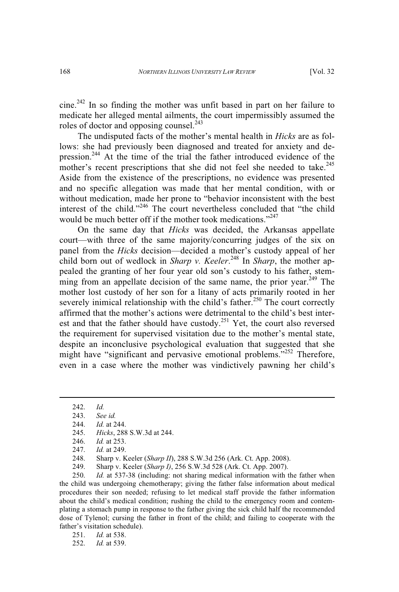cine.<sup>242</sup> In so finding the mother was unfit based in part on her failure to medicate her alleged mental ailments, the court impermissibly assumed the roles of doctor and opposing counsel. $^{243}$ 

The undisputed facts of the mother's mental health in *Hicks* are as follows: she had previously been diagnosed and treated for anxiety and depression.<sup>244</sup> At the time of the trial the father introduced evidence of the mother's recent prescriptions that she did not feel she needed to take.<sup>245</sup> Aside from the existence of the prescriptions, no evidence was presented and no specific allegation was made that her mental condition, with or without medication, made her prone to "behavior inconsistent with the best interest of the child."<sup>246</sup> The court nevertheless concluded that "the child would be much better off if the mother took medications."<sup>247</sup>

On the same day that *Hicks* was decided, the Arkansas appellate court—with three of the same majority/concurring judges of the six on panel from the *Hicks* decision—decided a mother's custody appeal of her child born out of wedlock in *Sharp v. Keeler*. <sup>248</sup> In *Sharp*, the mother appealed the granting of her four year old son's custody to his father, stemming from an appellate decision of the same name, the prior year.<sup>249</sup> The mother lost custody of her son for a litany of acts primarily rooted in her severely inimical relationship with the child's father.<sup>250</sup> The court correctly affirmed that the mother's actions were detrimental to the child's best interest and that the father should have custody.<sup>251</sup> Yet, the court also reversed the requirement for supervised visitation due to the mother's mental state, despite an inconclusive psychological evaluation that suggested that she might have "significant and pervasive emotional problems."<sup>252</sup> Therefore, even in a case where the mother was vindictively pawning her child's

250. *Id.* at 537-38 (including: not sharing medical information with the father when the child was undergoing chemotherapy; giving the father false information about medical procedures their son needed; refusing to let medical staff provide the father information about the child's medical condition; rushing the child to the emergency room and contemplating a stomach pump in response to the father giving the sick child half the recommended dose of Tylenol; cursing the father in front of the child; and failing to cooperate with the father's visitation schedule).

<sup>242.</sup> *Id.*

<sup>243.</sup> *See id.*

<sup>244.</sup> *Id.* at 244.

<sup>245.</sup> *Hicks*, 288 S.W.3d at 244.

<sup>246.</sup> *Id.* at 253.

<sup>247.</sup> *Id.* at 249.

<sup>248.</sup> Sharp v. Keeler (*Sharp II*), 288 S.W.3d 256 (Ark. Ct. App. 2008).

<sup>249.</sup> Sharp v. Keeler (*Sharp I)*, 256 S.W.3d 528 (Ark. Ct. App. 2007).

<sup>251.</sup> *Id.* at 538.<br>252. *Id.* at 539.

*Id.* at 539.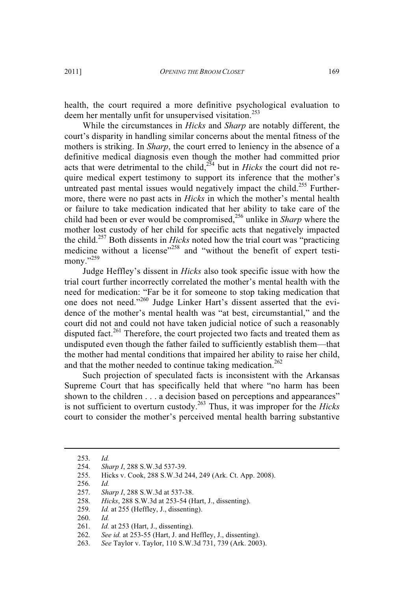health, the court required a more definitive psychological evaluation to deem her mentally unfit for unsupervised visitation.<sup>253</sup>

While the circumstances in *Hicks* and *Sharp* are notably different, the court's disparity in handling similar concerns about the mental fitness of the mothers is striking. In *Sharp*, the court erred to leniency in the absence of a definitive medical diagnosis even though the mother had committed prior acts that were detrimental to the child,<sup>254</sup> but in *Hicks* the court did not require medical expert testimony to support its inference that the mother's untreated past mental issues would negatively impact the child.<sup>255</sup> Furthermore, there were no past acts in *Hicks* in which the mother's mental health or failure to take medication indicated that her ability to take care of the child had been or ever would be compromised,<sup>256</sup> unlike in *Sharp* where the mother lost custody of her child for specific acts that negatively impacted the child.<sup>257</sup> Both dissents in *Hicks* noted how the trial court was "practicing medicine without a license"<sup>258</sup> and "without the benefit of expert testimony."<sup>259</sup>

Judge Heffley's dissent in *Hicks* also took specific issue with how the trial court further incorrectly correlated the mother's mental health with the need for medication: "Far be it for someone to stop taking medication that one does not need."<sup>260</sup> Judge Linker Hart's dissent asserted that the evidence of the mother's mental health was "at best, circumstantial," and the court did not and could not have taken judicial notice of such a reasonably disputed fact.<sup>261</sup> Therefore, the court projected two facts and treated them as undisputed even though the father failed to sufficiently establish them—that the mother had mental conditions that impaired her ability to raise her child, and that the mother needed to continue taking medication.<sup>262</sup>

Such projection of speculated facts is inconsistent with the Arkansas Supreme Court that has specifically held that where "no harm has been shown to the children . . . a decision based on perceptions and appearances" is not sufficient to overturn custody.<sup>263</sup> Thus, it was improper for the *Hicks* court to consider the mother's perceived mental health barring substantive

256. *Id.*

<sup>253.</sup> *Id.*

<sup>254.</sup> *Sharp I*, 288 S.W.3d 537-39.

<sup>255.</sup> Hicks v. Cook, 288 S.W.3d 244, 249 (Ark. Ct. App. 2008).

<sup>257.</sup> *Sharp I*, 288 S.W.3d at 537-38.

<sup>258.</sup> *Hicks*, 288 S.W.3d at 253-54 (Hart, J., dissenting).

<sup>259.</sup> *Id.* at 255 (Heffley, J., dissenting).

<sup>260.</sup> *Id.*

<sup>261.</sup> *Id.* at 253 (Hart, J., dissenting).

<sup>262.</sup> *See id.* at 253-55 (Hart, J. and Heffley, J., dissenting).

<sup>263.</sup> *See* Taylor v. Taylor, 110 S.W.3d 731, 739 (Ark. 2003).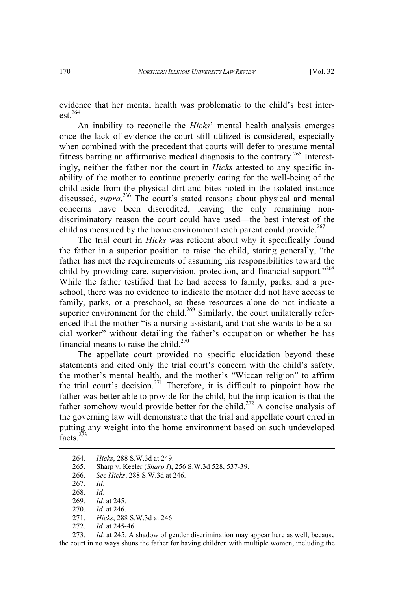evidence that her mental health was problematic to the child's best interest. $264$ 

An inability to reconcile the *Hicks*' mental health analysis emerges once the lack of evidence the court still utilized is considered, especially when combined with the precedent that courts will defer to presume mental fitness barring an affirmative medical diagnosis to the contrary.<sup>265</sup> Interestingly, neither the father nor the court in *Hicks* attested to any specific inability of the mother to continue properly caring for the well-being of the child aside from the physical dirt and bites noted in the isolated instance discussed, *supra*. <sup>266</sup> The court's stated reasons about physical and mental concerns have been discredited, leaving the only remaining nondiscriminatory reason the court could have used—the best interest of the child as measured by the home environment each parent could provide. $267$ 

The trial court in *Hicks* was reticent about why it specifically found the father in a superior position to raise the child, stating generally, "the father has met the requirements of assuming his responsibilities toward the child by providing care, supervision, protection, and financial support."<sup>268</sup> While the father testified that he had access to family, parks, and a preschool, there was no evidence to indicate the mother did not have access to family, parks, or a preschool, so these resources alone do not indicate a superior environment for the child.<sup>269</sup> Similarly, the court unilaterally referenced that the mother "is a nursing assistant, and that she wants to be a social worker" without detailing the father's occupation or whether he has financial means to raise the child. $270$ 

The appellate court provided no specific elucidation beyond these statements and cited only the trial court's concern with the child's safety, the mother's mental health, and the mother's "Wiccan religion" to affirm the trial court's decision.<sup>271</sup> Therefore, it is difficult to pinpoint how the father was better able to provide for the child, but the implication is that the father somehow would provide better for the child.<sup>272</sup> A concise analysis of the governing law will demonstrate that the trial and appellate court erred in putting any weight into the home environment based on such undeveloped facts<sup>273</sup>

272. *Id.* at 245-46.

273. *Id.* at 245. A shadow of gender discrimination may appear here as well, because the court in no ways shuns the father for having children with multiple women, including the

<sup>264.</sup> *Hicks*, 288 S.W.3d at 249.

<sup>265.</sup> Sharp v. Keeler (*Sharp I*), 256 S.W.3d 528, 537-39.

<sup>266.</sup> *See Hicks*, 288 S.W.3d at 246.

<sup>267.</sup> *Id.*

<sup>268.</sup> *Id.*

<sup>269.</sup> *Id.* at 245.

<sup>270.</sup> *Id.* at 246.

<sup>271.</sup> *Hicks*, 288 S.W.3d at 246.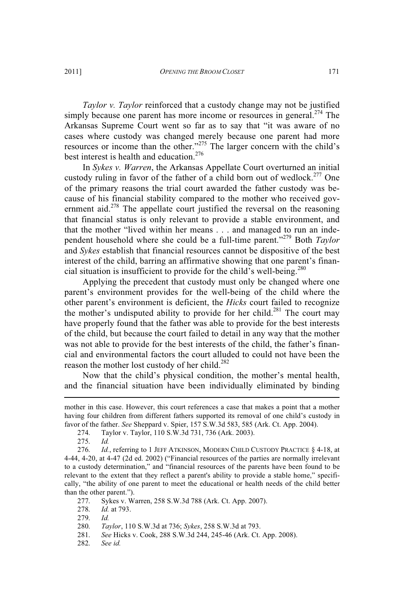*Taylor v. Taylor* reinforced that a custody change may not be justified simply because one parent has more income or resources in general.<sup>274</sup> The Arkansas Supreme Court went so far as to say that "it was aware of no cases where custody was changed merely because one parent had more resources or income than the other."<sup>275</sup> The larger concern with the child's best interest is health and education.<sup>276</sup>

In *Sykes v. Warren*, the Arkansas Appellate Court overturned an initial custody ruling in favor of the father of a child born out of wedlock.<sup>277</sup> One of the primary reasons the trial court awarded the father custody was because of his financial stability compared to the mother who received government aid.<sup>278</sup> The appellate court justified the reversal on the reasoning that financial status is only relevant to provide a stable environment, and that the mother "lived within her means . . . and managed to run an independent household where she could be a full-time parent." <sup>279</sup> Both *Taylor* and *Sykes* establish that financial resources cannot be dispositive of the best interest of the child, barring an affirmative showing that one parent's financial situation is insufficient to provide for the child's well-being.<sup>280</sup>

Applying the precedent that custody must only be changed where one parent's environment provides for the well-being of the child where the other parent's environment is deficient, the *Hicks* court failed to recognize the mother's undisputed ability to provide for her child.<sup>281</sup> The court may have properly found that the father was able to provide for the best interests of the child, but because the court failed to detail in any way that the mother was not able to provide for the best interests of the child, the father's financial and environmental factors the court alluded to could not have been the reason the mother lost custody of her child.<sup>282</sup>

Now that the child's physical condition, the mother's mental health, and the financial situation have been individually eliminated by binding

- 277. Sykes v. Warren, 258 S.W.3d 788 (Ark. Ct. App. 2007).
- 278. *Id.* at 793.
- 279. *Id.*

282. *See id.*

mother in this case. However, this court references a case that makes a point that a mother having four children from different fathers supported its removal of one child's custody in favor of the father. *See* Sheppard v. Spier, 157 S.W.3d 583, 585 (Ark. Ct. App. 2004).

<sup>274.</sup> Taylor v. Taylor, 110 S.W.3d 731, 736 (Ark. 2003).

<sup>275.</sup> *Id.*

<sup>276.</sup> *Id.*, referring to 1 JEFF ATKINSON, MODERN CHILD CUSTODY PRACTICE § 4-18, at 4-44, 4-20, at 4-47 (2d ed. 2002) ("Financial resources of the parties are normally irrelevant to a custody determination," and "financial resources of the parents have been found to be relevant to the extent that they reflect a parent's ability to provide a stable home," specifically, "the ability of one parent to meet the educational or health needs of the child better than the other parent.").

<sup>280.</sup> *Taylor*, 110 S.W.3d at 736; *Sykes*, 258 S.W.3d at 793.

<sup>281.</sup> *See* Hicks v. Cook, 288 S.W.3d 244, 245-46 (Ark. Ct. App. 2008).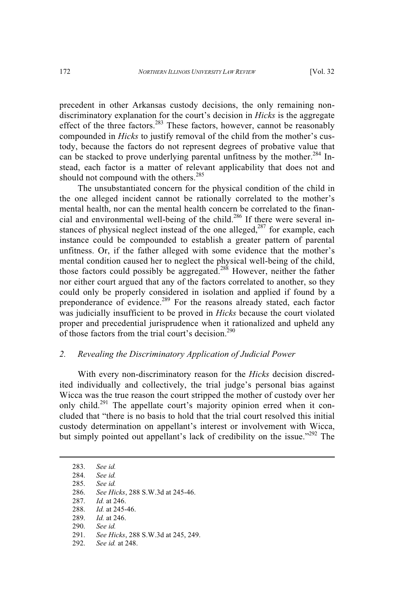precedent in other Arkansas custody decisions, the only remaining nondiscriminatory explanation for the court's decision in *Hicks* is the aggregate effect of the three factors.<sup>283</sup> These factors, however, cannot be reasonably compounded in *Hicks* to justify removal of the child from the mother's custody, because the factors do not represent degrees of probative value that can be stacked to prove underlying parental unfitness by the mother.<sup>284</sup> Instead, each factor is a matter of relevant applicability that does not and should not compound with the others.<sup>285</sup>

The unsubstantiated concern for the physical condition of the child in the one alleged incident cannot be rationally correlated to the mother's mental health, nor can the mental health concern be correlated to the financial and environmental well-being of the child.<sup>286</sup> If there were several instances of physical neglect instead of the one alleged, $287$  for example, each instance could be compounded to establish a greater pattern of parental unfitness. Or, if the father alleged with some evidence that the mother's mental condition caused her to neglect the physical well-being of the child, those factors could possibly be aggregated.<sup>288</sup> However, neither the father nor either court argued that any of the factors correlated to another, so they could only be properly considered in isolation and applied if found by a preponderance of evidence.<sup>289</sup> For the reasons already stated, each factor was judicially insufficient to be proved in *Hicks* because the court violated proper and precedential jurisprudence when it rationalized and upheld any of those factors from the trial court's decision.<sup>290</sup>

## *2. Revealing the Discriminatory Application of Judicial Power*

With every non-discriminatory reason for the *Hicks* decision discredited individually and collectively, the trial judge's personal bias against Wicca was the true reason the court stripped the mother of custody over her only child.<sup>291</sup> The appellate court's majority opinion erred when it concluded that "there is no basis to hold that the trial court resolved this initial custody determination on appellant's interest or involvement with Wicca, but simply pointed out appellant's lack of credibility on the issue."<sup>292</sup> The

290. *See id.*

<sup>283.</sup> *See id.* 284. *See id.*

<sup>285.</sup> *See id.*

<sup>286.</sup> *See Hicks*, 288 S.W.3d at 245-46.

<sup>287.</sup> *Id.* at 246.

<sup>288.</sup> *Id.* at 245-46.

<sup>289.</sup> *Id.* at 246.

<sup>291.</sup> *See Hicks*, 288 S.W.3d at 245, 249.

<sup>292.</sup> *See id.* at 248.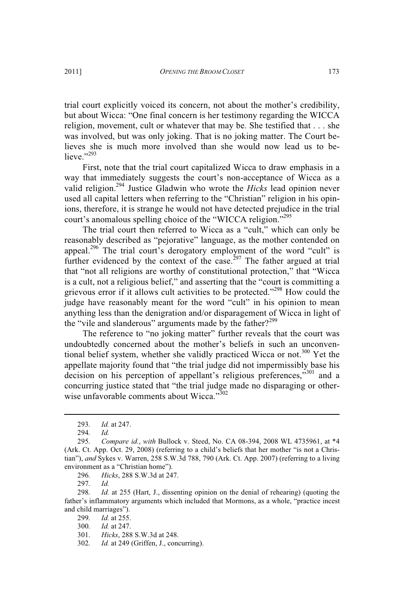trial court explicitly voiced its concern, not about the mother's credibility, but about Wicca: "One final concern is her testimony regarding the WICCA religion, movement, cult or whatever that may be. She testified that . . . she was involved, but was only joking. That is no joking matter. The Court believes she is much more involved than she would now lead us to believe."<sup>293</sup>

First, note that the trial court capitalized Wicca to draw emphasis in a way that immediately suggests the court's non-acceptance of Wicca as a valid religion.<sup>294</sup> Justice Gladwin who wrote the *Hicks* lead opinion never used all capital letters when referring to the "Christian" religion in his opinions, therefore, it is strange he would not have detected prejudice in the trial court's anomalous spelling choice of the "WICCA religion."<sup>295</sup>

The trial court then referred to Wicca as a "cult," which can only be reasonably described as "pejorative" language, as the mother contended on appeal.<sup>296</sup> The trial court's derogatory employment of the word "cult" is further evidenced by the context of the case.<sup>297</sup> The father argued at trial that "not all religions are worthy of constitutional protection," that "Wicca is a cult, not a religious belief," and asserting that the "court is committing a grievous error if it allows cult activities to be protected."<sup>298</sup> How could the judge have reasonably meant for the word "cult" in his opinion to mean anything less than the denigration and/or disparagement of Wicca in light of the "vile and slanderous" arguments made by the father? $2^{299}$ 

The reference to "no joking matter" further reveals that the court was undoubtedly concerned about the mother's beliefs in such an unconventional belief system, whether she validly practiced Wicca or not.<sup>300</sup> Yet the appellate majority found that "the trial judge did not impermissibly base his decision on his perception of appellant's religious preferences,"<sup>301</sup> and a concurring justice stated that "the trial judge made no disparaging or otherwise unfavorable comments about Wicca."302

296. *Hicks*, 288 S.W.3d at 247.

297. *Id.*

<sup>293.</sup> *Id.* at 247.

<sup>294.</sup> *Id.*

<sup>295.</sup> *Compare id.*, *with* Bullock v. Steed, No. CA 08-394, 2008 WL 4735961, at \*4 (Ark. Ct. App. Oct. 29, 2008) (referring to a child's beliefs that her mother "is not a Christian"), *and* Sykes v. Warren, 258 S.W.3d 788, 790 (Ark. Ct. App. 2007) (referring to a living environment as a "Christian home").

<sup>298.</sup> *Id.* at 255 (Hart, J., dissenting opinion on the denial of rehearing) (quoting the father's inflammatory arguments which included that Mormons, as a whole, "practice incest and child marriages").

<sup>299.</sup> *Id.* at 255.

<sup>300.</sup> *Id.* at 247.

<sup>301.</sup> *Hicks*, 288 S.W.3d at 248.

<sup>302.</sup> *Id.* at 249 (Griffen, J., concurring).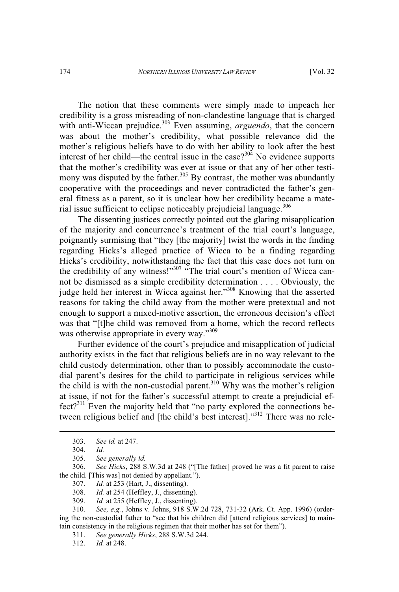The notion that these comments were simply made to impeach her credibility is a gross misreading of non-clandestine language that is charged with anti-Wiccan prejudice.<sup>303</sup> Even assuming, *arguendo*, that the concern was about the mother's credibility, what possible relevance did the mother's religious beliefs have to do with her ability to look after the best interest of her child—the central issue in the case?<sup>304</sup> No evidence supports that the mother's credibility was ever at issue or that any of her other testimony was disputed by the father.<sup>305</sup> By contrast, the mother was abundantly cooperative with the proceedings and never contradicted the father's general fitness as a parent, so it is unclear how her credibility became a material issue sufficient to eclipse noticeably prejudicial language. $306$ 

The dissenting justices correctly pointed out the glaring misapplication of the majority and concurrence's treatment of the trial court's language, poignantly surmising that "they [the majority] twist the words in the finding regarding Hicks's alleged practice of Wicca to be a finding regarding Hicks's credibility, notwithstanding the fact that this case does not turn on the credibility of any witness!"<sup>307</sup> "The trial court's mention of Wicca cannot be dismissed as a simple credibility determination . . . . Obviously, the judge held her interest in Wicca against her."<sup>308</sup> Knowing that the asserted reasons for taking the child away from the mother were pretextual and not enough to support a mixed-motive assertion, the erroneous decision's effect was that "[t]he child was removed from a home, which the record reflects was otherwise appropriate in every way."309

Further evidence of the court's prejudice and misapplication of judicial authority exists in the fact that religious beliefs are in no way relevant to the child custody determination, other than to possibly accommodate the custodial parent's desires for the child to participate in religious services while the child is with the non-custodial parent.<sup>310</sup> Why was the mother's religion at issue, if not for the father's successful attempt to create a prejudicial ef $fect?$ <sup>311</sup> Even the majority held that "no party explored the connections between religious belief and [the child's best interest]."<sup>312</sup> There was no rele-

- 307. *Id.* at 253 (Hart, J., dissenting).<br>308. *Id.* at 254 (Hefflev, J., dissenting).
- Id. at 254 (Heffley, J., dissenting).
- 309. *Id.* at 255 (Heffley, J., dissenting).

310. *See, e.g.*, Johns v. Johns, 918 S.W.2d 728, 731-32 (Ark. Ct. App. 1996) (ordering the non-custodial father to "see that his children did [attend religious services] to maintain consistency in the religious regimen that their mother has set for them").

- 311. *See generally Hicks*, 288 S.W.3d 244.
- 312. *Id.* at 248.

<sup>303.</sup> *See id.* at 247.

<sup>304.</sup> *Id.*

See generally id.

<sup>306.</sup> *See Hicks*, 288 S.W.3d at 248 ("[The father] proved he was a fit parent to raise the child. [This was] not denied by appellant.").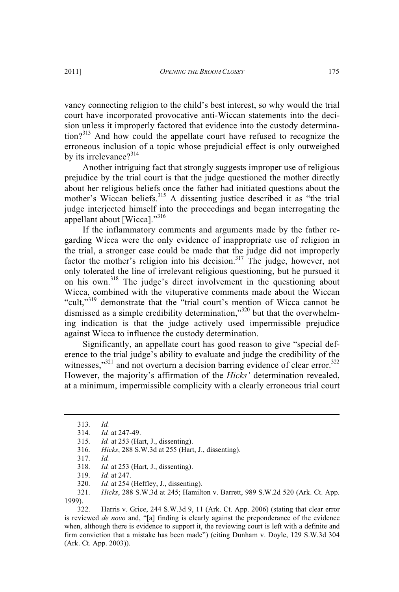vancy connecting religion to the child's best interest, so why would the trial court have incorporated provocative anti-Wiccan statements into the decision unless it improperly factored that evidence into the custody determination?<sup>313</sup> And how could the appellate court have refused to recognize the erroneous inclusion of a topic whose prejudicial effect is only outweighed by its irrelevance?<sup>314</sup>

Another intriguing fact that strongly suggests improper use of religious prejudice by the trial court is that the judge questioned the mother directly about her religious beliefs once the father had initiated questions about the mother's Wiccan beliefs.<sup>315</sup> A dissenting justice described it as "the trial judge interjected himself into the proceedings and began interrogating the appellant about [Wicca]."<sup>316</sup>

If the inflammatory comments and arguments made by the father regarding Wicca were the only evidence of inappropriate use of religion in the trial, a stronger case could be made that the judge did not improperly factor the mother's religion into his decision.<sup>317</sup> The judge, however, not only tolerated the line of irrelevant religious questioning, but he pursued it on his own.<sup>318</sup> The judge's direct involvement in the questioning about Wicca, combined with the vituperative comments made about the Wiccan "cult,"<sup>319</sup> demonstrate that the "trial court's mention of Wicca cannot be dismissed as a simple credibility determination,"<sup>320</sup> but that the overwhelming indication is that the judge actively used impermissible prejudice against Wicca to influence the custody determination.

Significantly, an appellate court has good reason to give "special deference to the trial judge's ability to evaluate and judge the credibility of the witnesses,"<sup>321</sup> and not overturn a decision barring evidence of clear error.<sup>322</sup> However, the majority's affirmation of the *Hicks'* determination revealed, at a minimum, impermissible complicity with a clearly erroneous trial court

322. Harris v. Grice, 244 S.W.3d 9, 11 (Ark. Ct. App. 2006) (stating that clear error is reviewed *de novo* and, "[a] finding is clearly against the preponderance of the evidence when, although there is evidence to support it, the reviewing court is left with a definite and firm conviction that a mistake has been made") (citing Dunham v. Doyle, 129 S.W.3d 304 (Ark. Ct. App. 2003)).

<sup>313.</sup> *Id.*

<sup>314.</sup> *Id.* at 247-49.

<sup>315.</sup> *Id.* at 253 (Hart, J., dissenting).

<sup>316.</sup> *Hicks*, 288 S.W.3d at 255 (Hart, J., dissenting).

<sup>317.</sup> *Id.*

<sup>318.</sup> *Id.* at 253 (Hart, J., dissenting).

<sup>319.</sup> *Id.* at 247.

<sup>320.</sup> *Id.* at 254 (Heffley, J., dissenting).<br>321. *Hicks*, 288 S.W.3d at 245; Hamilt

<sup>321.</sup> *Hicks*, 288 S.W.3d at 245; Hamilton v. Barrett, 989 S.W.2d 520 (Ark. Ct. App. 1999).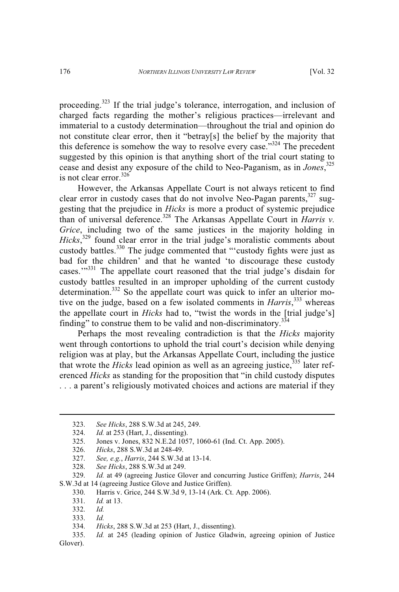proceeding.<sup>323</sup> If the trial judge's tolerance, interrogation, and inclusion of charged facts regarding the mother's religious practices—irrelevant and immaterial to a custody determination—throughout the trial and opinion do not constitute clear error, then it "betray[s] the belief by the majority that this deference is somehow the way to resolve every case."<sup>324</sup> The precedent suggested by this opinion is that anything short of the trial court stating to cease and desist any exposure of the child to Neo-Paganism, as in *Jones*, 325 is not clear error.  $326$ 

However, the Arkansas Appellate Court is not always reticent to find clear error in custody cases that do not involve Neo-Pagan parents,  $327$  suggesting that the prejudice in *Hicks* is more a product of systemic prejudice than of universal deference. <sup>328</sup> The Arkansas Appellate Court in *Harris v. Grice*, including two of the same justices in the majority holding in *Hicks*, <sup>329</sup> found clear error in the trial judge's moralistic comments about custody battles.<sup>330</sup> The judge commented that "'custody fights were just as bad for the children' and that he wanted 'to discourage these custody cases."<sup>331</sup> The appellate court reasoned that the trial judge's disdain for custody battles resulted in an improper upholding of the current custody determination.<sup>332</sup> So the appellate court was quick to infer an ulterior motive on the judge, based on a few isolated comments in *Harris*, <sup>333</sup> whereas the appellate court in *Hicks* had to, "twist the words in the [trial judge's] finding" to construe them to be valid and non-discriminatory.<sup>334</sup>

Perhaps the most revealing contradiction is that the *Hicks* majority went through contortions to uphold the trial court's decision while denying religion was at play, but the Arkansas Appellate Court, including the justice that wrote the *Hicks* lead opinion as well as an agreeing justice,  $335$  later referenced *Hicks* as standing for the proposition that "in child custody disputes . . . a parent's religiously motivated choices and actions are material if they

328. *See Hicks*, 288 S.W.3d at 249.

<sup>323.</sup> *See Hicks*, 288 S.W.3d at 245, 249.

<sup>324.</sup> *Id.* at 253 (Hart, J., dissenting).<br>325. Jones v. Jones. 832 N.E.2d 105

<sup>325.</sup> Jones v. Jones, 832 N.E.2d 1057, 1060-61 (Ind. Ct. App. 2005).

<sup>326.</sup> *Hicks*, 288 S.W.3d at 248-49.

<sup>327.</sup> *See, e.g.*, *Harris*, 244 S.W.3d at 13-14.

<sup>329.</sup> *Id.* at 49 (agreeing Justice Glover and concurring Justice Griffen); *Harris*, 244 S.W.3d at 14 (agreeing Justice Glove and Justice Griffen).

<sup>330.</sup> Harris v. Grice, 244 S.W.3d 9, 13-14 (Ark. Ct. App. 2006).

<sup>331.</sup> *Id.* at 13.

<sup>332.</sup> *Id.*

<sup>333.</sup> *Id.*

<sup>334.</sup> *Hicks*, 288 S.W.3d at 253 (Hart, J., dissenting).

<sup>335.</sup> *Id.* at 245 (leading opinion of Justice Gladwin, agreeing opinion of Justice Glover).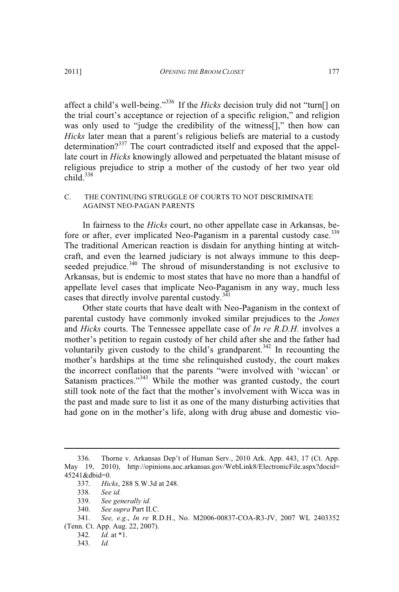affect a child's well-being."<sup>336</sup> If the *Hicks* decision truly did not "turn[] on the trial court's acceptance or rejection of a specific religion," and religion was only used to "judge the credibility of the witness[]," then how can *Hicks* later mean that a parent's religious beliefs are material to a custody determination?<sup>337</sup> The court contradicted itself and exposed that the appellate court in *Hicks* knowingly allowed and perpetuated the blatant misuse of religious prejudice to strip a mother of the custody of her two year old  $child.<sup>338</sup>$ 

#### C. THE CONTINUING STRUGGLE OF COURTS TO NOT DISCRIMINATE AGAINST NEO-PAGAN PARENTS

In fairness to the *Hicks* court, no other appellate case in Arkansas, before or after, ever implicated Neo-Paganism in a parental custody case.<sup>339</sup> The traditional American reaction is disdain for anything hinting at witchcraft, and even the learned judiciary is not always immune to this deepseeded prejudice.<sup>340</sup> The shroud of misunderstanding is not exclusive to Arkansas, but is endemic to most states that have no more than a handful of appellate level cases that implicate Neo-Paganism in any way, much less cases that directly involve parental custody. $3\overline{41}$ 

Other state courts that have dealt with Neo-Paganism in the context of parental custody have commonly invoked similar prejudices to the *Jones* and *Hicks* courts. The Tennessee appellate case of *In re R.D.H.* involves a mother's petition to regain custody of her child after she and the father had voluntarily given custody to the child's grandparent.<sup>342</sup> In recounting the mother's hardships at the time she relinquished custody, the court makes the incorrect conflation that the parents "were involved with 'wiccan' or Satanism practices."<sup>343</sup> While the mother was granted custody, the court still took note of the fact that the mother's involvement with Wicca was in the past and made sure to list it as one of the many disturbing activities that had gone on in the mother's life, along with drug abuse and domestic vio-

<sup>336.</sup> Thorne v. Arkansas Dep't of Human Serv., 2010 Ark. App. 443, 17 (Ct. App. May 19, 2010), http://opinions.aoc.arkansas.gov/WebLink8/ElectronicFile.aspx?docid= 45241&dbid=0.

<sup>337.</sup> *Hicks*, 288 S.W.3d at 248.

See *id.* 

<sup>339.</sup> *See generally id.*

<sup>340.</sup> *See supra* Part II.C.

<sup>341.</sup> *See, e.g.*, *In re* R.D.H., No. M2006-00837-COA-R3-JV, 2007 WL 2403352 (Tenn. Ct. App. Aug. 22, 2007).

<sup>342.</sup> *Id.* at \*1.

<sup>343.</sup> *Id.*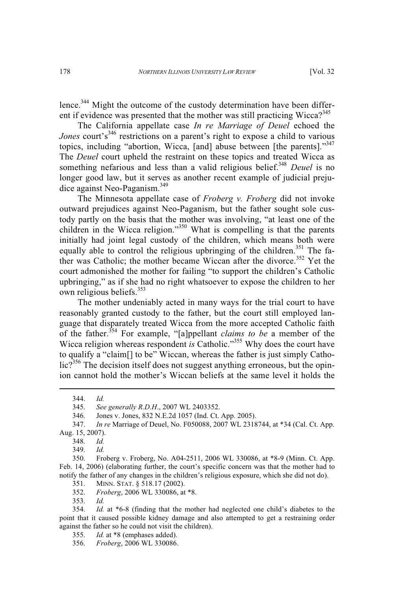lence.<sup>344</sup> Might the outcome of the custody determination have been different if evidence was presented that the mother was still practicing Wicca $2^{345}$ 

The California appellate case *In re Marriage of Deuel* echoed the Jones court's<sup>346</sup> restrictions on a parent's right to expose a child to various topics, including "abortion, Wicca, [and] abuse between [the parents]."347 The *Deuel* court upheld the restraint on these topics and treated Wicca as something nefarious and less than a valid religious belief.<sup>348</sup> *Deuel* is no longer good law, but it serves as another recent example of judicial prejudice against Neo-Paganism.<sup>349</sup>

The Minnesota appellate case of *Froberg v. Froberg* did not invoke outward prejudices against Neo-Paganism, but the father sought sole custody partly on the basis that the mother was involving, "at least one of the children in the Wicca religion."<sup>350</sup> What is compelling is that the parents initially had joint legal custody of the children, which means both were equally able to control the religious upbringing of the children.<sup>351</sup> The father was Catholic; the mother became Wiccan after the divorce.<sup>352</sup> Yet the court admonished the mother for failing "to support the children's Catholic upbringing," as if she had no right whatsoever to expose the children to her own religious beliefs.<sup>353</sup>

The mother undeniably acted in many ways for the trial court to have reasonably granted custody to the father, but the court still employed language that disparately treated Wicca from the more accepted Catholic faith of the father.<sup>354</sup> For example, "[a]ppellant *claims to be* a member of the Wicca religion whereas respondent *is* Catholic."<sup>355</sup> Why does the court have to qualify a "claim[] to be" Wiccan, whereas the father is just simply Catholic?<sup>356</sup> The decision itself does not suggest anything erroneous, but the opinion cannot hold the mother's Wiccan beliefs at the same level it holds the

355. *Id.* at \*8 (emphases added).

<sup>344.</sup> *Id.*

<sup>345.</sup> *See generally R.D.H*., 2007 WL 2403352.

<sup>346.</sup> Jones v. Jones, 832 N.E.2d 1057 (Ind. Ct. App. 2005).

<sup>347.</sup> *In re* Marriage of Deuel, No. F050088, 2007 WL 2318744, at \*34 (Cal. Ct. App. Aug. 15, 2007).

<sup>348.</sup> *Id.*

<sup>349.</sup> *Id.*

<sup>350.</sup> Froberg v. Froberg, No. A04-2511, 2006 WL 330086, at \*8-9 (Minn. Ct. App. Feb. 14, 2006) (elaborating further, the court's specific concern was that the mother had to notify the father of any changes in the children's religious exposure, which she did not do).

<sup>351.</sup> MINN. STAT. § 518.17 (2002).<br>352. Froberg, 2006 WL 330086, at

<sup>352.</sup> *Froberg*, 2006 WL 330086, at \*8.

<sup>353.</sup> *Id.*

<sup>354.</sup> *Id.* at \*6-8 (finding that the mother had neglected one child's diabetes to the point that it caused possible kidney damage and also attempted to get a restraining order against the father so he could not visit the children).

<sup>356.</sup> *Froberg*, 2006 WL 330086.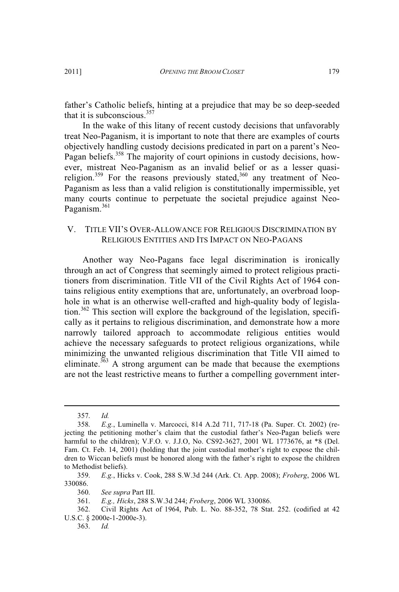father's Catholic beliefs, hinting at a prejudice that may be so deep-seeded that it is subconscious. $357$ 

In the wake of this litany of recent custody decisions that unfavorably treat Neo-Paganism, it is important to note that there are examples of courts objectively handling custody decisions predicated in part on a parent's Neo-Pagan beliefs.<sup>358</sup> The majority of court opinions in custody decisions, however, mistreat Neo-Paganism as an invalid belief or as a lesser quasireligion.<sup>359</sup> For the reasons previously stated,<sup>360</sup> any treatment of Neo-Paganism as less than a valid religion is constitutionally impermissible, yet many courts continue to perpetuate the societal prejudice against Neo-Paganism.<sup>361</sup>

# V. TITLE VII'<sup>S</sup> OVER-ALLOWANCE FOR RELIGIOUS DISCRIMINATION BY RELIGIOUS ENTITIES AND ITS IMPACT ON NEO-PAGANS

Another way Neo-Pagans face legal discrimination is ironically through an act of Congress that seemingly aimed to protect religious practitioners from discrimination. Title VII of the Civil Rights Act of 1964 contains religious entity exemptions that are, unfortunately, an overbroad loophole in what is an otherwise well-crafted and high-quality body of legislation.<sup>362</sup> This section will explore the background of the legislation, specifically as it pertains to religious discrimination, and demonstrate how a more narrowly tailored approach to accommodate religious entities would achieve the necessary safeguards to protect religious organizations, while minimizing the unwanted religious discrimination that Title VII aimed to eliminate. $363$  A strong argument can be made that because the exemptions are not the least restrictive means to further a compelling government inter-

<sup>357.</sup> *Id.*

<sup>358.</sup> *E.g.*, Luminella v. Marcocci, 814 A.2d 711, 717-18 (Pa. Super. Ct. 2002) (rejecting the petitioning mother's claim that the custodial father's Neo-Pagan beliefs were harmful to the children); V.F.O. v. J.J.O, No. CS92-3627, 2001 WL 1773676, at \*8 (Del. Fam. Ct. Feb. 14, 2001) (holding that the joint custodial mother's right to expose the children to Wiccan beliefs must be honored along with the father's right to expose the children to Methodist beliefs).

<sup>359.</sup> *E.g.*, Hicks v. Cook, 288 S.W.3d 244 (Ark. Ct. App. 2008); *Froberg*, 2006 WL 330086.<br>360.

<sup>360.</sup> *See supra* Part III.

<sup>361.</sup> *E.g., Hicks*, 288 S.W.3d 244; *Froberg*, 2006 WL 330086.

<sup>362.</sup> Civil Rights Act of 1964, Pub. L. No. 88-352, 78 Stat. 252. (codified at 42 U.S.C. § 2000e-1-2000e-3).

<sup>363.</sup> *Id.*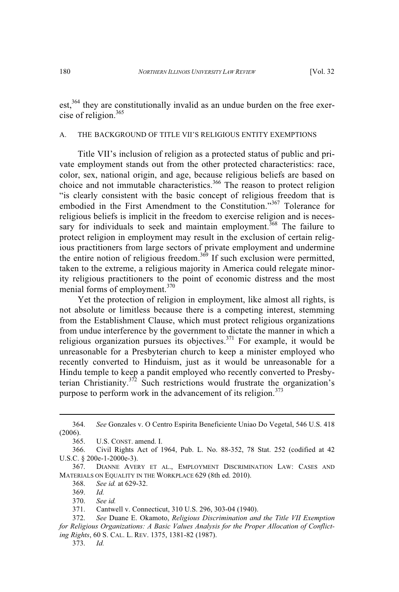est,<sup>364</sup> they are constitutionally invalid as an undue burden on the free exercise of religion.<sup>365</sup>

#### A. THE BACKGROUND OF TITLE VII'S RELIGIOUS ENTITY EXEMPTIONS

Title VII's inclusion of religion as a protected status of public and private employment stands out from the other protected characteristics: race, color, sex, national origin, and age, because religious beliefs are based on choice and not immutable characteristics.<sup>366</sup> The reason to protect religion "is clearly consistent with the basic concept of religious freedom that is embodied in the First Amendment to the Constitution."<sup>367</sup> Tolerance for religious beliefs is implicit in the freedom to exercise religion and is necessary for individuals to seek and maintain employment.<sup>368</sup> The failure to protect religion in employment may result in the exclusion of certain religious practitioners from large sectors of private employment and undermine the entire notion of religious freedom.<sup>369</sup> If such exclusion were permitted, taken to the extreme, a religious majority in America could relegate minority religious practitioners to the point of economic distress and the most menial forms of employment.<sup>370</sup>

Yet the protection of religion in employment, like almost all rights, is not absolute or limitless because there is a competing interest, stemming from the Establishment Clause, which must protect religious organizations from undue interference by the government to dictate the manner in which a religious organization pursues its objectives.<sup>371</sup> For example, it would be unreasonable for a Presbyterian church to keep a minister employed who recently converted to Hinduism, just as it would be unreasonable for a Hindu temple to keep a pandit employed who recently converted to Presbyterian Christianity.<sup>372</sup> Such restrictions would frustrate the organization's purpose to perform work in the advancement of its religion. $373$ 

373. *Id.*

<sup>364.</sup> *See* Gonzales v. O Centro Espirita Beneficiente Uniao Do Vegetal, 546 U.S. 418  $(2006)$ .<br>365.

U.S. CONST. amend. I.

<sup>366.</sup> Civil Rights Act of 1964, Pub. L. No. 88-352, 78 Stat. 252 (codified at 42 U.S.C. § 200e-1-2000e-3).

<sup>367.</sup> DIANNE AVERY ET AL., EMPLOYMENT DISCRIMINATION LAW: CASES AND MATERIALS ON EQUALITY IN THE WORKPLACE 629 (8th ed. 2010).

<sup>368.</sup> *See id.* at 629-32.

<sup>369.</sup> *Id.*

<sup>370.</sup> *See id.*

<sup>371.</sup> Cantwell v. Connecticut, 310 U.S. 296, 303-04 (1940).

<sup>372.</sup> *See* Duane E. Okamoto, *Religious Discrimination and the Title VII Exemption for Religious Organizations: A Basic Values Analysis for the Proper Allocation of Conflicting Rights*, 60 S. CAL. L. REV. 1375, 1381-82 (1987).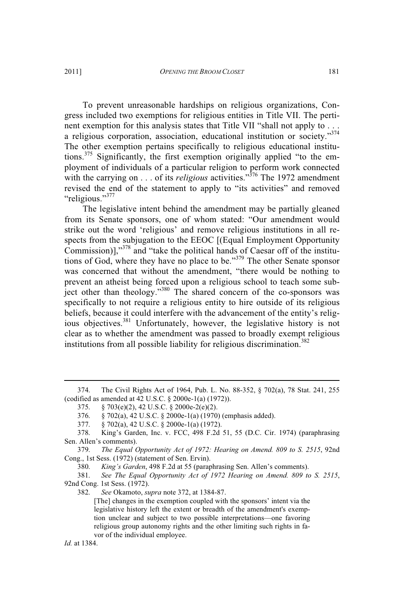To prevent unreasonable hardships on religious organizations, Congress included two exemptions for religious entities in Title VII. The pertinent exemption for this analysis states that Title VII "shall not apply to . . . a religious corporation, association, educational institution or society."374 The other exemption pertains specifically to religious educational institutions.<sup>375</sup> Significantly, the first exemption originally applied "to the employment of individuals of a particular religion to perform work connected with the carrying on . . . of its *religious* activities."<sup>376</sup> The 1972 amendment revised the end of the statement to apply to "its activities" and removed

"religious."<sup>377</sup> The legislative intent behind the amendment may be partially gleaned from its Senate sponsors, one of whom stated: "Our amendment would strike out the word 'religious' and remove religious institutions in all respects from the subjugation to the EEOC [(Equal Employment Opportunity Commission)]," <sup>378</sup> and "take the political hands of Caesar off of the institutions of God, where they have no place to be."<sup>379</sup> The other Senate sponsor was concerned that without the amendment, "there would be nothing to prevent an atheist being forced upon a religious school to teach some subject other than theology."<sup>380</sup> The shared concern of the co-sponsors was specifically to not require a religious entity to hire outside of its religious beliefs, because it could interfere with the advancement of the entity's religious objectives.<sup>381</sup> Unfortunately, however, the legislative history is not clear as to whether the amendment was passed to broadly exempt religious institutions from all possible liability for religious discrimination.<sup>382</sup>

379. *The Equal Opportunity Act of 1972: Hearing on Amend. 809 to S. 2515*, 92nd Cong., 1st Sess. (1972) (statement of Sen. Ervin).

380. *King's Garden*, 498 F.2d at 55 (paraphrasing Sen. Allen's comments).

381. *See The Equal Opportunity Act of 1972 Hearing on Amend. 809 to S. 2515*, 92nd Cong. 1st Sess. (1972).<br>382. See Okamoto. su

382. *See* Okamoto, *supra* note 372, at 1384-87.

[The] changes in the exemption coupled with the sponsors' intent via the legislative history left the extent or breadth of the amendment's exemption unclear and subject to two possible interpretations—one favoring religious group autonomy rights and the other limiting such rights in favor of the individual employee.

<sup>374.</sup> The Civil Rights Act of 1964, Pub. L. No. 88-352, § 702(a), 78 Stat. 241, 255 (codified as amended at 42 U.S.C. § 2000e-1(a) (1972)).

<sup>375. §</sup> 703(e)(2), 42 U.S.C. § 2000e-2(e)(2).

<sup>376. §</sup> 702(a), 42 U.S.C. § 2000e-1(a) (1970) (emphasis added).

<sup>377. §</sup> 702(a), 42 U.S.C. § 2000e-1(a) (1972).

<sup>378.</sup> King's Garden, Inc. v. FCC, 498 F.2d 51, 55 (D.C. Cir. 1974) (paraphrasing Sen. Allen's comments).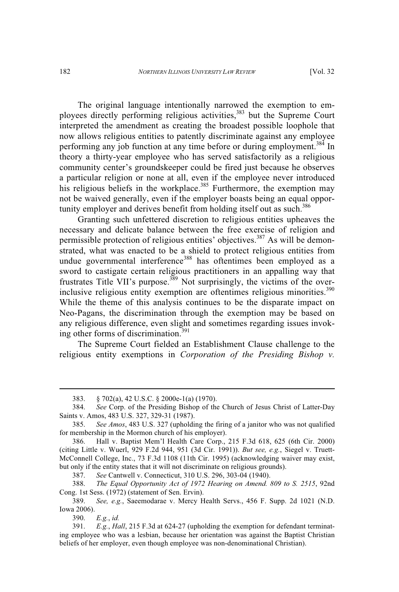The original language intentionally narrowed the exemption to employees directly performing religious activities,<sup>383</sup> but the Supreme Court interpreted the amendment as creating the broadest possible loophole that now allows religious entities to patently discriminate against any employee performing any job function at any time before or during employment.<sup>384</sup> In theory a thirty-year employee who has served satisfactorily as a religious community center's groundskeeper could be fired just because he observes a particular religion or none at all, even if the employee never introduced his religious beliefs in the workplace.<sup>385</sup> Furthermore, the exemption may not be waived generally, even if the employer boasts being an equal opportunity employer and derives benefit from holding itself out as such.<sup>386</sup>

Granting such unfettered discretion to religious entities upheaves the necessary and delicate balance between the free exercise of religion and permissible protection of religious entities' objectives.<sup>387</sup> As will be demonstrated, what was enacted to be a shield to protect religious entities from undue governmental interference<sup>388</sup> has oftentimes been employed as a sword to castigate certain religious practitioners in an appalling way that frustrates Title VII's purpose.<sup>389</sup> Not surprisingly, the victims of the overinclusive religious entity exemption are oftentimes religious minorities.<sup>390</sup> While the theme of this analysis continues to be the disparate impact on Neo-Pagans, the discrimination through the exemption may be based on any religious difference, even slight and sometimes regarding issues invoking other forms of discrimination.<sup>391</sup>

The Supreme Court fielded an Establishment Clause challenge to the religious entity exemptions in *Corporation of the Presiding Bishop v.*

387. *See* Cantwell v. Connecticut, 310 U.S. 296, 303-04 (1940).

388. *The Equal Opportunity Act of 1972 Hearing on Amend. 809 to S. 2515*, 92nd Cong. 1st Sess. (1972) (statement of Sen. Ervin).

389. *See, e.g.*, Saeemodarae v. Mercy Health Servs., 456 F. Supp. 2d 1021 (N.D. Iowa 2006).

390. *E.g.*, *id.*

<sup>383. §</sup> 702(a), 42 U.S.C. § 2000e-1(a) (1970).

<sup>384.</sup> *See* Corp. of the Presiding Bishop of the Church of Jesus Christ of Latter-Day Saints v. Amos, 483 U.S. 327, 329-31 (1987).

<sup>385.</sup> *See Amos*, 483 U.S. 327 (upholding the firing of a janitor who was not qualified for membership in the Mormon church of his employer).

<sup>386.</sup> Hall v. Baptist Mem'l Health Care Corp., 215 F.3d 618, 625 (6th Cir. 2000) (citing Little v. Wuerl, 929 F.2d 944, 951 (3d Cir. 1991)). *But see, e.g.*, Siegel v. Truett-McConnell College, Inc., 73 F.3d 1108 (11th Cir. 1995) (acknowledging waiver may exist, but only if the entity states that it will not discriminate on religious grounds).

<sup>391.</sup> *E.g.*, *Hall*, 215 F.3d at 624-27 (upholding the exemption for defendant terminating employee who was a lesbian, because her orientation was against the Baptist Christian beliefs of her employer, even though employee was non-denominational Christian).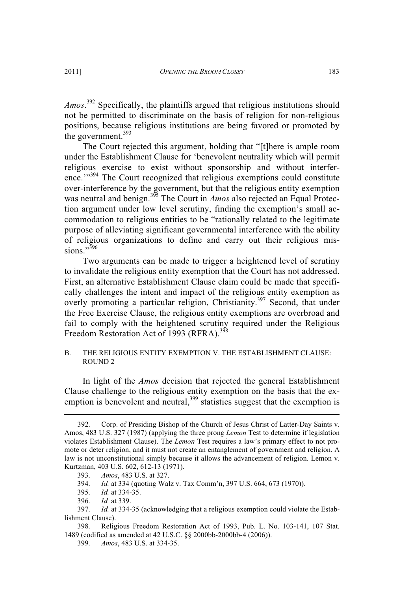*Amos*. <sup>392</sup> Specifically, the plaintiffs argued that religious institutions should not be permitted to discriminate on the basis of religion for non-religious positions, because religious institutions are being favored or promoted by the government. $393$ 

The Court rejected this argument, holding that "[t]here is ample room under the Establishment Clause for 'benevolent neutrality which will permit religious exercise to exist without sponsorship and without interference."<sup>394</sup> The Court recognized that religious exemptions could constitute over-interference by the government, but that the religious entity exemption was neutral and benign.<sup>395</sup> The Court in *Amos* also rejected an Equal Protection argument under low level scrutiny, finding the exemption's small accommodation to religious entities to be "rationally related to the legitimate purpose of alleviating significant governmental interference with the ability of religious organizations to define and carry out their religious missions."<sup>396</sup>

Two arguments can be made to trigger a heightened level of scrutiny to invalidate the religious entity exemption that the Court has not addressed. First, an alternative Establishment Clause claim could be made that specifically challenges the intent and impact of the religious entity exemption as overly promoting a particular religion, Christianity.<sup>397</sup> Second, that under the Free Exercise Clause, the religious entity exemptions are overbroad and fail to comply with the heightened scrutiny required under the Religious Freedom Restoration Act of 1993 (RFRA).<sup>398</sup>

#### B. THE RELIGIOUS ENTITY EXEMPTION V. THE ESTABLISHMENT CLAUSE: ROUND 2

In light of the *Amos* decision that rejected the general Establishment Clause challenge to the religious entity exemption on the basis that the exemption is benevolent and neutral,<sup>399</sup> statistics suggest that the exemption is

<sup>392.</sup> Corp. of Presiding Bishop of the Church of Jesus Christ of Latter-Day Saints v. Amos, 483 U.S. 327 (1987) (applying the three prong *Lemon* Test to determine if legislation violates Establishment Clause). The *Lemon* Test requires a law's primary effect to not promote or deter religion, and it must not create an entanglement of government and religion. A law is not unconstitutional simply because it allows the advancement of religion. Lemon v. Kurtzman, 403 U.S. 602, 612-13 (1971).

<sup>393.</sup> *Amos*, 483 U.S. at 327.

<sup>394.</sup> *Id.* at 334 (quoting Walz v. Tax Comm'n, 397 U.S. 664, 673 (1970)).

<sup>395.</sup> *Id.* at 334-35.

<sup>396.</sup> *Id.* at 339.

<sup>397.</sup> *Id.* at 334-35 (acknowledging that a religious exemption could violate the Establishment Clause).

<sup>398.</sup> Religious Freedom Restoration Act of 1993, Pub. L. No. 103-141, 107 Stat. 1489 (codified as amended at 42 U.S.C. §§ 2000bb-2000bb-4 (2006)).

<sup>399.</sup> *Amos*, 483 U.S. at 334-35.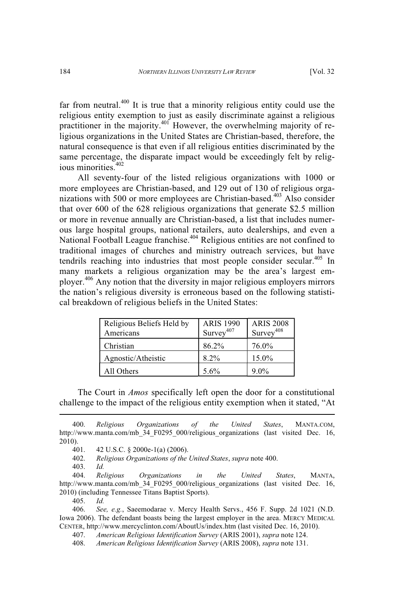far from neutral. $400$  It is true that a minority religious entity could use the religious entity exemption to just as easily discriminate against a religious practitioner in the majority.<sup>401</sup> However, the overwhelming majority of religious organizations in the United States are Christian-based, therefore, the natural consequence is that even if all religious entities discriminated by the same percentage, the disparate impact would be exceedingly felt by religious minorities.<sup>402</sup>

All seventy-four of the listed religious organizations with 1000 or more employees are Christian-based, and 129 out of 130 of religious organizations with 500 or more employees are Christian-based.<sup>403</sup> Also consider that over 600 of the 628 religious organizations that generate \$2.5 million or more in revenue annually are Christian-based, a list that includes numerous large hospital groups, national retailers, auto dealerships, and even a National Football League franchise.<sup>404</sup> Religious entities are not confined to traditional images of churches and ministry outreach services, but have tendrils reaching into industries that most people consider secular.<sup>405</sup> In many markets a religious organization may be the area's largest employer.<sup>406</sup> Any notion that the diversity in major religious employers mirrors the nation's religious diversity is erroneous based on the following statistical breakdown of religious beliefs in the United States:

| Religious Beliefs Held by<br>Americans | <b>ARIS 1990</b><br>Survey <sup>407</sup> | <b>ARIS 2008</b><br>$Survey^{408}$ |
|----------------------------------------|-------------------------------------------|------------------------------------|
| Christian                              | 86.2%                                     | 76.0%                              |
| Agnostic/Atheistic                     | $8.2\%$                                   | 15.0%                              |
| All Others                             | 5.6%                                      | $9.0\%$                            |

The Court in *Amos* specifically left open the door for a constitutional challenge to the impact of the religious entity exemption when it stated, "At

405. *Id.*

406. *See, e.g.*, Saeemodarae v. Mercy Health Servs., 456 F. Supp. 2d 1021 (N.D. Iowa 2006). The defendant boasts being the largest employer in the area. MERCY MEDICAL CENTER, http://www.mercyclinton.com/AboutUs/index.htm (last visited Dec. 16, 2010).

407. *American Religious Identification Survey* (ARIS 2001), *supra* note 124.

<sup>400.</sup> *Religious Organizations of the United States*, MANTA.COM, http://www.manta.com/mb\_34\_F0295\_000/religious\_organizations (last visited Dec. 16, 2010).

<sup>401. 42</sup> U.S.C. § 2000e-1(a) (2006).

<sup>402.</sup> *Religious Organizations of the United States*, *supra* note 400.

<sup>403.</sup> *Id.*

<sup>404.</sup> *Religious Organizations in the United States*, MANTA, http://www.manta.com/mb\_34\_F0295\_000/religious\_organizations (last visited Dec. 16, 2010) (including Tennessee Titans Baptist Sports).

<sup>408.</sup> *American Religious Identification Survey* (ARIS 2008), *supra* note 131.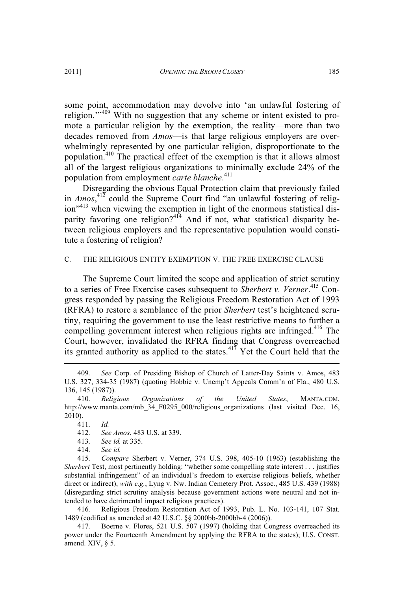some point, accommodation may devolve into 'an unlawful fostering of religion."<sup>409</sup> With no suggestion that any scheme or intent existed to promote a particular religion by the exemption, the reality—more than two decades removed from *Amos*—is that large religious employers are overwhelmingly represented by one particular religion, disproportionate to the population.<sup>410</sup> The practical effect of the exemption is that it allows almost all of the largest religious organizations to minimally exclude 24% of the population from employment *carte blanche*. 411

Disregarding the obvious Equal Protection claim that previously failed in *Amos*, <sup>412</sup> could the Supreme Court find "an unlawful fostering of religion"<sup>413</sup> when viewing the exemption in light of the enormous statistical disparity favoring one religion?<sup>414</sup> And if not, what statistical disparity between religious employers and the representative population would constitute a fostering of religion?

#### C. THE RELIGIOUS ENTITY EXEMPTION V. THE FREE EXERCISE CLAUSE

The Supreme Court limited the scope and application of strict scrutiny to a series of Free Exercise cases subsequent to *Sherbert v. Verner*. <sup>415</sup> Congress responded by passing the Religious Freedom Restoration Act of 1993 (RFRA) to restore a semblance of the prior *Sherbert* test's heightened scrutiny, requiring the government to use the least restrictive means to further a compelling government interest when religious rights are infringed.<sup>416</sup> The Court, however, invalidated the RFRA finding that Congress overreached its granted authority as applied to the states.<sup>417</sup> Yet the Court held that the

412. *See Amos*, 483 U.S. at 339.

413. *See id.* at 335.

414. *See id.*

415. *Compare* Sherbert v. Verner, 374 U.S. 398, 405-10 (1963) (establishing the *Sherbert* Test, most pertinently holding: "whether some compelling state interest . . . justifies substantial infringement" of an individual's freedom to exercise religious beliefs, whether direct or indirect), *with e.g.*, Lyng v. Nw. Indian Cemetery Prot. Assoc., 485 U.S. 439 (1988) (disregarding strict scrutiny analysis because government actions were neutral and not intended to have detrimental impact religious practices).

416. Religious Freedom Restoration Act of 1993, Pub. L. No. 103-141, 107 Stat. 1489 (codified as amended at 42 U.S.C. §§ 2000bb-2000bb-4 (2006)).

417. Boerne v. Flores, 521 U.S. 507 (1997) (holding that Congress overreached its power under the Fourteenth Amendment by applying the RFRA to the states); U.S. CONST. amend. XIV, § 5.

<sup>409.</sup> *See* Corp. of Presiding Bishop of Church of Latter-Day Saints v. Amos, 483 U.S. 327, 334-35 (1987) (quoting Hobbie v. Unemp't Appeals Comm'n of Fla., 480 U.S. 136, 145 (1987)).

<sup>410.</sup> *Religious Organizations of the United States*, MANTA.COM, http://www.manta.com/mb 34 F0295 000/religious organizations (last visited Dec. 16, 2010).

<sup>411.</sup> *Id.*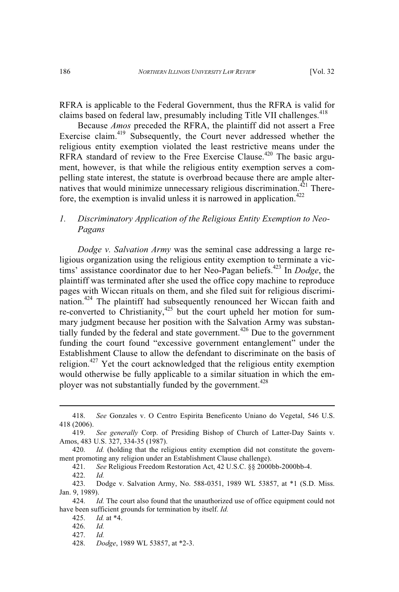RFRA is applicable to the Federal Government, thus the RFRA is valid for claims based on federal law, presumably including Title VII challenges.<sup>418</sup>

Because *Amos* preceded the RFRA, the plaintiff did not assert a Free Exercise claim.<sup>419</sup> Subsequently, the Court never addressed whether the religious entity exemption violated the least restrictive means under the RFRA standard of review to the Free Exercise Clause.<sup>420</sup> The basic argument, however, is that while the religious entity exemption serves a compelling state interest, the statute is overbroad because there are ample alternatives that would minimize unnecessary religious discrimination. $421$  Therefore, the exemption is invalid unless it is narrowed in application.<sup>422</sup>

# *1. Discriminatory Application of the Religious Entity Exemption to Neo-Pagans*

*Dodge v. Salvation Army* was the seminal case addressing a large religious organization using the religious entity exemption to terminate a victims' assistance coordinator due to her Neo-Pagan beliefs.<sup>423</sup> In *Dodge*, the plaintiff was terminated after she used the office copy machine to reproduce pages with Wiccan rituals on them, and she filed suit for religious discrimination.<sup>424</sup> The plaintiff had subsequently renounced her Wiccan faith and re-converted to Christianity,<sup>425</sup> but the court upheld her motion for summary judgment because her position with the Salvation Army was substantially funded by the federal and state government.<sup> $426$ </sup> Due to the government funding the court found "excessive government entanglement" under the Establishment Clause to allow the defendant to discriminate on the basis of religion.<sup>427</sup> Yet the court acknowledged that the religious entity exemption would otherwise be fully applicable to a similar situation in which the employer was not substantially funded by the government.<sup>428</sup>

421. *See* Religious Freedom Restoration Act, 42 U.S.C. §§ 2000bb-2000bb-4.

<sup>418.</sup> *See* Gonzales v. O Centro Espirita Beneficento Uniano do Vegetal, 546 U.S. 418 (2006).

<sup>419.</sup> *See generally* Corp. of Presiding Bishop of Church of Latter-Day Saints v. Amos, 483 U.S. 327, 334-35 (1987).

<sup>420.</sup> *Id.* (holding that the religious entity exemption did not constitute the government promoting any religion under an Establishment Clause challenge).

<sup>422.</sup> *Id.*

<sup>423.</sup> Dodge v. Salvation Army, No. 588-0351, 1989 WL 53857, at \*1 (S.D. Miss. Jan. 9, 1989).

<sup>424.</sup> *Id.* The court also found that the unauthorized use of office equipment could not have been sufficient grounds for termination by itself. *Id.*

<sup>425.</sup> *Id.* at \*4.

<sup>426.</sup> *Id.*

<sup>427.</sup> *Id.*

<sup>428.</sup> *Dodge*, 1989 WL 53857, at \*2-3.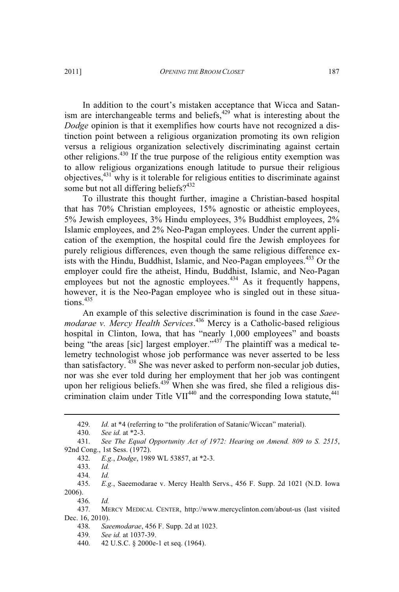In addition to the court's mistaken acceptance that Wicca and Satanism are interchangeable terms and beliefs, $429$  what is interesting about the *Dodge* opinion is that it exemplifies how courts have not recognized a distinction point between a religious organization promoting its own religion versus a religious organization selectively discriminating against certain other religions.<sup>430</sup> If the true purpose of the religious entity exemption was to allow religious organizations enough latitude to pursue their religious objectives,<sup>431</sup> why is it tolerable for religious entities to discriminate against some but not all differing beliefs?<sup>432</sup>

To illustrate this thought further, imagine a Christian-based hospital that has 70% Christian employees, 15% agnostic or atheistic employees, 5% Jewish employees, 3% Hindu employees, 3% Buddhist employees, 2% Islamic employees, and 2% Neo-Pagan employees. Under the current application of the exemption, the hospital could fire the Jewish employees for purely religious differences, even though the same religious difference exists with the Hindu, Buddhist, Islamic, and Neo-Pagan employees.<sup>433</sup> Or the employer could fire the atheist, Hindu, Buddhist, Islamic, and Neo-Pagan employees but not the agnostic employees.<sup>434</sup> As it frequently happens, however, it is the Neo-Pagan employee who is singled out in these situations.<sup>435</sup>

An example of this selective discrimination is found in the case *Saeemodarae v. Mercy Health Services*. <sup>436</sup> Mercy is a Catholic-based religious hospital in Clinton, Iowa, that has "nearly 1,000 employees" and boasts being "the areas [sic] largest employer."<sup>437</sup> The plaintiff was a medical telemetry technologist whose job performance was never asserted to be less than satisfactory. <sup>438</sup> She was never asked to perform non-secular job duties, nor was she ever told during her employment that her job was contingent upon her religious beliefs.<sup>439</sup> When she was fired, she filed a religious discrimination claim under Title VII<sup>440</sup> and the corresponding Iowa statute,  $441$ 

436. *Id.*

<sup>429.</sup> *Id.* at \*4 (referring to "the proliferation of Satanic/Wiccan" material).

<sup>430.</sup> *See id.* at \*2-3.

<sup>431.</sup> *See The Equal Opportunity Act of 1972: Hearing on Amend. 809 to S. 2515*, 92nd Cong., 1st Sess. (1972).

<sup>432.</sup> *E.g.*, *Dodge*, 1989 WL 53857, at \*2-3.

<sup>433.</sup> *Id.*

<sup>434.</sup> *Id.*

<sup>435.</sup> *E.g.*, Saeemodarae v. Mercy Health Servs., 456 F. Supp. 2d 1021 (N.D. Iowa 2006).

<sup>437.</sup> MERCY MEDICAL CENTER, http://www.mercyclinton.com/about-us (last visited Dec. 16, 2010).

<sup>438.</sup> *Saeemodarae*, 456 F. Supp. 2d at 1023.

<sup>439.</sup> *See id.* at 1037-39.

<sup>440. 42</sup> U.S.C. § 2000e-1 et seq. (1964).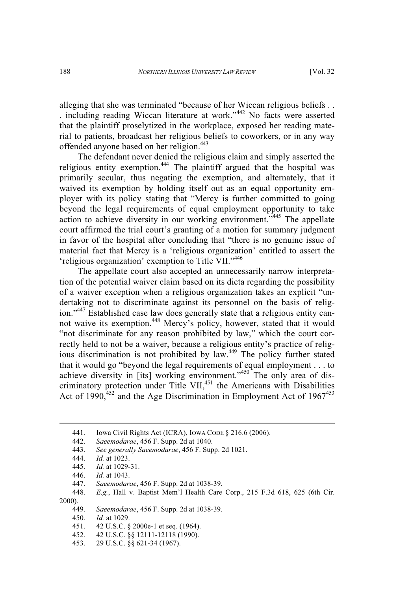alleging that she was terminated "because of her Wiccan religious beliefs . . . including reading Wiccan literature at work."<sup>442</sup> No facts were asserted that the plaintiff proselytized in the workplace, exposed her reading material to patients, broadcast her religious beliefs to coworkers, or in any way offended anyone based on her religion.<sup>443</sup>

The defendant never denied the religious claim and simply asserted the religious entity exemption.<sup>444</sup> The plaintiff argued that the hospital was primarily secular, thus negating the exemption, and alternately, that it waived its exemption by holding itself out as an equal opportunity employer with its policy stating that "Mercy is further committed to going beyond the legal requirements of equal employment opportunity to take action to achieve diversity in our working environment."<sup>445</sup> The appellate court affirmed the trial court's granting of a motion for summary judgment in favor of the hospital after concluding that "there is no genuine issue of material fact that Mercy is a 'religious organization' entitled to assert the 'religious organization' exemption to Title VII."446

The appellate court also accepted an unnecessarily narrow interpretation of the potential waiver claim based on its dicta regarding the possibility of a waiver exception when a religious organization takes an explicit "undertaking not to discriminate against its personnel on the basis of religion."<sup>447</sup> Established case law does generally state that a religious entity cannot waive its exemption.<sup>448</sup> Mercy's policy, however, stated that it would "not discriminate for any reason prohibited by law," which the court correctly held to not be a waiver, because a religious entity's practice of religious discrimination is not prohibited by law.<sup>449</sup> The policy further stated that it would go "beyond the legal requirements of equal employment . . . to achieve diversity in [its] working environment."<sup>450</sup> The only area of discriminatory protection under Title VII,<sup>451</sup> the Americans with Disabilities Act of 1990, $452$  and the Age Discrimination in Employment Act of 1967 $453$ 

<sup>441.</sup> Iowa Civil Rights Act (ICRA), Iowa Cope § 216.6 (2006).<br>442. *Saeemodarae*. 456 F. Supp. 2d at 1040.

<sup>442.</sup> *Saeemodarae*, 456 F. Supp. 2d at 1040.

<sup>443.</sup> *See generally Saeemodarae*, 456 F. Supp. 2d 1021.

<sup>444.</sup> *Id.* at 1023.

<sup>445.</sup> *Id.* at 1029-31.

<sup>446.</sup> *Id.* at 1043.

<sup>447.</sup> *Saeemodarae*, 456 F. Supp. 2d at 1038-39.

<sup>448.</sup> *E.g.*, Hall v. Baptist Mem'l Health Care Corp., 215 F.3d 618, 625 (6th Cir. 2000).

<sup>449.</sup> *Saeemodarae*, 456 F. Supp. 2d at 1038-39.

<sup>450.</sup> *Id.* at 1029.

<sup>451. 42</sup> U.S.C. § 2000e-1 et seq. (1964).

<sup>452. 42</sup> U.S.C. §§ 12111-12118 (1990).

<sup>453. 29</sup> U.S.C. §§ 621-34 (1967).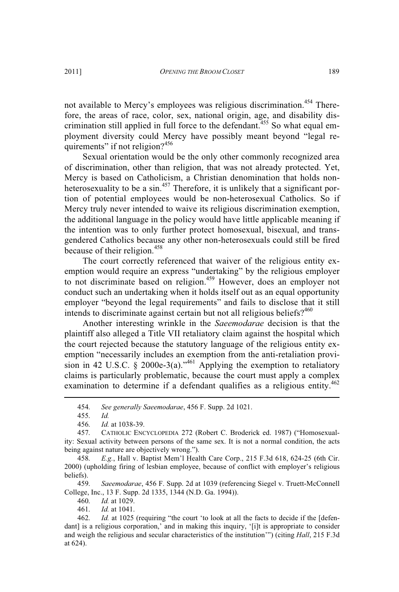not available to Mercy's employees was religious discrimination.<sup>454</sup> Therefore, the areas of race, color, sex, national origin, age, and disability discrimination still applied in full force to the defendant.<sup>455</sup> So what equal employment diversity could Mercy have possibly meant beyond "legal requirements" if not religion? $456$ 

Sexual orientation would be the only other commonly recognized area of discrimination, other than religion, that was not already protected. Yet, Mercy is based on Catholicism, a Christian denomination that holds nonheterosexuality to be a sin.<sup>457</sup> Therefore, it is unlikely that a significant portion of potential employees would be non-heterosexual Catholics. So if Mercy truly never intended to waive its religious discrimination exemption, the additional language in the policy would have little applicable meaning if the intention was to only further protect homosexual, bisexual, and transgendered Catholics because any other non-heterosexuals could still be fired because of their religion.<sup>458</sup>

The court correctly referenced that waiver of the religious entity exemption would require an express "undertaking" by the religious employer to not discriminate based on religion.<sup>459</sup> However, does an employer not conduct such an undertaking when it holds itself out as an equal opportunity employer "beyond the legal requirements" and fails to disclose that it still intends to discriminate against certain but not all religious beliefs?<sup>460</sup>

Another interesting wrinkle in the *Saeemodarae* decision is that the plaintiff also alleged a Title VII retaliatory claim against the hospital which the court rejected because the statutory language of the religious entity exemption "necessarily includes an exemption from the anti-retaliation provision in 42 U.S.C. § 2000e-3(a)."<sup>461</sup> Applying the exemption to retaliatory claims is particularly problematic, because the court must apply a complex examination to determine if a defendant qualifies as a religious entity.<sup>462</sup>

458. *E.g.*, Hall v. Baptist Mem'l Health Care Corp., 215 F.3d 618, 624-25 (6th Cir. 2000) (upholding firing of lesbian employee, because of conflict with employer's religious beliefs).

459. *Saeemodarae*, 456 F. Supp. 2d at 1039 (referencing Siegel v. Truett-McConnell College, Inc., 13 F. Supp. 2d 1335, 1344 (N.D. Ga. 1994)).

460. *Id.* at 1029.

461. *Id.* at 1041.

<sup>454.</sup> *See generally Saeemodarae*, 456 F. Supp. 2d 1021.

<sup>455.</sup> *Id.*

<sup>456.</sup> *Id.* at 1038-39.

<sup>457.</sup> CATHOLIC ENCYCLOPEDIA 272 (Robert C. Broderick ed. 1987) ("Homosexuality: Sexual activity between persons of the same sex. It is not a normal condition, the acts being against nature are objectively wrong.").

<sup>462.</sup> *Id.* at 1025 (requiring "the court 'to look at all the facts to decide if the [defendant] is a religious corporation,' and in making this inquiry, '[i]t is appropriate to consider and weigh the religious and secular characteristics of the institution'") (citing *Hall*, 215 F.3d at 624).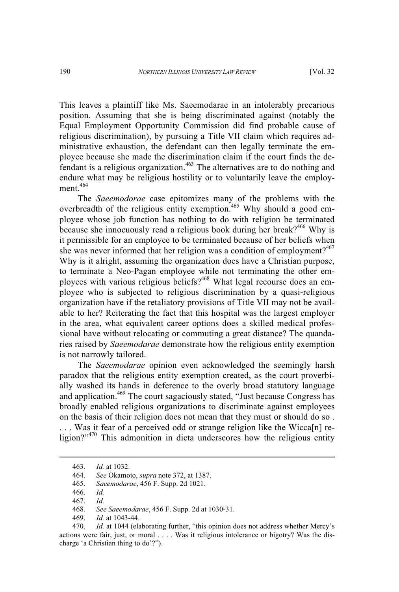This leaves a plaintiff like Ms. Saeemodarae in an intolerably precarious position. Assuming that she is being discriminated against (notably the Equal Employment Opportunity Commission did find probable cause of religious discrimination), by pursuing a Title VII claim which requires administrative exhaustion, the defendant can then legally terminate the employee because she made the discrimination claim if the court finds the defendant is a religious organization.<sup>463</sup> The alternatives are to do nothing and endure what may be religious hostility or to voluntarily leave the employment.<sup>464</sup>

The *Saeemodorae* case epitomizes many of the problems with the overbreadth of the religious entity exemption.<sup>465</sup> Why should a good employee whose job function has nothing to do with religion be terminated because she innocuously read a religious book during her break?<sup>466</sup> Why is it permissible for an employee to be terminated because of her beliefs when she was never informed that her religion was a condition of employment?<sup>467</sup> Why is it alright, assuming the organization does have a Christian purpose, to terminate a Neo-Pagan employee while not terminating the other employees with various religious beliefs?<sup>468</sup> What legal recourse does an employee who is subjected to religious discrimination by a quasi-religious organization have if the retaliatory provisions of Title VII may not be available to her? Reiterating the fact that this hospital was the largest employer in the area, what equivalent career options does a skilled medical professional have without relocating or commuting a great distance? The quandaries raised by *Saeemodarae* demonstrate how the religious entity exemption is not narrowly tailored.

The *Saeemodarae* opinion even acknowledged the seemingly harsh paradox that the religious entity exemption created, as the court proverbially washed its hands in deference to the overly broad statutory language and application.<sup>469</sup> The court sagaciously stated, "Just because Congress has broadly enabled religious organizations to discriminate against employees on the basis of their religion does not mean that they must or should do so . ... Was it fear of a perceived odd or strange religion like the Wicca[n] religion?"<sup>470</sup> This admonition in dicta underscores how the religious entity

<sup>463.</sup> *Id.* at 1032.

<sup>464.</sup> *See* Okamoto, *supra* note 372, at 1387.

<sup>465.</sup> *Saeemodarae*, 456 F. Supp. 2d 1021.

<sup>466.</sup> *Id.*

<sup>467.</sup> *Id.*

<sup>468.</sup> *See Saeemodarae*, 456 F. Supp. 2d at 1030-31.

<sup>469.</sup> *Id.* at 1043-44.

<sup>470.</sup> *Id.* at 1044 (elaborating further, "this opinion does not address whether Mercy's actions were fair, just, or moral . . . . Was it religious intolerance or bigotry? Was the discharge 'a Christian thing to do'?").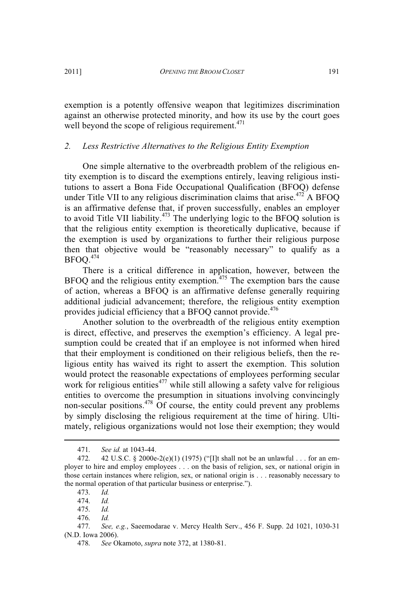exemption is a potently offensive weapon that legitimizes discrimination against an otherwise protected minority, and how its use by the court goes well beyond the scope of religious requirement. $471$ 

# *2. Less Restrictive Alternatives to the Religious Entity Exemption*

One simple alternative to the overbreadth problem of the religious entity exemption is to discard the exemptions entirely, leaving religious institutions to assert a Bona Fide Occupational Qualification (BFOQ) defense under Title VII to any religious discrimination claims that arise.<sup> $472$ </sup> A BFOQ is an affirmative defense that, if proven successfully, enables an employer to avoid Title VII liability.<sup>473</sup> The underlying logic to the BFOQ solution is that the religious entity exemption is theoretically duplicative, because if the exemption is used by organizations to further their religious purpose then that objective would be "reasonably necessary" to qualify as a BFOQ.<sup>474</sup>

There is a critical difference in application, however, between the  $BFOQ$  and the religious entity exemption.<sup>475</sup> The exemption bars the cause of action, whereas a BFOQ is an affirmative defense generally requiring additional judicial advancement; therefore, the religious entity exemption provides judicial efficiency that a BFOQ cannot provide.<sup>476</sup>

Another solution to the overbreadth of the religious entity exemption is direct, effective, and preserves the exemption's efficiency. A legal presumption could be created that if an employee is not informed when hired that their employment is conditioned on their religious beliefs, then the religious entity has waived its right to assert the exemption. This solution would protect the reasonable expectations of employees performing secular work for religious entities<sup> $477$ </sup> while still allowing a safety valve for religious entities to overcome the presumption in situations involving convincingly non-secular positions.<sup>478</sup> Of course, the entity could prevent any problems by simply disclosing the religious requirement at the time of hiring. Ultimately, religious organizations would not lose their exemption; they would

<sup>471.</sup> *See id.* at 1043-44.

<sup>472. 42</sup> U.S.C. § 2000e-2(e)(1) (1975) ("[I]t shall not be an unlawful . . . for an employer to hire and employ employees . . . on the basis of religion, sex, or national origin in those certain instances where religion, sex, or national origin is . . . reasonably necessary to the normal operation of that particular business or enterprise.").

<sup>473.</sup> *Id.*

<sup>474.</sup> *Id.*

<sup>475.</sup> *Id.*

<sup>476.</sup> *Id.*

<sup>477.</sup> *See, e.g.*, Saeemodarae v. Mercy Health Serv., 456 F. Supp. 2d 1021, 1030-31 (N.D. Iowa 2006).

<sup>478.</sup> *See* Okamoto, *supra* note 372, at 1380-81.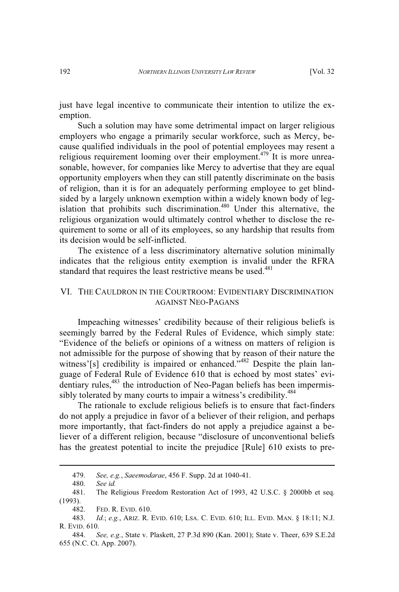just have legal incentive to communicate their intention to utilize the exemption.

Such a solution may have some detrimental impact on larger religious employers who engage a primarily secular workforce, such as Mercy, because qualified individuals in the pool of potential employees may resent a religious requirement looming over their employment.<sup>479</sup> It is more unreasonable, however, for companies like Mercy to advertise that they are equal opportunity employers when they can still patently discriminate on the basis of religion, than it is for an adequately performing employee to get blindsided by a largely unknown exemption within a widely known body of legislation that prohibits such discrimination.<sup>480</sup> Under this alternative, the religious organization would ultimately control whether to disclose the requirement to some or all of its employees, so any hardship that results from its decision would be self-inflicted.

The existence of a less discriminatory alternative solution minimally indicates that the religious entity exemption is invalid under the RFRA standard that requires the least restrictive means be used.<sup>481</sup>

# VI. THE CAULDRON IN THE COURTROOM: EVIDENTIARY DISCRIMINATION AGAINST NEO-PAGANS

Impeaching witnesses' credibility because of their religious beliefs is seemingly barred by the Federal Rules of Evidence, which simply state: "Evidence of the beliefs or opinions of a witness on matters of religion is not admissible for the purpose of showing that by reason of their nature the witness'[s] credibility is impaired or enhanced."<sup>482</sup> Despite the plain language of Federal Rule of Evidence 610 that is echoed by most states' evidentiary rules,<sup>483</sup> the introduction of Neo-Pagan beliefs has been impermissibly tolerated by many courts to impair a witness's credibility.<sup>484</sup>

The rationale to exclude religious beliefs is to ensure that fact-finders do not apply a prejudice in favor of a believer of their religion, and perhaps more importantly, that fact-finders do not apply a prejudice against a believer of a different religion, because "disclosure of unconventional beliefs has the greatest potential to incite the prejudice [Rule] 610 exists to pre-

<sup>479.</sup> *See, e.g.*, *Saeemodarae*, 456 F. Supp. 2d at 1040-41.

<sup>480.</sup> *See id.*

The Religious Freedom Restoration Act of 1993, 42 U.S.C. § 2000bb et seq. (1993).

<sup>482.</sup> FED. R. EVID. 610.

<sup>483.</sup> *Id.*; *e.g.*, ARIZ. R. EVID. 610; LSA. C. EVID. 610; ILL. EVID. MAN. § 18:11; N.J. R. EVID. 610.

<sup>484.</sup> *See, e.g.*, State v. Plaskett, 27 P.3d 890 (Kan. 2001); State v. Theer, 639 S.E.2d 655 (N.C. Ct. App. 2007).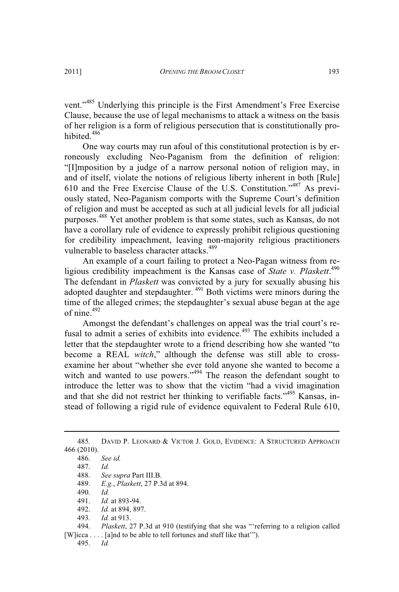vent."<sup>485</sup> Underlying this principle is the First Amendment's Free Exercise Clause, because the use of legal mechanisms to attack a witness on the basis of her religion is a form of religious persecution that is constitutionally prohibited<sup>486</sup>

One way courts may run afoul of this constitutional protection is by erroneously excluding Neo-Paganism from the definition of religion: "[I]mposition by a judge of a narrow personal notion of religion may, in and of itself, violate the notions of religious liberty inherent in both [Rule] 610 and the Free Exercise Clause of the U.S. Constitution." <sup>487</sup> As previously stated, Neo-Paganism comports with the Supreme Court's definition of religion and must be accepted as such at all judicial levels for all judicial purposes.<sup>488</sup> Yet another problem is that some states, such as Kansas, do not have a corollary rule of evidence to expressly prohibit religious questioning for credibility impeachment, leaving non-majority religious practitioners vulnerable to baseless character attacks.<sup>489</sup>

An example of a court failing to protect a Neo-Pagan witness from religious credibility impeachment is the Kansas case of *State v. Plaskett*. 490 The defendant in *Plaskett* was convicted by a jury for sexually abusing his adopted daughter and stepdaughter. <sup>491</sup> Both victims were minors during the time of the alleged crimes; the stepdaughter's sexual abuse began at the age of nine.<sup>492</sup>

Amongst the defendant's challenges on appeal was the trial court's refusal to admit a series of exhibits into evidence.<sup>493</sup> The exhibits included a letter that the stepdaughter wrote to a friend describing how she wanted "to become a REAL *witch*," although the defense was still able to crossexamine her about "whether she ever told anyone she wanted to become a witch and wanted to use powers."<sup>494</sup> The reason the defendant sought to introduce the letter was to show that the victim "had a vivid imagination and that she did not restrict her thinking to verifiable facts."<sup>495</sup> Kansas, instead of following a rigid rule of evidence equivalent to Federal Rule 610,

485. DAVID P. LEONARD & VICTOR J. GOLD, EVIDENCE: A STRUCTURED APPROACH 466 (2010).

- 489. *E.g.*, *Plaskett*, 27 P.3d at 894.
- 490. *Id.*

494. *Plaskett*, 27 P.3d at 910 (testifying that she was "'referring to a religion called [W]icca . . . . [a]nd to be able to tell fortunes and stuff like that"").

495. *Id.*

<sup>486.</sup> *See id.*

<sup>487.</sup> *Id.*

<sup>488.</sup> *See supra* Part III.B.

<sup>491.</sup> *Id.* at 893-94.

<sup>492.</sup> *Id.* at 894, 897.

<sup>493.</sup> *Id.* at 913.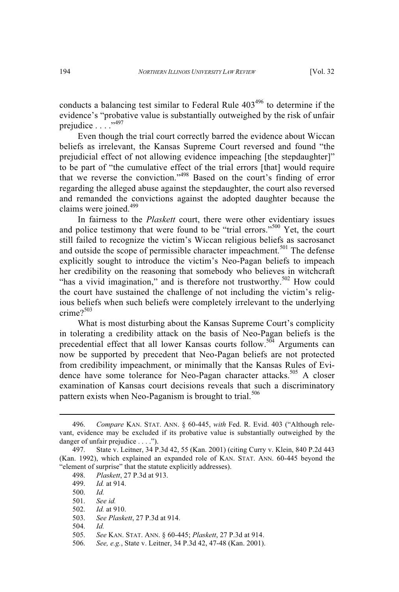conducts a balancing test similar to Federal Rule  $403^{496}$  to determine if the evidence's "probative value is substantially outweighed by the risk of unfair prejudice . . . .<sup>,497</sup>

Even though the trial court correctly barred the evidence about Wiccan beliefs as irrelevant, the Kansas Supreme Court reversed and found "the prejudicial effect of not allowing evidence impeaching [the stepdaughter]" to be part of "the cumulative effect of the trial errors [that] would require that we reverse the conviction." <sup>498</sup> Based on the court's finding of error regarding the alleged abuse against the stepdaughter, the court also reversed and remanded the convictions against the adopted daughter because the claims were joined.<sup>499</sup>

In fairness to the *Plaskett* court, there were other evidentiary issues and police testimony that were found to be "trial errors."<sup>500</sup> Yet, the court still failed to recognize the victim's Wiccan religious beliefs as sacrosanct and outside the scope of permissible character impeachment.<sup>501</sup> The defense explicitly sought to introduce the victim's Neo-Pagan beliefs to impeach her credibility on the reasoning that somebody who believes in witchcraft "has a vivid imagination," and is therefore not trustworthy.<sup>502</sup> How could the court have sustained the challenge of not including the victim's religious beliefs when such beliefs were completely irrelevant to the underlying crime?<sup>503</sup>

What is most disturbing about the Kansas Supreme Court's complicity in tolerating a credibility attack on the basis of Neo-Pagan beliefs is the precedential effect that all lower Kansas courts follow.<sup>504</sup> Arguments can now be supported by precedent that Neo-Pagan beliefs are not protected from credibility impeachment, or minimally that the Kansas Rules of Evidence have some tolerance for Neo-Pagan character attacks.<sup>505</sup> A closer examination of Kansas court decisions reveals that such a discriminatory pattern exists when Neo-Paganism is brought to trial.<sup>506</sup>

<sup>496.</sup> *Compare* KAN. STAT. ANN. § 60-445, *with* Fed. R. Evid. 403 ("Although relevant, evidence may be excluded if its probative value is substantially outweighed by the danger of unfair prejudice . . . .").

<sup>497.</sup> State v. Leitner, 34 P.3d 42, 55 (Kan. 2001) (citing Curry v. Klein, 840 P.2d 443 (Kan. 1992), which explained an expanded role of KAN. STAT. ANN. 60-445 beyond the "element of surprise" that the statute explicitly addresses).

<sup>498.</sup> *Plaskett*, 27 P.3d at 913.

<sup>499.</sup> *Id.* at 914.

<sup>500.</sup> *Id.*

<sup>501.</sup> *See id.*

<sup>502.</sup> *Id.* at 910.

<sup>503.</sup> *See Plaskett*, 27 P.3d at 914.

<sup>504.</sup> *Id.*

<sup>505.</sup> *See* KAN. STAT. ANN. § 60-445; *Plaskett*, 27 P.3d at 914.

<sup>506.</sup> *See, e.g.*, State v. Leitner, 34 P.3d 42, 47-48 (Kan. 2001).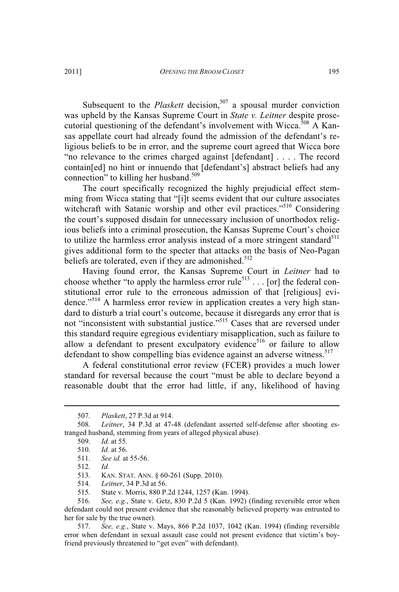Subsequent to the *Plaskett* decision,<sup>507</sup> a spousal murder conviction was upheld by the Kansas Supreme Court in *State v. Leitner* despite prosecutorial questioning of the defendant's involvement with Wicca.<sup>508</sup> A Kansas appellate court had already found the admission of the defendant's religious beliefs to be in error, and the supreme court agreed that Wicca bore "no relevance to the crimes charged against [defendant] . . . . The record contain[ed] no hint or innuendo that [defendant's] abstract beliefs had any connection" to killing her husband.<sup>509</sup>

The court specifically recognized the highly prejudicial effect stemming from Wicca stating that "[i]t seems evident that our culture associates witchcraft with Satanic worship and other evil practices."<sup>510</sup> Considering the court's supposed disdain for unnecessary inclusion of unorthodox religious beliefs into a criminal prosecution, the Kansas Supreme Court's choice to utilize the harmless error analysis instead of a more stringent standard $511$ gives additional form to the specter that attacks on the basis of Neo-Pagan beliefs are tolerated, even if they are admonished.<sup>512</sup>

Having found error, the Kansas Supreme Court in *Leitner* had to choose whether "to apply the harmless error rule<sup>513</sup> . . . [or] the federal constitutional error rule to the erroneous admission of that [religious] evidence."<sup>514</sup> A harmless error review in application creates a very high standard to disturb a trial court's outcome, because it disregards any error that is not "inconsistent with substantial justice." <sup>515</sup> Cases that are reversed under this standard require egregious evidentiary misapplication, such as failure to allow a defendant to present exculpatory evidence<sup>516</sup> or failure to allow defendant to show compelling bias evidence against an adverse witness.<sup>517</sup>

A federal constitutional error review (FCER) provides a much lower standard for reversal because the court "must be able to declare beyond a reasonable doubt that the error had little, if any, likelihood of having

513. KAN. STAT. ANN. § 60-261 (Supp. 2010).

<sup>507.</sup> *Plaskett*, 27 P.3d at 914.

<sup>508.</sup> *Leitner*, 34 P.3d at 47-48 (defendant asserted self-defense after shooting estranged husband, stemming from years of alleged physical abuse).

<sup>509.</sup> *Id.* at 55.

<sup>510.</sup> *Id.* at 56. 511. *See id.* at 55-56.

<sup>512.</sup> *Id.*

<sup>514.</sup> *Leitner*, 34 P.3d at 56.

<sup>515.</sup> State v. Morris, 880 P.2d 1244, 1257 (Kan. 1994).

<sup>516.</sup> *See, e.g.*, State v. Getz, 830 P.2d 5 (Kan. 1992) (finding reversible error when defendant could not present evidence that she reasonably believed property was entrusted to her for sale by the true owner).

<sup>517.</sup> *See, e.g.*, State v. Mays, 866 P.2d 1037, 1042 (Kan. 1994) (finding reversible error when defendant in sexual assault case could not present evidence that victim's boyfriend previously threatened to "get even" with defendant).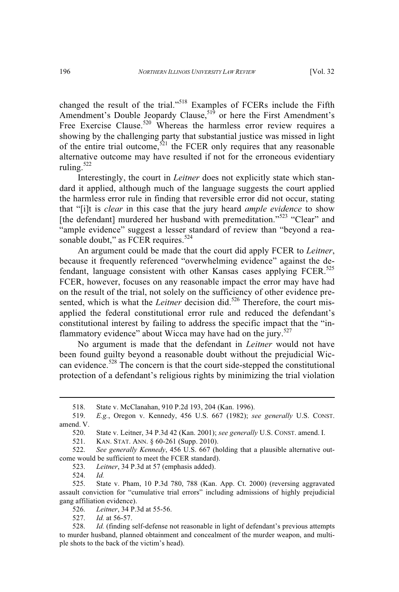changed the result of the trial."<sup>518</sup> Examples of FCERs include the Fifth Amendment's Double Jeopardy Clause,<sup>519</sup> or here the First Amendment's Free Exercise Clause.<sup>520</sup> Whereas the harmless error review requires a showing by the challenging party that substantial justice was missed in light of the entire trial outcome,<sup>521</sup> the FCER only requires that any reasonable alternative outcome may have resulted if not for the erroneous evidentiary ruling. $522$ 

Interestingly, the court in *Leitner* does not explicitly state which standard it applied, although much of the language suggests the court applied the harmless error rule in finding that reversible error did not occur, stating that "[i]t is *clear* in this case that the jury heard *ample evidence* to show [the defendant] murdered her husband with premeditation."<sup>523</sup> "Clear" and "ample evidence" suggest a lesser standard of review than "beyond a reasonable doubt," as FCER requires.<sup>524</sup>

An argument could be made that the court did apply FCER to *Leitner*, because it frequently referenced "overwhelming evidence" against the defendant, language consistent with other Kansas cases applying FCER.<sup>525</sup> FCER, however, focuses on any reasonable impact the error may have had on the result of the trial, not solely on the sufficiency of other evidence presented, which is what the *Leitner* decision did.<sup>526</sup> Therefore, the court misapplied the federal constitutional error rule and reduced the defendant's constitutional interest by failing to address the specific impact that the "inflammatory evidence" about Wicca may have had on the jury.<sup>527</sup>

No argument is made that the defendant in *Leitner* would not have been found guilty beyond a reasonable doubt without the prejudicial Wiccan evidence.<sup>528</sup> The concern is that the court side-stepped the constitutional protection of a defendant's religious rights by minimizing the trial violation

523. *Leitner*, 34 P.3d at 57 (emphasis added).

524. *Id.*

525. State v. Pham, 10 P.3d 780, 788 (Kan. App. Ct. 2000) (reversing aggravated assault conviction for "cumulative trial errors" including admissions of highly prejudicial gang affiliation evidence).

526. *Leitner*, 34 P.3d at 55-56.

527. *Id.* at 56-57.

<sup>518.</sup> State v. McClanahan, 910 P.2d 193, 204 (Kan. 1996).

<sup>519.</sup> *E.g.*, Oregon v. Kennedy, 456 U.S. 667 (1982); *see generally* U.S. CONST. amend. V.

<sup>520.</sup> State v. Leitner, 34 P.3d 42 (Kan. 2001); *see generally* U.S. CONST. amend. I.

KAN. STAT. ANN. § 60-261 (Supp. 2010).

<sup>522.</sup> *See generally Kennedy*, 456 U.S. 667 (holding that a plausible alternative outcome would be sufficient to meet the FCER standard).

<sup>528.</sup> *Id.* (finding self-defense not reasonable in light of defendant's previous attempts to murder husband, planned obtainment and concealment of the murder weapon, and multiple shots to the back of the victim's head).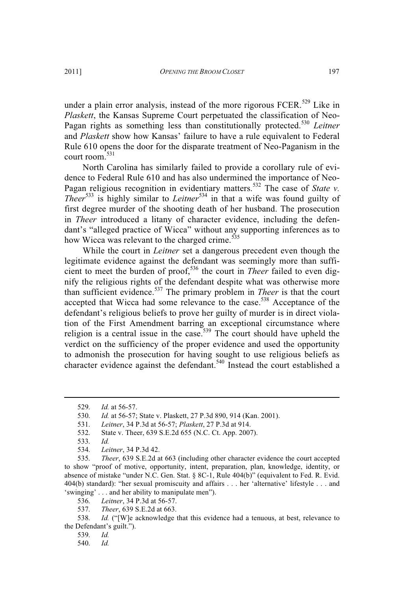under a plain error analysis, instead of the more rigorous FCER.<sup>529</sup> Like in *Plaskett*, the Kansas Supreme Court perpetuated the classification of Neo-Pagan rights as something less than constitutionally protected.<sup>530</sup> *Leitner* and *Plaskett* show how Kansas' failure to have a rule equivalent to Federal Rule 610 opens the door for the disparate treatment of Neo-Paganism in the court room. 531

North Carolina has similarly failed to provide a corollary rule of evidence to Federal Rule 610 and has also undermined the importance of Neo-Pagan religious recognition in evidentiary matters.<sup>532</sup> The case of *State v. Theer*<sup>533</sup> is highly similar to *Leitner*<sup>534</sup> in that a wife was found guilty of first degree murder of the shooting death of her husband. The prosecution in *Theer* introduced a litany of character evidence, including the defendant's "alleged practice of Wicca" without any supporting inferences as to how Wicca was relevant to the charged crime.<sup>535</sup>

While the court in *Leitner* set a dangerous precedent even though the legitimate evidence against the defendant was seemingly more than sufficient to meet the burden of proof,<sup>536</sup> the court in *Theer* failed to even dignify the religious rights of the defendant despite what was otherwise more than sufficient evidence.<sup>537</sup> The primary problem in *Theer* is that the court accepted that Wicca had some relevance to the case.<sup>538</sup> Acceptance of the defendant's religious beliefs to prove her guilty of murder is in direct violation of the First Amendment barring an exceptional circumstance where religion is a central issue in the case.<sup>539</sup> The court should have upheld the verdict on the sufficiency of the proper evidence and used the opportunity to admonish the prosecution for having sought to use religious beliefs as character evidence against the defendant.<sup>540</sup> Instead the court established a

<sup>529.</sup> *Id.* at 56-57.

<sup>530.</sup> *Id.* at 56-57; State v. Plaskett, 27 P.3d 890, 914 (Kan. 2001).

<sup>531.</sup> *Leitner*, 34 P.3d at 56-57; *Plaskett*, 27 P.3d at 914.

<sup>532.</sup> State v. Theer, 639 S.E.2d 655 (N.C. Ct. App. 2007).

<sup>533.</sup> *Id.*

<sup>534.</sup> *Leitner*, 34 P.3d 42.

<sup>535.</sup> *Theer*, 639 S.E.2d at 663 (including other character evidence the court accepted to show "proof of motive, opportunity, intent, preparation, plan, knowledge, identity, or absence of mistake "under N.C. Gen. Stat. § 8C-1, Rule 404(b)" (equivalent to Fed. R. Evid. 404(b) standard): "her sexual promiscuity and affairs . . . her 'alternative' lifestyle . . . and 'swinging' . . . and her ability to manipulate men").

<sup>536.</sup> *Leitner*, 34 P.3d at 56-57.

<sup>537.</sup> *Theer*, 639 S.E.2d at 663.

<sup>538.</sup> *Id.* ("[W]e acknowledge that this evidence had a tenuous, at best, relevance to the Defendant's guilt.").

<sup>539.</sup> *Id.*

<sup>540.</sup> *Id.*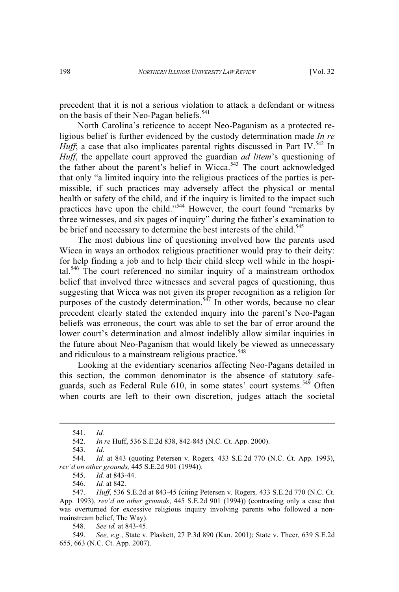precedent that it is not a serious violation to attack a defendant or witness on the basis of their Neo-Pagan beliefs.<sup>541</sup>

North Carolina's reticence to accept Neo-Paganism as a protected religious belief is further evidenced by the custody determination made *In re Huff*; a case that also implicates parental rights discussed in Part IV.<sup>542</sup> In *Huff*, the appellate court approved the guardian *ad litem*'s questioning of the father about the parent's belief in Wicca.<sup>543</sup> The court acknowledged that only "a limited inquiry into the religious practices of the parties is permissible, if such practices may adversely affect the physical or mental health or safety of the child, and if the inquiry is limited to the impact such practices have upon the child."<sup>544</sup> However, the court found "remarks by three witnesses, and six pages of inquiry" during the father's examination to be brief and necessary to determine the best interests of the child.<sup>545</sup>

The most dubious line of questioning involved how the parents used Wicca in ways an orthodox religious practitioner would pray to their deity: for help finding a job and to help their child sleep well while in the hospital.<sup>546</sup> The court referenced no similar inquiry of a mainstream orthodox belief that involved three witnesses and several pages of questioning, thus suggesting that Wicca was not given its proper recognition as a religion for purposes of the custody determination.<sup>547</sup> In other words, because no clear precedent clearly stated the extended inquiry into the parent's Neo-Pagan beliefs was erroneous, the court was able to set the bar of error around the lower court's determination and almost indelibly allow similar inquiries in the future about Neo-Paganism that would likely be viewed as unnecessary and ridiculous to a mainstream religious practice.<sup>548</sup>

Looking at the evidentiary scenarios affecting Neo-Pagans detailed in this section, the common denominator is the absence of statutory safeguards, such as Federal Rule 610, in some states' court systems.<sup>549</sup> Often when courts are left to their own discretion, judges attach the societal

<sup>541.</sup> *Id.*

<sup>542.</sup> *In re* Huff, 536 S.E.2d 838, 842-845 (N.C. Ct. App. 2000).

<sup>543.</sup> *Id*.

<sup>544.</sup> *Id.* at 843 (quoting Petersen v. Rogers*,* 433 S.E.2d 770 (N.C. Ct. App. 1993), *rev'd on other grounds,* 445 S.E.2d 901 (1994)).

<sup>545.</sup> *Id.* at 843-44.

<sup>546.</sup> *Id.* at 842.

<sup>547.</sup> *Huff*, 536 S.E.2d at 843-45 (citing Petersen v. Rogers*,* 433 S.E.2d 770 (N.C. Ct. App. 1993), *rev'd on other grounds*, 445 S.E.2d 901 (1994)) (contrasting only a case that was overturned for excessive religious inquiry involving parents who followed a nonmainstream belief, The Way).

<sup>548.</sup> *See id.* at 843-45.

<sup>549.</sup> *See, e.g.*, State v. Plaskett, 27 P.3d 890 (Kan. 2001); State v. Theer, 639 S.E.2d 655, 663 (N.C. Ct. App. 2007).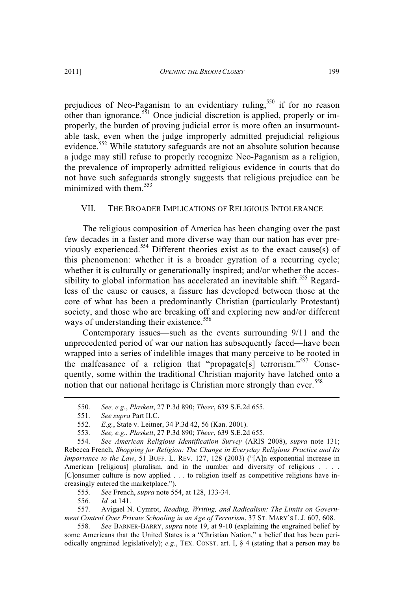prejudices of Neo-Paganism to an evidentiary ruling,<sup>550</sup> if for no reason other than ignorance.<sup>551</sup> Once judicial discretion is applied, properly or improperly, the burden of proving judicial error is more often an insurmountable task, even when the judge improperly admitted prejudicial religious evidence.<sup>552</sup> While statutory safeguards are not an absolute solution because a judge may still refuse to properly recognize Neo-Paganism as a religion, the prevalence of improperly admitted religious evidence in courts that do not have such safeguards strongly suggests that religious prejudice can be minimized with them  $553$ 

## VII. THE BROADER IMPLICATIONS OF RELIGIOUS INTOLERANCE

The religious composition of America has been changing over the past few decades in a faster and more diverse way than our nation has ever previously experienced.<sup>554</sup> Different theories exist as to the exact cause(s) of this phenomenon: whether it is a broader gyration of a recurring cycle; whether it is culturally or generationally inspired; and/or whether the accessibility to global information has accelerated an inevitable shift.<sup>555</sup> Regardless of the cause or causes, a fissure has developed between those at the core of what has been a predominantly Christian (particularly Protestant) society, and those who are breaking off and exploring new and/or different ways of understanding their existence.<sup>556</sup>

Contemporary issues—such as the events surrounding 9/11 and the unprecedented period of war our nation has subsequently faced—have been wrapped into a series of indelible images that many perceive to be rooted in the malfeasance of a religion that "propagate[s] terrorism."<sup>557</sup> Consequently, some within the traditional Christian majority have latched onto a notion that our national heritage is Christian more strongly than ever.<sup>558</sup>

554. *See American Religious Identification Survey* (ARIS 2008), *supra* note 131; Rebecca French, *Shopping for Religion: The Change in Everyday Religious Practice and Its Importance to the Law*, 51 BUFF. L. REV. 127, 128 (2003) ("[A]n exponential increase in American [religious] pluralism, and in the number and diversity of religions . . . . [C]onsumer culture is now applied . . . to religion itself as competitive religions have increasingly entered the marketplace.").<br>555. See French, supra note 55

555. *See* French, *supra* note 554, at 128, 133-34.

556. *Id.* at 141.

557. Avigael N. Cymrot, *Reading, Writing, and Radicalism: The Limits on Government Control Over Private Schooling in an Age of Terrorism*, 37 ST. MARY'<sup>S</sup> L.J. 607, 608.

558. *See* BARNER-BARRY, *supra* note 19, at 9-10 (explaining the engrained belief by some Americans that the United States is a "Christian Nation," a belief that has been periodically engrained legislatively); *e.g.*, TEX. CONST. art. I, § 4 (stating that a person may be

<sup>550.</sup> *See, e.g.*, *Plaskett*, 27 P.3d 890; *Theer*, 639 S.E.2d 655.

<sup>551.</sup> *See supra* Part II.C.

<sup>552.</sup> *E.g.*, State v. Leitner, 34 P.3d 42, 56 (Kan. 2001).

<sup>553.</sup> *See, e.g.*, *Plaskett*, 27 P.3d 890; *Theer*, 639 S.E.2d 655.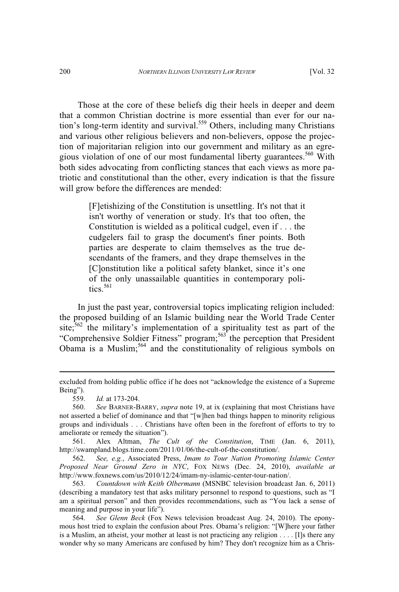Those at the core of these beliefs dig their heels in deeper and deem that a common Christian doctrine is more essential than ever for our nation's long-term identity and survival.<sup>559</sup> Others, including many Christians and various other religious believers and non-believers, oppose the projection of majoritarian religion into our government and military as an egregious violation of one of our most fundamental liberty guarantees.<sup>560</sup> With both sides advocating from conflicting stances that each views as more patriotic and constitutional than the other, every indication is that the fissure will grow before the differences are mended:

> [F]etishizing of the Constitution is unsettling. It's not that it isn't worthy of veneration or study. It's that too often, the Constitution is wielded as a political cudgel, even if . . . the cudgelers fail to grasp the document's finer points. Both parties are desperate to claim themselves as the true descendants of the framers, and they drape themselves in the [C]onstitution like a political safety blanket, since it's one of the only unassailable quantities in contemporary politics.<sup>561</sup>

In just the past year, controversial topics implicating religion included: the proposed building of an Islamic building near the World Trade Center site;<sup>562</sup> the military's implementation of a spirituality test as part of the "Comprehensive Soldier Fitness" program;<sup>563</sup> the perception that President Obama is a Muslim;<sup>564</sup> and the constitutionality of religious symbols on

561. Alex Altman, *The Cult of the Constitution*, TIME (Jan. 6, 2011), http://swampland.blogs.time.com/2011/01/06/the-cult-of-the-constitution/.

562. *See, e.g.*, Associated Press, *Imam to Tour Nation Promoting Islamic Center Proposed Near Ground Zero in NYC*, FOX NEWS (Dec. 24, 2010), *available at* http://www.foxnews.com/us/2010/12/24/imam-ny-islamic-center-tour-nation/.

563. *Countdown with Keith Olbermann* (MSNBC television broadcast Jan. 6, 2011) (describing a mandatory test that asks military personnel to respond to questions, such as "I am a spiritual person" and then provides recommendations, such as "You lack a sense of meaning and purpose in your life").

564. *See Glenn Beck* (Fox News television broadcast Aug. 24, 2010). The eponymous host tried to explain the confusion about Pres. Obama's religion: "[W]here your father is a Muslim, an atheist, your mother at least is not practicing any religion . . . . [I]s there any wonder why so many Americans are confused by him? They don't recognize him as a Chris-

excluded from holding public office if he does not "acknowledge the existence of a Supreme Being").<br>559.

<sup>559.</sup> *Id.* at 173-204.

<sup>560.</sup> *See* BARNER-BARRY, *supra* note 19, at ix (explaining that most Christians have not asserted a belief of dominance and that "[w]hen bad things happen to minority religious groups and individuals . . . Christians have often been in the forefront of efforts to try to ameliorate or remedy the situation").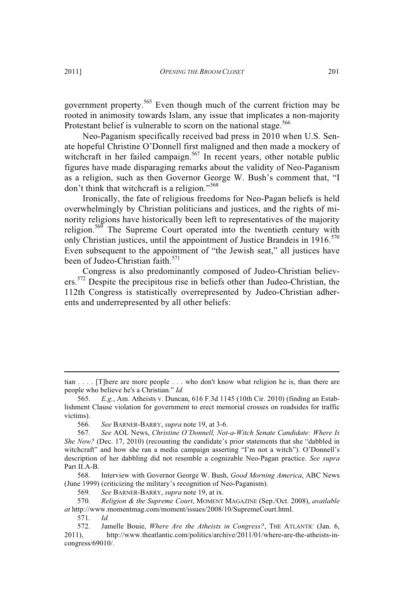government property.<sup>565</sup> Even though much of the current friction may be rooted in animosity towards Islam, any issue that implicates a non-majority Protestant belief is vulnerable to scorn on the national stage.<sup>566</sup>

Neo-Paganism specifically received bad press in 2010 when U.S. Senate hopeful Christine O'Donnell first maligned and then made a mockery of witchcraft in her failed campaign.<sup>567</sup> In recent years, other notable public figures have made disparaging remarks about the validity of Neo-Paganism as a religion, such as then Governor George W. Bush's comment that, "I don't think that witchcraft is a religion."<sup>568</sup>

Ironically, the fate of religious freedoms for Neo-Pagan beliefs is held overwhelmingly by Christian politicians and justices, and the rights of minority religions have historically been left to representatives of the majority religion.<sup>569</sup> The Supreme Court operated into the twentieth century with only Christian justices, until the appointment of Justice Brandeis in  $1916$ <sup>570</sup> Even subsequent to the appointment of "the Jewish seat," all justices have been of Judeo-Christian faith.<sup>571</sup>

Congress is also predominantly composed of Judeo-Christian believers.<sup>572</sup> Despite the precipitous rise in beliefs other than Judeo-Christian, the 112th Congress is statistically overrepresented by Judeo-Christian adherents and underrepresented by all other beliefs:

tian . . . . [T]here are more people . . . who don't know what religion he is, than there are people who believe he's a Christian." *Id.*

<sup>565.</sup> *E.g.*, Am. Atheists v. Duncan, 616 F.3d 1145 (10th Cir. 2010) (finding an Establishment Clause violation for government to erect memorial crosses on roadsides for traffic victims).

<sup>566.</sup> *See* BARNER-BARRY, *supra* note 19, at 3-6.

<sup>567.</sup> *See* AOL News, *Christine O'Donnell, Not-a-Witch Senate Candidate: Where Is She Now?* (Dec. 17, 2010) (recounting the candidate's prior statements that she "dabbled in witchcraft" and how she ran a media campaign asserting "I'm not a witch"). O'Donnell's description of her dabbling did not resemble a cognizable Neo-Pagan practice. *See supra* Part II.A-B.

<sup>568.</sup> Interview with Governor George W. Bush, *Good Morning America*, ABC News (June 1999) (criticizing the military's recognition of Neo-Paganism).

<sup>569.</sup> *See* BARNER-BARRY, *supra* note 19, at ix.

<sup>570.</sup> *Religion & the Supreme Court*, MOMENT MAGAZINE (Sep./Oct. 2008), *available at* http://www.momentmag.com/moment/issues/2008/10/SupremeCourt.html.

<sup>571.</sup> *Id.*

<sup>572.</sup> Jamelle Bouie, *Where Are the Atheists in Congress?*, THE ATLANTIC (Jan. 6, 2011), http://www.theatlantic.com/politics/archive/2011/01/where-are-the-atheists-incongress/69010/.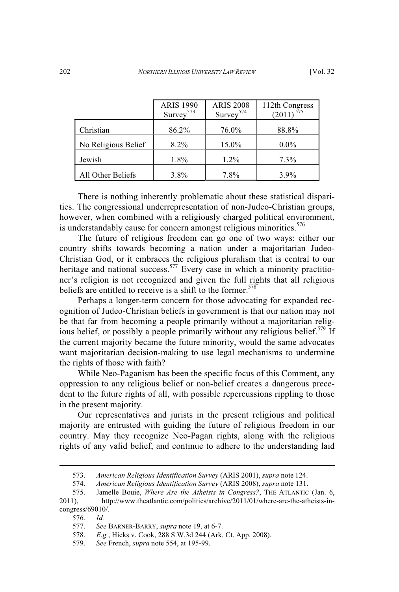|                     | <b>ARIS 1990</b><br>Survey <sup>573</sup> | <b>ARIS 2008</b><br>Survey <sup>574</sup> | 112th Congress<br>(2011) |
|---------------------|-------------------------------------------|-------------------------------------------|--------------------------|
|                     |                                           |                                           |                          |
| Christian           | 86.2%                                     | 76.0%                                     | 88.8%                    |
| No Religious Belief | $8.2\%$                                   | 15.0%                                     | $0.0\%$                  |
| Jewish              | $1.8\%$                                   | $1.2\%$                                   | $7.3\%$                  |
| All Other Beliefs   | 3.8%                                      | 7.8%                                      | $3.9\%$                  |

There is nothing inherently problematic about these statistical disparities. The congressional underrepresentation of non-Judeo-Christian groups, however, when combined with a religiously charged political environment, is understandably cause for concern amongst religious minorities.<sup>576</sup>

The future of religious freedom can go one of two ways: either our country shifts towards becoming a nation under a majoritarian Judeo-Christian God, or it embraces the religious pluralism that is central to our heritage and national success.<sup>577</sup> Every case in which a minority practitioner's religion is not recognized and given the full rights that all religious beliefs are entitled to receive is a shift to the former.<sup>578</sup>

Perhaps a longer-term concern for those advocating for expanded recognition of Judeo-Christian beliefs in government is that our nation may not be that far from becoming a people primarily without a majoritarian religious belief, or possibly a people primarily without any religious belief.<sup>579</sup> If the current majority became the future minority, would the same advocates want majoritarian decision-making to use legal mechanisms to undermine the rights of those with faith?

While Neo-Paganism has been the specific focus of this Comment, any oppression to any religious belief or non-belief creates a dangerous precedent to the future rights of all, with possible repercussions rippling to those in the present majority.

Our representatives and jurists in the present religious and political majority are entrusted with guiding the future of religious freedom in our country. May they recognize Neo-Pagan rights, along with the religious rights of any valid belief, and continue to adhere to the understanding laid

576. *Id.*

<sup>573.</sup> *American Religious Identification Survey* (ARIS 2001), *supra* note 124.

<sup>574.</sup> *American Religious Identification Survey* (ARIS 2008), *supra* note 131.

Jamelle Bouie, Where Are the Atheists in Congress?, THE ATLANTIC (Jan. 6,

<sup>2011),</sup> http://www.theatlantic.com/politics/archive/2011/01/where-are-the-atheists-incongress/69010/.

<sup>577.</sup> *See* BARNER-BARRY, *supra* note 19, at 6-7.

<sup>578.</sup> *E.g.*, Hicks v. Cook, 288 S.W.3d 244 (Ark. Ct. App. 2008).

<sup>579.</sup> *See* French, *supra* note 554, at 195-99.